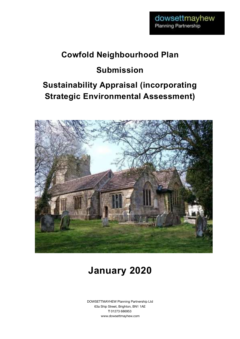# **Cowfold Neighbourhood Plan**

# **Submission**

# **Sustainability Appraisal (incorporating Strategic Environmental Assessment)**



# **January 2020**

DOWSETTMAYHEW Planning Partnership Ltd 63a Ship Street, Brighton, BN1 1AE T 01273 686953 www.dowsettmayhew.com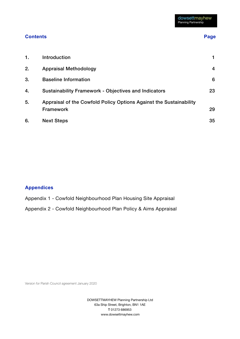#### **Contents** Page **Page 2016**

| 1. | Introduction                                                                           |    |
|----|----------------------------------------------------------------------------------------|----|
| 2. | <b>Appraisal Methodology</b>                                                           | 4  |
| 3. | <b>Baseline Information</b>                                                            | 6  |
| 4. | <b>Sustainability Framework - Objectives and Indicators</b>                            | 23 |
| 5. | Appraisal of the Cowfold Policy Options Against the Sustainability<br><b>Framework</b> | 29 |
| 6. | <b>Next Steps</b>                                                                      | 35 |

### **Appendices**

- Appendix 1 Cowfold Neighbourhood Plan Housing Site Appraisal
- Appendix 2 Cowfold Neighbourhood Plan Policy & Aims Appraisal

Version for Parish Council agreement January 2020

DOWSETTMAYHEW Planning Partnership Ltd 63a Ship Street, Brighton, BN1 1AE T 01273 686953 www.dowsettmayhew.com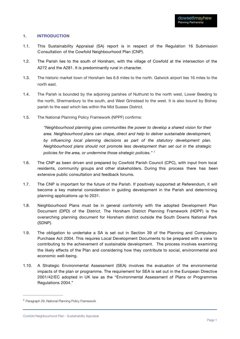#### **1. INTRODUCTION**

- 1.1. This Sustainability Appraisal (SA) report is in respect of the Regulation 16 Submission Consultation of the Cowfold Neighbourhood Plan (CNP).
- 1.2. The Parish lies to the south of Horsham, with the village of Cowfold at the intersection of the A272 and the A281. It is predominantly rural in character.
- 1.3. The historic market town of Horsham lies 6.6 miles to the north. Gatwick airport lies 16 miles to the north east.
- 1.4. The Parish is bounded by the adjoining parishes of Nuthurst to the north west, Lower Beeding to the north, Shermanbury to the south, and West Grinstead to the west. It is also bound by Bolney parish to the east which lies within the Mid Sussex District.
- 1.5. The National Planning Policy Framework (NPPF) confirms:

*"Neighbourhood planning gives communities the power to develop a shared vision for their area. Neighbourhood plans can shape, direct and help to deliver sustainable development, by influencing local planning decisions as part of the statutory development plan. Neighbourhood plans should not promote less development than set out in the strategic policies for the area, or undermine those strategic policies." 1*

- 1.6. The CNP as been driven and prepared by Cowfold Parish Council (CPC), with input from local residents, community groups and other stakeholders. During this process there has been extensive public consultation and feedback forums.
- 1.7. The CNP is important for the future of the Parish. If positively supported at Referendum, it will become a key material consideration in guiding development in the Parish and determining planning applications up to 2031.
- 1.8. Neighbourhood Plans must be in general conformity with the adopted Development Plan Document (DPD) of the District. The Horsham District Planning Framework (HDPF) is the overarching planning document for Horsham district outside the South Downs National Park (SDNP).
- 1.9. The obligation to undertake a SA is set out in Section 39 of the Planning and Compulsory Purchase Act 2004. This requires Local Development Documents to be prepared with a view to contributing to the achievement of sustainable development. The process involves examining the likely effects of the Plan and considering how they contribute to social, environmental and economic well-being.
- 1.10. A Strategic Environmental Assessment (SEA) involves the evaluation of the environmental impacts of the plan or programme. The requirement for SEA is set out in the European Directive 2001/42/EC adopted in UK law as the "Environmental Assessment of Plans or Programmes Regulations 2004."

<sup>&</sup>lt;sup>1</sup> Paragraph 29, National Planning Policy Framework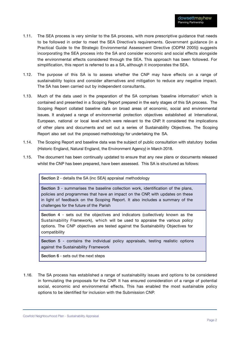- 1.11. The SEA process is very similar to the SA process, with more prescriptive guidance that needs to be followed in order to meet the SEA Directive's requirements. Government guidance (in a Practical Guide to the Strategic Environmental Assessment Directive (ODPM 2005)) suggests incorporating the SEA process into the SA and consider economic and social effects alongside the environmental effects considered through the SEA. This approach has been followed. For simplification, this report is referred to as a SA, although it incorporates the SEA.
- 1.12. The purpose of this SA is to assess whether the CNP may have effects on a range of sustainability topics and consider alternatives and mitigation to reduce any negative impact. The SA has been carried out by independent consultants.
- 1.13. Much of the data used in the preparation of the SA comprises 'baseline information' which is contained and presented in a Scoping Report prepared in the early stages of this SA process. The Scoping Report collated baseline data on broad areas of economic, social and environmental issues. It analysed a range of environmental protection objectives established at International, European, national or local level which were relevant to the CNP. It considered the implications of other plans and documents and set out a series of Sustainability Objectives. The Scoping Report also set out the proposed methodology for undertaking the SA.
- 1.14. The Scoping Report and baseline data was the subject of public consultation with statutory bodies (Historic England, Natural England, the Environment Agency) in March 2018.
- 1.15. The document has been continually updated to ensure that any new plans or documents released whilst the CNP has been prepared, have been assessed. This SA is structured as follows:

Section 2 - details the SA (inc SEA) appraisal methodology

Section 3 - summarises the baseline collection work, identification of the plans, policies and programmes that have an impact on the CNP, with updates on these in light of feedback on the Scoping Report. It also includes a summary of the challenges for the future of the Parish

Section 4 - sets out the objectives and indicators (collectively known as the Sustainability Framework), which will be used to appraise the various policy options. The CNP objectives are tested against the Sustainability Objectives for compatibility

Section 5 - contains the individual policy appraisals, testing realistic options against the Sustainability Framework

Section 6 - sets out the next steps

1.16. The SA process has established a range of sustainability issues and options to be considered in formulating the proposals for the CNP. It has ensured consideration of a range of potential social, economic and environmental effects. This has enabled the most sustainable policy options to be identified for inclusion with the Submission CNP.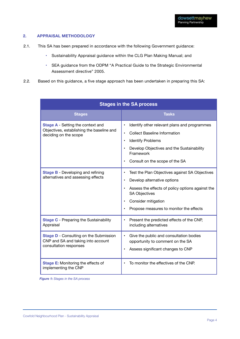#### **2. APPRAISAL METHODOLOGY**

- 2.1. This SA has been prepared in accordance with the following Government guidance:
	- Sustainability Appraisal guidance within the CLG Plan Making Manual; and
	- SEA guidance from the ODPM "A Practical Guide to the Strategic Environmental Assessment directive" 2005.
- 2.2. Based on this guidance, a five stage approach has been undertaken in preparing this SA:

| <b>Stages in the SA process</b>                                                                                |                                                                                                                                                                                                                             |  |  |  |
|----------------------------------------------------------------------------------------------------------------|-----------------------------------------------------------------------------------------------------------------------------------------------------------------------------------------------------------------------------|--|--|--|
| <b>Stages</b>                                                                                                  | <b>Tasks</b>                                                                                                                                                                                                                |  |  |  |
| <b>Stage A</b> - Setting the context and<br>Objectives, establishing the baseline and<br>deciding on the scope | Identify other relevant plans and programmes<br><b>Collect Baseline Information</b><br><b>Identify Problems</b><br>Develop Objectives and the Sustainability<br>Framework<br>Consult on the scope of the SA                 |  |  |  |
| <b>Stage B - Developing and refining</b><br>alternatives and assessing effects                                 | Test the Plan Objectives against SA Objectives<br>Develop alternative options<br>Assess the effects of policy options against the<br><b>SA Objectives</b><br>Consider mitigation<br>Propose measures to monitor the effects |  |  |  |
| <b>Stage C</b> - Preparing the Sustainability<br>Appraisal                                                     | Present the predicted effects of the CNP,<br>$\bullet$<br>including alternatives                                                                                                                                            |  |  |  |
| <b>Stage D</b> - Consulting on the Submission<br>CNP and SA and taking into account<br>consultation responses  | Give the public and consultation bodies<br>opportunity to comment on the SA<br>Assess significant changes to CNP                                                                                                            |  |  |  |
| Stage E: Monitoring the effects of<br>implementing the CNP                                                     | To monitor the effectives of the CNP.                                                                                                                                                                                       |  |  |  |

*Figure 1: Stages in the SA process*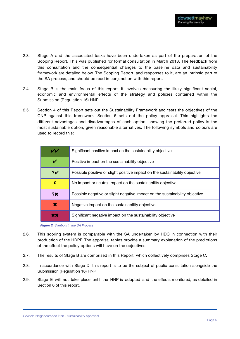- 2.3. Stage A and the associated tasks have been undertaken as part of the preparation of the Scoping Report. This was published for formal consultation in March 2018. The feedback from this consultation and the consequential changes to the baseline data and sustainability framework are detailed below. The Scoping Report, and responses to it, are an intrinsic part of the SA process, and should be read in conjunction with this report.
- 2.4. Stage B is the main focus of this report. It involves measuring the likely significant social, economic and environmental effects of the strategy and policies contained within the Submission (Regulation 16) HNP.
- 2.5. Section 4 of this Report sets out the Sustainability Framework and tests the objectives of the CNP against this framework. Section 5 sets out the policy appraisal. This highlights the different advantages and disadvantages of each option, showing the preferred policy is the most sustainable option, given reasonable alternatives. The following symbols and colours are used to record this:

| VV             | Significant positive impact on the sustainability objective                 |
|----------------|-----------------------------------------------------------------------------|
|                | Positive impact on the sustainability objective                             |
| 2 <sub>Y</sub> | Possible positive or slight positive impact on the sustainability objective |
| 0              | No impact or neutral impact on the sustainability objective                 |
| <b>?X</b>      | Possible negative or slight negative impact on the sustainability objective |
| ×              | Negative impact on the sustainability objective                             |
| XX             | Significant negative impact on the sustainability objective                 |

*Figure 2: Symbols in the SA Process*

- 2.6. This scoring system is comparable with the SA undertaken by HDC in connection with their production of the HDPF. The appraisal tables provide a summary explanation of the predictions of the effect the policy options will have on the objectives.
- 2.7. The results of Stage B are comprised in this Report, which collectively comprises Stage C.
- 2.8. In accordance with Stage D, this report is to be the subject of public consultation alongside the Submission (Regulation 16) HNP.
- 2.9. Stage E will not take place until the HNP is adopted and the effects monitored, as detailed in Section 6 of this report.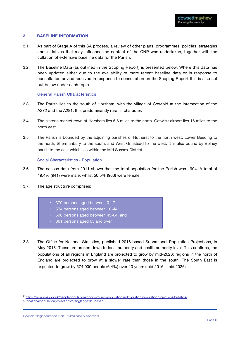#### **3. BASELINE INFORMATION**

- 3.1. As part of Stage A of this SA process, a review of other plans, programmes, policies, strategies and initiatives that may influence the content of the CNP was undertaken, together with the collation of extensive baseline data for the Parish.
- 3.2. The Baseline Data (as outlined in the Scoping Report) is presented below. Where this data has been updated either due to the availability of more recent baseline data or in response to consultation advice received in response to consultation on the Scoping Report this is also set out below under each topic.

#### General Parish Characteristics

- 3.3. The Parish lies to the south of Horsham, with the village of Cowfold at the intersection of the A272 and the A281. It is predominantly rural in character.
- 3.4. The historic market town of Horsham lies 6.6 miles to the north. Gatwick airport lies 16 miles to the north east.
- 3.5. The Parish is bounded by the adjoining parishes of Nuthurst to the north west, Lower Beeding to the north, Shermanbury to the south, and West Grinstead to the west. It is also bound by Bolney parish to the east which lies within the Mid Sussex District.

#### Social Characteristics - Population

- 3.6. The census data from 2011 shows that the total population for the Parish was 1904. A total of 49.4% (941) were male, whilst 50.5% (963) were female.
- 3.7. The age structure comprises:
	- 379 persons aged between 0-17;
	- 574 persons aged between 18-44;
	- 590 persons aged between 45-64; and
	- 361 persons aged 65 and over
- 3.8. The Office for National Statistics, published 2016-based Subnational Population Projections, in May 2018. These are broken down to local authority and health authority level. This confirms, the populations of all regions in England are projected to grow by mid-2026; regions in the north of England are projected to grow at a slower rate than those in the south. The South East is expected to grow by 574,000 people  $(6.4\%)$  over 10 years (mid 2016 - mid 2026). <sup>2</sup>

https://www.ons.gov.uk/peoplepopulationandcommunity/populationandmigration/populationprojections/bulletins/ <sup>2</sup> subnationalpopulationprojectionsforengland/2016based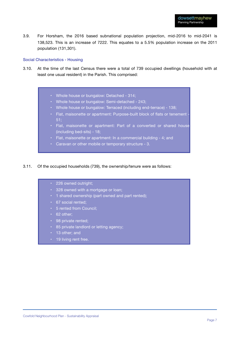3.9. For Horsham, the 2016 based subnational population projection, mid-2016 to mid-2041 is 138,523. This is an increase of 7222. This equates to a 5.5% population increase on the 2011 population (131,301).

#### Social Characteristics - Housing

- 3.10. At the time of the last Census there were a total of 739 occupied dwellings (household with at least one usual resident) in the Parish. This comprised:
	- Whole house or bungalow: Detached 314;
	- Whole house or bungalow: Semi-detached 243;
	- Whole house or bungalow: Terraced (including end-terrace) 138;
	- Flat, maisonette or apartment: Purpose-built block of flats or tenement -51;
	- Flat, maisonette or apartment: Part of a converted or shared house (including bed-sits) - 18;
	- Flat, maisonette or apartment: In a commercial building 4; and
	- Caravan or other mobile or temporary structure 3.

#### 3.11. Of the occupied households (739), the ownership/tenure were as follows:

- 226 owned outright;
- 328 owned with a mortgage or loan;
- 1 shared ownership (part owned and part rented);
- 67 social rented;
- 5 rented from Council;
- $\cdot$  62 other;
- 98 private rented;
- 85 private landlord or letting agency;
- 13 other; and
- 19 living rent free.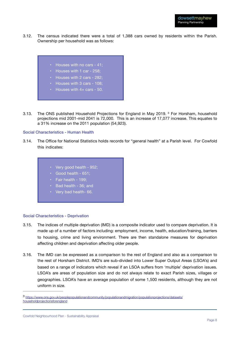3.12. The census indicated there were a total of 1,388 cars owned by residents within the Parish. Ownership per household was as follows:



- Houses with 4+ cars 50.
- 3.13. The ONS published Household Projections for England in May 2019. <sup>3</sup> For Horsham, household projections mid 2001-mid 2041 is 72,000. This is an increase of 17,077 increase. This equates to a 31% increase on the 2011 population (54,923).

#### Social Characteristics - Human Health

- 3.14. The Office for National Statistics holds records for "general health" at a Parish level. For Cowfold this indicates:
	- Very good health 952;
	- Good health 651;
	- Fair health 199;
	- Bad health 36; and
	- Very bad health- 66.

#### Social Characteristics - Deprivation

- 3.15. The indices of multiple deprivation (IMD) is a composite indicator used to compare deprivation. It is made up of a number of factors including: employment, income, health, education/training, barriers to housing, crime and living environment. There are then standalone measures for deprivation affecting children and deprivation affecting older people.
- 3.16. The IMD can be expressed as a comparison to the rest of England and also as a comparison to the rest of Horsham District. IMD's are sub-divided into Lower Super Output Areas (LSOA's) and based on a range of indicators which reveal if an LSOA suffers from 'multiple' deprivation issues. LSOA's are areas of population size and do not always relate to exact Parish sizes, villages or geographies. LSOA's have an average population of some 1,500 residents, although they are not uniform in size.

https://www.ons.gov.uk/peoplepopulationandcommunity/populationandmigration/populationprojections/datasets/ <sup>3</sup> householdprojectionsforengland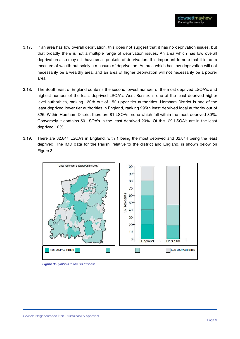- 3.17. If an area has low overall deprivation, this does not suggest that it has no deprivation issues, but that broadly there is not a multiple range of deprivation issues. An area which has low overall deprivation also may still have small pockets of deprivation. It is important to note that it is not a measure of wealth but solely a measure of deprivation. An area which has low deprivation will not necessarily be a wealthy area, and an area of higher deprivation will not necessarily be a poorer area.
- 3.18. The South East of England contains the second lowest number of the most deprived LSOA's, and highest number of the least deprived LSOA's. West Sussex is one of the least deprived higher level authorities, ranking 130th out of 152 upper tier authorities. Horsham District is one of the least deprived lower tier authorities in England, ranking 295th least deprived local authority out of 326. Within Horsham District there are 81 LSOAs, none which fall within the most deprived 30%. Conversely it contains 50 LSOA's in the least deprived 20%. Of this, 29 LSOA's are in the least deprived 10%.
- 3.19. There are 32,844 LSOA's in England, with 1 being the most deprived and 32,844 being the least deprived. The IMD data for the Parish, relative to the district and England, is shown below on Figure 3.



*Figure 3: Symbols in the SA Process*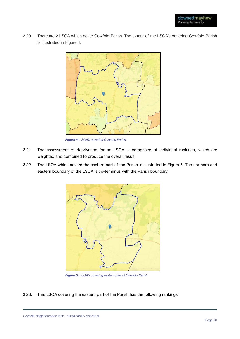3.20. There are 2 LSOA which cover Cowfold Parish. The extent of the LSOA's covering Cowfold Parish is illustrated in Figure 4.



*Figure 4: LSOA's covering Cowfold Parish* 

- 3.21. The assessment of deprivation for an LSOA is comprised of individual rankings, which are weighted and combined to produce the overall result.
- 3.22. The LSOA which covers the eastern part of the Parish is illustrated in Figure 5. The northern and eastern boundary of the LSOA is co-terminus with the Parish boundary.



*Figure 5: LSOA's covering eastern part of Cowfold Parish* 

3.23. This LSOA covering the eastern part of the Parish has the following rankings: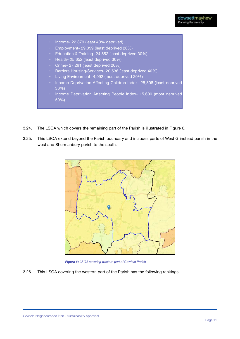- Income- 22,879 (least 40% deprived)
- Employment- 29,099 (least deprived 20%)
- Education & Training- 24,552 (least deprived 30%)
- Health- 25,652 (least deprived 30%)
- Crime- 27,291 (least deprived 20%)
- Barriers Housing/Services- 20,536 (least deprived 40%)
- Living Environment- 4,992 (most deprived 20%)
- Income Deprivation Affecting Children Index- 25,808 (least deprived 30%)
- Income Deprivation Affecting People Index- 15,600 (most deprived 50%)
- 3.24. The LSOA which covers the remaining part of the Parish is illustrated in Figure 6.
- 3.25. This LSOA extend beyond the Parish boundary and includes parts of West Grinstead parish in the west and Shermanbury parish to the south.



*Figure 6: LSOA covering western part of Cowfold Parish*

3.26. This LSOA covering the western part of the Parish has the following rankings: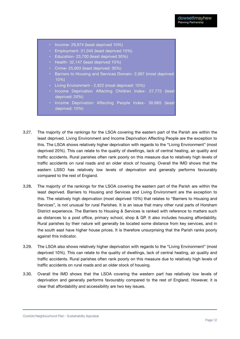- Income- 29,974 (least deprived 10%)
- Employment- 31,045 (least deprived 10%)
- Education- 23,700 (least deprived 30%)
- Health- 32,147 (least deprived 10%)
- Crime- 25,603 (least deprived: 30%)
- Barriers to Housing and Services Domain- 2,067 (most deprived: 10%)
- Living Environment 2,922 (most deprived: 10%)
- Income Deprivation Affecting Children Index- 27,775 (least deprived: 20%)
- Income Deprivation Affecting People Index- 30,665 (least deprived: 10%)
- 3.27. The majority of the rankings for the LSOA covering the eastern part of the Parish are within the least deprived. Living Environment and Income Deprivation Affecting People are the exception to this. The LSOA shows relatively higher deprivation with regards to the "Living Environment" (most deprived 20%). This can relate to the quality of dwellings, lack of central heating, air quality and traffic accidents. Rural parishes often rank poorly on this measure due to relatively high levels of traffic accidents on rural roads and an older stock of housing. Overall the IMD shows that the eastern LSSO has relatively low levels of deprivation and generally performs favourably compared to the rest of England.
- 3.28. The majority of the rankings for the LSOA covering the eastern part of the Parish are within the least deprived. Barriers to Housing and Services and Living Environment are the exception to this. The relatively high deprivation (most deprived 10%) that relates to "Barriers to Housing and Services", is not unusual for rural Parishes. It is an issue that many other rural parts of Horsham District experience. The Barriers to Housing & Services is ranked with reference to matters such as distances to a post office, primary school, shop & GP. It also includes housing affordability. Rural parishes by their nature will generally be located some distance from key services, and in the south east have higher house prices. It is therefore unsurprising that the Parish ranks poorly against this indicator.
- 3.29. The LSOA also shows relatively higher deprivation with regards to the "Living Environment" (most deprived 10%). This can relate to the quality of dwellings, lack of central heating, air quality and traffic accidents. Rural parishes often rank poorly on this measure due to relatively high levels of traffic accidents on rural roads and an older stock of housing.
- 3.30. Overall the IMD shows that the LSOA covering the western part has relatively low levels of deprivation and generally performs favourably compared to the rest of England. However, it is clear that affordability and accessibility are two key issues.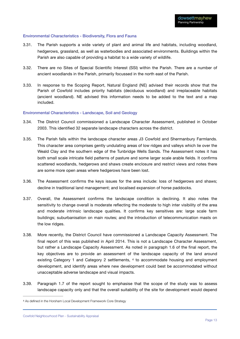#### Environmental Characteristics - Biodiversity, Flora and Fauna

- 3.31. The Parish supports a wide variety of plant and animal life and habitats, including woodland, hedgerows, grassland, as well as waterbodies and associated environments. Buildings within the Parish are also capable of providing a habitat to a wide variety of wildlife.
- 3.32. There are no Sites of Special Scientific Interest (SSI) within the Parish. There are a number of ancient woodlands in the Parish, primarily focussed in the north east of the Parish.
- 3.33. In response to the Scoping Report, Natural England (NE) advised their records show that the Parish of Cowfold includes priority habitats (deciduous woodland) and irreplaceable habitats (ancient woodland). NE advised this information needs to be added to the text and a map included.

#### Environmental Characteristics - Landscape, Soil and Geology

- 3.34. The District Council commissioned a Landscape Character Assessment, published in October 2003. This identified 32 separate landscape characters across the district.
- 3.35. The Parish falls within the landscape character areas J3 Cowfold and Shermanbury Farmlands. This character area comprises gently undulating areas of low ridges and valleys which lie over the Weald Clay and the southern edge of the Tunbridge Wells Sands. The Assessment notes it has both small scale intricate field patterns of pasture and some larger scale arable fields. It confirms scattered woodlands, hedgerows and shaws create enclosure and restrict views and notes there are some more open areas where hedgerows have been lost.
- 3.36. The Assessment confirms the keys issues for the area include: loss of hedgerows and shaws; decline in traditional land management; and localised expansion of horse paddocks.
- 3.37. Overall, the Assessment confirms the landscape condition is declining. It also notes the sensitivity to change overall is moderate reflecting the moderate to high inter visibility of the area and moderate intrinsic landscape qualities. It confirms key sensitives are: large scale farm buildings; suburbanisation on main routes; and the introduction of telecommunication masts on the low ridges.
- 3.38. More recently, the District Council have commissioned a Landscape Capacity Assessment. The final report of this was published in April 2014. This is not a Landscape Character Assessment, but rather a Landscape Capacity Assessment. As noted in paragraph 1.6 of the final report, the key objectives are to provide an assessment of the landscape capacity of the land around existing Category 1 and Category 2 settlements,  $4$  to accommodate housing and employment development, and identify areas where new development could best be accommodated without unacceptable adverse landscape and visual impacts.
- 3.39. Paragraph 1.7 of the report sought to emphasise that the scope of the study was to assess landscape capacity only and that the overall suitability of the site for development would depend

<sup>4</sup> As defined in the Horsham Local Development Framework Core Strategy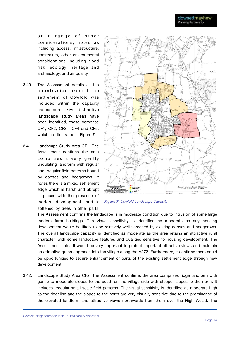on a range of other considerations, noted as including access, infrastructure, constraints, other environmental considerations including flood risk, ecology, heritage and archaeology, and air quality.

- 3.40. The Assessment details all the countryside around the settlement of Cowfold was included within the capacity assessment. Five distinctive landscape study areas have been identified, these comprise CF1, CF2, CF3 , CF4 and CF5, which are illustrated in Figure 7.
- 3.41. Landscape Study Area CF1. The Assessment confirms the area comprises a very gently undulating landform with regular and irregular field patterns bound by copses and hedgerows. It notes there is a mixed settlement edge which is harsh and abrupt in places with the presence of modern development, and is *Figure 7: Cowfold Landscape Capacity*softened by trees in other parts.



The Assessment confirms the landscape is in moderate condition due to intrusion of some large modern farm buildings. The visual sensitivity is identified as moderate as any housing development would be likely to be relatively well screened by existing copses and hedgerows. The overall landscape capacity is identified as moderate as the area retains an attractive rural character, with some landscape features and qualities sensitive to housing development. The Assessment notes it would be very important to protect important attractive views and maintain an attractive green approach into the village along the A272. Furthermore, it confirms there could be opportunities to secure enhancement of parts of the existing settlement edge through new development.

3.42. Landscape Study Area CF2. The Assessment confirms the area comprises ridge landform with gentle to moderate slopes to the south on the village side with steeper slopes to the north. It includes irregular small scale field patterns. The visual sensitivity is identified as moderate-high as the ridgeline and the slopes to the north are very visually sensitive due to the prominence of the elevated landform and attractive views northwards from them over the High Weald. The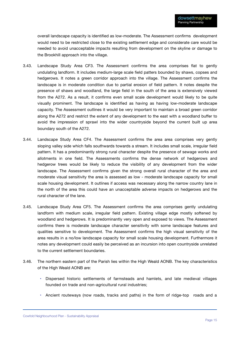overall landscape capacity is identified as low-moderate. The Assessment confirms development would need to be restricted close to the existing settlement edge and considerate care would be needed to avoid unacceptable impacts resulting from development on the skyline or damage to the Brookhill approach into the village.

- 3.43. Landscape Study Area CF3. The Assessment confirms the area comprises flat to gently undulating landform. It includes medium-large scale field patters bounded by shaws, copses and hedgerows. It notes a green corridor approach into the village. The Assessment confirms the landscape is in moderate condition due to partial erosion of field pattern. It notes despite the presence of shaws and woodland, the large field in the south of the area is extensively viewed from the A272. As a result, it confirms even small scale development would likely to be quite visually prominent. The landscape is identified as having as having low-moderate landscape capacity. The Assessment outlines it would be very important to maintain a broad green corridor along the A272 and restrict the extent of any development to the east with a woodland buffer to avoid the impression of sprawl into the wider countryside beyond the current built up area boundary south of the A272.
- 3.44. Landscape Study Area CF4. The Assessment confirms the area area comprises very gently sloping valley side which falls southwards towards a stream. It includes small scale, irregular field pattern. It has a predominantly strong rural character despite the presence of sewage works and allotments in one field. The Assessments confirms the dense network of hedgerows and hedgerow trees would be likely to reduce the visibility of any development from the wider landscape. The Assessment confirms given the strong overall rural character of the area and moderate visual sensitivity the area is assessed as low - moderate landscape capacity for small scale housing development. It outlines if access was necessary along the narrow country lane in the north of the area this could have an unacceptable adverse impacts on hedgerows and the rural character of the lane.
- 3.45. Landscape Study Area CF5. The Assessment confirms the area comprises gently undulating landform with medium scale, irregular field pattern. Existing village edge mostly softened by woodland and hedgerows. It is predominantly very open and exposed to views. The Assessment confirms there is moderate landscape character sensitivity with some landscape features and qualities sensitive to development. The Assessment confirms the high visual sensitivity of the area results in a no/low landscape capacity for small scale housing development. Furthermore it notes any development could easily be perceived as an incursion into open countryside unrelated to the current settlement boundaries.
- 3.46. The northern eastern part of the Parish lies within the High Weald AONB. The key characteristics of the High Weald AONB are:
	- Dispersed historic settlements of farmsteads and hamlets, and late medieval villages founded on trade and non-agricultural rural industries;
	- Ancient routeways (now roads, tracks and paths) in the form of ridge-top roads and a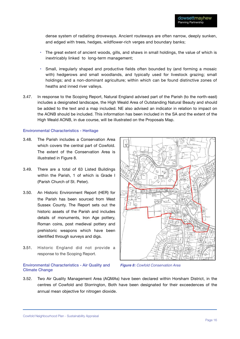dense system of radiating droveways. Ancient routeways are often narrow, deeply sunken, and edged with trees, hedges, wildflower-rich verges and boundary banks;

- The great extent of ancient woods, gills, and shaws in small holdings, the value of which is inextricably linked to long-term management;
- Small, irregularly shaped and productive fields often bounded by (and forming a mosaic with) hedgerows and small woodlands, and typically used for livestock grazing; small holdings; and a non-dominant agriculture; within which can be found distinctive zones of heaths and inned river valleys.
- 3.47. In response to the Scoping Report, Natural England advised part of the Parish (to the north-east) includes a designated landscape, the High Weald Area of Outstanding Natural Beauty and should be added to the text and a map included. NE also advised an indicator in relation to impact on the AONB should be included. This information has been included in the SA and the extent of the High Weald AONB, in due course, will be illustrated on the Proposals Map.

 $\frac{1}{2}$ 

#### Environmental Characteristics - Heritage

- 3.48. The Parish includes a Conservation Area which covers the central part of Cowfold. The extent of the Conservation Area is illustrated in Figure 8.
- 3.49. There are a total of 63 Listed Buildings within the Parish, 1 of which is Grade I (Parish Church of St. Peter).
- 3.50. An Historic Environment Report (HER) for the Parish has been sourced from West Sussex County. The Report sets out the historic assets of the Parish and includes details of monuments, Iron Age pottery, Roman coins, post medieval pottery and prehistoric weapons which have been identified through surveys and digs.
- 3.51. Historic England did not provide a response to the Scoping Report.



#### Environmental Characteristics - Air Quality and Climate Change

*Figure 8: Cowfold Conservation Area*

3.52. Two Air Quality Management Area (AQMAs) have been declared within Horsham District, in the centres of Cowfold and Storrington, Both have been designated for their exceedences of the annual mean objective for nitrogen dioxide.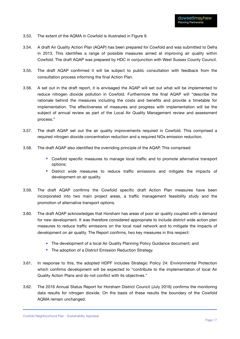- 3.53. The extent of the AQMA in Cowfold is illustrated in Figure 9.
- 3.54. A draft Air Quality Action Plan (AQAP) has been prepared for Cowfold and was submitted to Defra in 2013. This identifies a range of possible measures aimed at improving air quality within Cowfold. The draft AQAP was prepared by HDC in conjunction with West Sussex County Council.
- 3.55. The draft AQAP confirmed it will be subject to public consultation with feedback from the consultation process informing the final Action Plan.
- 3.56. A set out in the draft report, it is envisaged the AQAP will set out what will be implemented to reduce nitrogen dioxide pollution in Cowfold. Furthermore the final AQAP will "describe the rationale behind the measures including the costs and benefits and provide a timetable for implementation. The effectiveness of measures and progress with implementation will be the subject of annual review as part of the Local Air Quality Management review and assessment process."
- 3.57. The draft AQAP set out the air quality improvements required in Cowfold. This comprised a required nitrogen dioxide concentration reduction and a required NOx emission reduction.
- 3.58. The draft AQAP also identified the overriding principle of the AQAP. This comprised:
	- Cowfold specific measures to manage local traffic and to promote alternative transport options;
	- District wide measures to reduce traffic emissions and mitigate the impacts of development on air quality.
- 3.59. The draft AQAP confirms the Cowfold specific draft Action Plan measures have been incorporated into two main project areas, a traffic management feasibility study and the promotion of alternative transport options.
- 3.60. The draft AQAP acknowledges that Horsham has areas of poor air quality coupled with a demand for new development. It was therefore considered appropriate to include district wide action plan measures to reduce traffic emissions on the local road network and to mitigate the impacts of development on air quality. The Report confirms, two key measures in this respect:
	- The development of a local Air Quality Planning Policy Guidance document; and
	- The adoption of a District Emission Reduction Strategy.
- 3.61. In response to this, the adopted HDPF includes Strategic Policy 24: Environmental Protection which confirms development will be expected to "contribute to the implementation of local Air Quality Action Plans and do not conflict with its objectives."
- 3.62. The 2016 Annual Status Report for Horsham District Council (July 2016) confirms the monitoring data results for nitrogen dioxide. On the basis of these results the boundary of the Cowfold AQMA remain unchanged.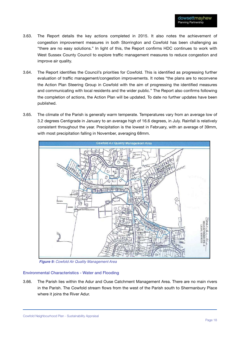- 3.63. The Report details the key actions completed in 2015. It also notes the achievement of congestion improvement measures in both Storrington and Cowfold has been challenging as "there are no easy solutions." In light of this, the Report confirms HDC continues to work with West Sussex County Council to explore traffic management measures to reduce congestion and improve air quality.
- 3.64. The Report identifies the Council's priorities for Cowfold. This is identified as progressing further evaluation of traffic management/congestion improvements. It notes "the plans are to reconvene the Action Plan Steering Group in Cowfold with the aim of progressing the identified measures and communicating with local residents and the wider public." The Report also confirms following the completion of actions, the Action Plan will be updated. To date no further updates have been published.
- 3.65. The climate of the Parish is generally warm temperate. Temperatures vary from an average low of 3.2 degrees Centigrade in January to an average high of 16.6 degrees, in July. Rainfall is relatively consistent throughout the year. Precipitation is the lowest in February, with an average of 39mm, with most precipitation falling in November, averaging 68mm.



*Figure 9: Cowfold Air Quality Management Area*

#### Environmental Characteristics - Water and Flooding

3.66. The Parish lies within the Adur and Ouse Catchment Management Area. There are no main rivers in the Parish. The Cowfold stream flows from the west of the Parish south to Shermanbury Place where it joins the River Adur.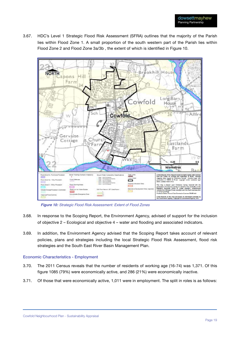3.67. HDC's Level 1 Strategic Flood Risk Assessment (SFRA) outlines that the majority of the Parish lies within Flood Zone 1. A small proportion of the south western part of the Parish lies within Flood Zone 2 and Flood Zone 3a/3b , the extent of which is identified in Figure 10.



*Figure 10: Strategic Flood Risk Assessment: Extent of Flood Zones*

- 3.68. In response to the Scoping Report, the Environment Agency, advised of support for the inclusion of objective 2 – Ecological and objective 4 – water and flooding and associated indicators.
- 3.69. In addition, the Environment Agency advised that the Scoping Report takes account of relevant policies, plans and strategies including the local Strategic Flood Risk Assessment, flood risk strategies and the South East River Basin Management Plan.

#### Economic Characteristics - Employment

- 3.70. The 2011 Census reveals that the number of residents of working age (16-74) was 1,371. Of this figure 1085 (79%) were economically active, and 286 (21%) were economically inactive.
- 3.71. Of those that were economically active, 1,011 were in employment. The split in roles is as follows: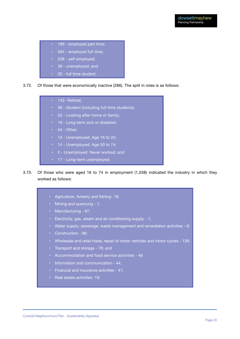- 189 employed part time;
	- 584 employed full time;
	- 238 self employed;
	- 39 unemployed; and
	- 35 full time student.
- 3.72. Of those that were economically inactive (286). The split in roles is as follows:
	- 142- Retired:
	- 38 Student (including full-time students);
	- 53 Looking after home or family;
	- 19 Long-term sick or disabled;
	- $\cdot$  34 Other;
	- 10 Unemployed: Age 16 to 25;
	- 14 Unemployed: Age 50 to 74;
	- 2 Unemployed: Never worked; and
	- 17 Long-term unemployed.
- 3.73. Of those who were aged 16 to 74 in employment (1,038) indicated the industry in which they worked as follows:
	- Agriculture, forestry and fishing- 18;
	- Mining and quarrying 1;
	- Manufacturing 97;
	- Electricity, gas, steam and air conditioning supply 1;
	- Water supply; sewerage, waste management and remediation activities 8;
	- Construction 96;
	- Wholesale and retail trade; repair of motor vehicles and motor cycles 139;
	- Transport and storage 78; and
	- Accommodation and food service activities 48
	- Information and communication 44;
	- Financial and insurance activities 41;
	- Real estate activities- 19;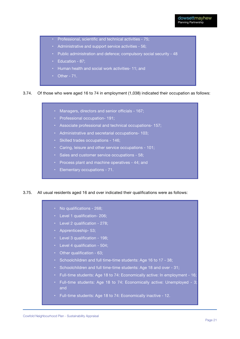- Professional, scientific and technical activities 75;
- Administrative and support service activities 56;
- Public administration and defence; compulsory social security 48
- Education 87;
- Human health and social work activities- 11; and
- Other 71.

#### 3.74. Of those who were aged 16 to 74 in employment (1,038) indicated their occupation as follows:

- Managers, directors and senior officials 167;
- Professional occupation- 191;
- Associate professional and technical occupations- 157;
- Administrative and secretarial occupations- 103;
- Skilled trades occupations 146;
- Caring, leisure and other service occupations 101;
- Sales and customer service occupations 58;
- Process plant and machine operatives 44; and
- Elementary occupations 71.

#### 3.75. All usual residents aged 16 and over indicated their qualifications were as follows:

- No qualifications 268;
- Level 1 qualification- 206;
- Level 2 qualification 278;
- Apprenticeship- 53;
- Level 3 qualification 198;
- Level 4 qualification 504;
- Other qualification 63;
- Schoolchildren and full time-time students: Age 16 to 17 38;
- Schoolchildren and full time-time students: Age 18 and over 31;
- Full-time students: Age 18 to 74: Economically active: In employment 16;
- Full-time students: Age 18 to 74: Economically active: Unemployed 3; and
- Full-time students: Age 18 to 74: Economically inactive 12.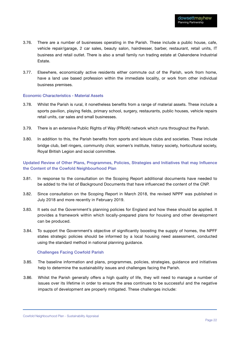- 3.76. There are a number of businesses operating in the Parish. These include a public house, cafe, vehicle repair/garage, 2 car sales, beauty salon, hairdresser, barber, restaurant, retail units, IT business and retail outlet. There is also a small family run trading estate at Oakendene Industrial Estate.
- 3.77. Elsewhere, economically active residents either commute out of the Parish, work from home, have a land use based profession within the immediate locality, or work from other individual business premises.

#### Economic Characteristics - Material Assets

- 3.78. Whilst the Parish is rural, it nonetheless benefits from a range of material assets. These include a sports pavilion, playing fields, primary school, surgery, restaurants, public houses, vehicle repairs retail units, car sales and small businesses.
- 3.79. There is an extensive Public Rights of Way (PRoW) network which runs throughout the Parish.
- 3.80. In addition to this, the Parish benefits from sports and leisure clubs and societies. These include bridge club, bell ringers, community choir, women's institute, history society, horticultural society, Royal British Legion and social committee.

#### Updated Review of Other Plans, Programmes, Policies, Strategies and Initiatives that may Influence the Content of the Cowfold Neighbourhood Plan

- 3.81. In response to the consultation on the Scoping Report additional documents have needed to be added to the list of Background Documents that have influenced the content of the CNP.
- 3.82. Since consultation on the Scoping Report in March 2018, the revised NPPF was published in July 2018 and more recently in February 2019.
- 3.83. It sets out the Government's planning policies for England and how these should be applied. It provides a framework within which locally-prepared plans for housing and other development can be produced.
- 3.84. To support the Government's objective of significantly boosting the supply of homes, the NPFF states strategic policies should be informed by a local housing need assessment, conducted using the standard method in national planning guidance.

#### Challenges Facing Cowfold Parish

- 3.85. The baseline information and plans, programmes, policies, strategies, guidance and initiatives help to determine the sustainability issues and challenges facing the Parish.
- 3.86. Whilst the Parish generally offers a high quality of life, they will need to manage a number of issues over its lifetime in order to ensure the area continues to be successful and the negative impacts of development are properly mitigated. These challenges include: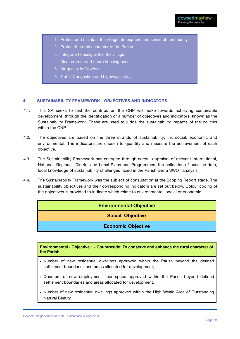- 1. Protect and maintain the village atmosphere and sense of community.
- 2. Protect the rural character of the Parish.
- 3. Integrate housing within the village.
- 4. Meet current and future housing need.
- 5. Air quality in Cowfold.
- 6. Traffic Congestion and highway safety.

#### **4. SUSTAINABILITY FRAMEWORK - OBJECTIVES AND INDICATORS**

- 4.1. This SA seeks to test the contribution the CNP will make towards achieving sustainable development, through the identification of a number of objectives and indicators, known as the Sustainability Framework. These are used to judge the sustainability impacts of the policies within the CNP.
- 4.2. The objectives are based on the three strands of sustainability; i.e. social, economic and environmental. The indicators are chosen to quantify and measure the achievement of each objective.
- 4.3. The Sustainability Framework has emerged through careful appraisal of relevant International, National, Regional, District and Local Plans and Programmes, the collection of baseline data, local knowledge of sustainability challenges faced in the Parish and a SWOT analysis.
- 4.4. The Sustainability Framework was the subject of consultation at the Scoping Report stage. The sustainability objectives and their corresponding indicators are set out below. Colour coding of the objectives is provided to indicate which relate to environmental; social or economic.

#### **Environmental Objective**

**Social Objective**

#### **Economic Objective**

**Environmental - Objective 1 - Countryside: To conserve and enhance the rural character of the Parish**

- Number of new residential dwellings approved within the Parish beyond the defined settlement boundaries and areas allocated for development;
- Quantum of new employment floor space approved within the Parish beyond defined settlement boundaries and areas allocated for development.
- Number of new residential dwellings approved within the High Weald Area of Outstanding Natural Beauty.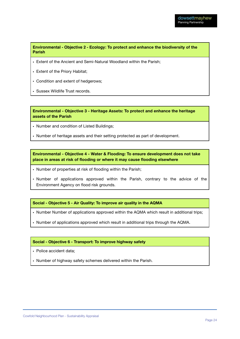**Environmental - Objective 2 - Ecology: To protect and enhance the biodiversity of the Parish**

- Extent of the Ancient and Semi-Natural Woodland within the Parish;
- Extent of the Priory Habitat;
- Condition and extent of hedgerows;
- Sussex Wildlife Trust records.

**Environmental - Objective 3 - Heritage Assets: To protect and enhance the heritage assets of the Parish**

- Number and condition of Listed Buildings;
- Number of heritage assets and their setting protected as part of development.

**Environmental - Objective 4 - Water & Flooding: To ensure development does not take place in areas at risk of flooding or where it may cause flooding elsewhere**

- Number of properties at risk of flooding within the Parish;
- Number of applications approved within the Parish, contrary to the advice of the Environment Agency on flood risk grounds.

**Social - Objective 5 - Air Quality: To improve air quality in the AQMA**

- Number Number of applications approved within the AQMA which result in additional trips;
- Number of applications approved which result in additional trips through the AQMA.

#### **Social - Objective 6 - Transport: To improve highway safety**

- Police accident data;
- Number of highway safety schemes delivered within the Parish.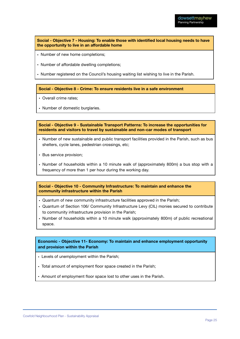**Social - Objective 7 - Housing: To enable those with identified local housing needs to have the opportunity to live in an affordable home**

- Number of new home completions;
- Number of affordable dwelling completions;

• Number registered on the Council's housing waiting list wishing to live in the Parish.

**Social - Objective 8 - Crime: To ensure residents live in a safe environment**

• Overall crime rates;

• Number of domestic burglaries.

**Social - Objective 9 - Sustainable Transport Patterns: To increase the opportunities for residents and visitors to travel by sustainable and non-car modes of transport**

- Number of new sustainable and public transport facilities provided in the Parish, such as bus shelters, cycle lanes, pedestrian crossings, etc;
- Bus service provision;
- Number of households within a 10 minute walk of (approximately 800m) a bus stop with a frequency of more than 1 per hour during the working day.

**Social - Objective 10 - Community Infrastructure: To maintain and enhance the community infrastructure within the Parish**

- Quantum of new community infrastructure facilities approved in the Parish;
- Quantum of Section 106/ Community Infrastructure Levy (CIL) monies secured to contribute to community infrastructure provision in the Parish;
- Number of households within a 10 minute walk (approximately 800m) of public recreational space.

#### **Economic - Objective 11- Economy: To maintain and enhance employment opportunity and provision within the Parish**

- Levels of unemployment within the Parish;
- Total amount of employment floor space created in the Parish;
- Amount of employment floor space lost to other uses in the Parish.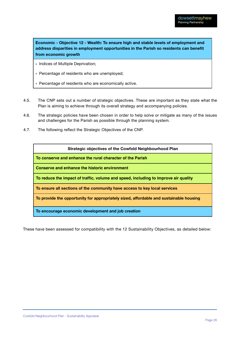**Economic - Objective 12 - Wealth: To ensure high and stable levels of employment and address disparities in employment opportunities in the Parish so residents can benefit from economic growth**

- Indices of Multiple Deprivation;
- Percentage of residents who are unemployed;
- Percentage of residents who are economically active.
- 4.5. The CNP sets out a number of strategic objectives. These are important as they state what the Plan is aiming to achieve through its overall strategy and accompanying policies.
- 4.6. The strategic policies have been chosen in order to help solve or mitigate as many of the issues and challenges for the Parish as possible through the planning system.
- 4.7. The following reflect the Strategic Objectives of the CNP.

| Strategic objectives of the Cowfold Neighbourhood Plan                                 |
|----------------------------------------------------------------------------------------|
| To conserve and enhance the rural character of the Parish                              |
| <b>Conserve and enhance the historic environment</b>                                   |
| To reduce the impact of traffic, volume and speed, including to improve air quality    |
| To ensure all sections of the community have access to key local services              |
| To provide the opportunity for appropriately sized, affordable and sustainable housing |
| To encourage economic development and job creation                                     |

These have been assessed for compatibility with the 12 Sustainability Objectives, as detailed below: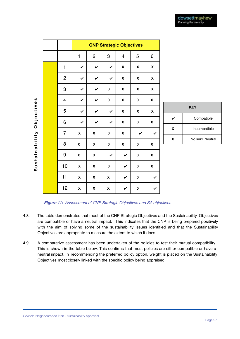|                           |                | <b>CNP Strategic Objectives</b> |                    |              |                    |              |                    |
|---------------------------|----------------|---------------------------------|--------------------|--------------|--------------------|--------------|--------------------|
|                           |                | 1                               | $\overline{c}$     | 3            | 4                  | 5            | 6                  |
|                           | $\mathbf{1}$   | $\checkmark$                    | $\checkmark$       | $\checkmark$ | $\pmb{\mathsf{X}}$ | X            | X                  |
|                           | $\overline{c}$ | V                               | V                  | V            | $\pmb{0}$          | X            | $\pmb{\mathsf{X}}$ |
|                           | 3              | V                               | $\checkmark$       | $\mathbf 0$  | $\pmb{0}$          | X            | $\pmb{\mathsf{X}}$ |
|                           | 4              | $\checkmark$                    | $\checkmark$       | $\mathbf 0$  | 0                  | $\pmb{0}$    | 0                  |
|                           | 5              | $\checkmark$                    | V                  | V            | 0                  | X            | X                  |
|                           | 6              | V                               | V                  | $\checkmark$ | $\pmb{0}$          | $\pmb{0}$    | 0                  |
| Sustainability Objectives | $\overline{7}$ | X                               | $\pmb{\mathsf{X}}$ | $\pmb{0}$    | $\pmb{0}$          | $\checkmark$ | $\checkmark$       |
|                           | 8              | 0                               | $\mathbf 0$        | 0            | $\pmb{0}$          | 0            | 0                  |
|                           | 9              | $\pmb{0}$                       | $\pmb{0}$          | V            | V                  | 0            | $\pmb{0}$          |
|                           | 10             | X                               | $\pmb{\mathsf{X}}$ | 0            | V                  | $\pmb{0}$    | $\pmb{0}$          |
|                           | 11             | X                               | $\pmb{\mathsf{X}}$ | X            | $\checkmark$       | $\pmb{0}$    | V                  |
|                           | 12             | X                               | $\pmb{\mathsf{X}}$ | X            | V                  | 0            | $\checkmark$       |

| <b>KEY</b> |                  |  |  |
|------------|------------------|--|--|
|            | Compatible       |  |  |
| x          | Incompatible     |  |  |
|            | No link/ Neutral |  |  |

*Figure 11: Assessment of CNP Strategic Objectives and SA objectives*

- 4.8. The table demonstrates that most of the CNP Strategic Objectives and the Sustainability Objectives are compatible or have a neutral impact. This indicates that the CNP is being prepared positively with the aim of solving some of the sustainability issues identified and that the Sustainability Objectives are appropriate to measure the extent to which it does.
- 4.9. A comparative assessment has been undertaken of the policies to test their mutual compatibility. This is shown in the table below. This confirms that most policies are either compatible or have a neutral impact. In recommending the preferred policy option, weight is placed on the Sustainability Objectives most closely linked with the specific policy being appraised.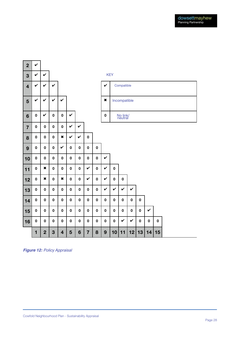

*Figure 12: Policy Appraisal*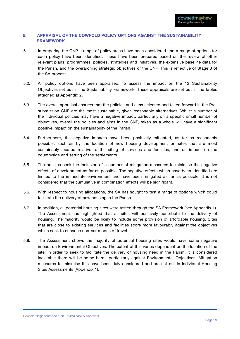#### **5. APPRAISAL OF THE COWFOLD POLICY OPTIONS AGAINST THE SUSTAINABILITY FRAMEWORK**

- 5.1. In preparing the CNP a range of policy areas have been considered and a range of options for each policy have been identified. These have been prepared based on the review of other relevant plans, programmes, policies, strategies and initiatives, the extensive baseline data for the Parish, and the overarching strategic objectives of the CNP. This is reflective of Stage 3 of the SA process.
- 5.2. All policy options have been appraised, to assess the impact on the 12 Sustainability Objectives set out in the Sustainability Framework. These appraisals are set out in the tables attached at Appendix 2.
- 5.3. The overall appraisal ensures that the policies and aims selected and taken forward in the Presubmission CNP are the most sustainable, given reasonable alternatives. Whilst a number of the individual policies may have a negative impact, particularly on a specific small number of objectives, overall the policies and aims in the CNP, taken as a whole will have a significant positive impact on the sustainability of the Parish.
- 5.4. Furthermore, the negative impacts have been positively mitigated, as far as reasonably possible, such as by the location of new housing development on sites that are most sustainably located relative to the siting of services and facilities, and on impact on the countryside and setting of the settlements.
- 5.5. The policies seek the inclusion of a number of mitigation measures to minimise the negative effects of development as far as possible. The negative effects which have been identified are limited to the immediate environment and have been mitigated as far as possible. It is not considered that the cumulative in combination effects will be significant.
- 5.6. With respect to housing allocations, the SA has sought to test a range of options which could facilitate the delivery of new housing in the Parish.
- 5.7. In addition, all potential housing sites were tested through the SA Framework (see Appendix 1). The Assessment has highlighted that all sites will positively contribute to the delivery of housing. The majority would be likely to include some provision of affordable housing. Sites that are close to existing services and facilities score more favourably against the objectives which seek to enhance non-car modes of travel.
- 5.8. The Assessment shows the majority of potential housing sites would have some negative impact on Environmental Objectives. The extent of this varies dependent on the location of the site. In order to seek to facilitate the delivery of housing need in the Parish, it is considered inevitable there will be some harm, particularly against Environmental Objectives. Mitigation measures to minimise this have been duly considered and are set out in individual Housing Sites Assessments (Appendix 1).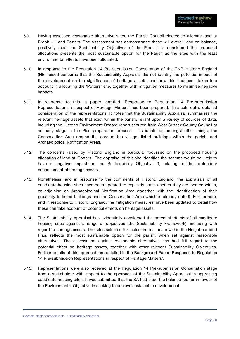- 5.9. Having assessed reasonable alternative sites, the Parish Council elected to allocate land at Brook Hill and Potters. The Assessment has demonstrated these will overall, and on balance, positively meet the Sustainability Objectives of the Plan. It is considered the proposed allocations presents the most sustainable option for the Parish as the sites with the least environmental effects have been allocated.
- 5.10. In response to the Regulation 14 Pre-submission Consultation of the CNP, Historic England (HE) raised concerns that the Sustainability Appraisal did not identify the potential impact of the development on the significance of heritage assets, and how this had been taken into account in allocating the 'Potters' site, together with mitigation measures to minimise negative impacts.
- 5.11. In response to this, a paper, entitled 'Response to Regulation 14 Pre-submission Representations in respect of Heritage Matters' has been prepared. This sets out a detailed consideration of the representations. It notes that the Sustainability Appraisal summarises the relevant heritage assets that exist within the parish, reliant upon a variety of sources of data, including the Historic Environment Record report secured from West Sussex County Council at an early stage in the Plan preparation process. This identified, amongst other things, the Conservation Area around the core of the village, listed buildings within the parish, and Archaeological Notification Areas.
- 5.12. The concerns raised by Historic England in particular focussed on the proposed housing allocation of land at 'Potters.' The appraisal of this site identifies the scheme would be likely to have a negative impact on the Sustainability Objective 3, relating to the protection/ enhancement of heritage assets.
- 5.13. Nonetheless, and in response to the comments of Historic England, the appraisals of all candidate housing sites have been updated to explicitly state whether they are located within, or adjoining an Archaeological Notification Area (together with the identification of their proximity to listed buildings and the Conservation Area which is already noted). Furthermore, and in response to Historic England, the mitigation measures have been updated to detail how these can take account of potential effects on heritage assets.
- 5.14. The Sustainability Appraisal has evidentially considered the potential effects of all candidate housing sites against a range of objectives (the Sustainability Framework), including with regard to heritage assets. The sites selected for inclusion to allocate within the Neighbourhood Plan, reflects the most sustainable option for the parish, when set against reasonable alternatives. The assessment against reasonable alternatives has had full regard to the potential effect on heritage assets, together with other relevant Sustainability Objectives. Further details of this approach are detailed in the Background Paper 'Response to Regulation 14 Pre-submission Representations in respect of Heritage Matters'.
- 5.15. Representations were also received at the Regulation 14 Pre-submission Consultation stage from a stakeholder with respect to the approach of the Sustainability Appraisal in appraising candidate housing sites. It was submitted that the SA had tilted the balance too far in favour of the Environmental Objective in seeking to achieve sustainable development.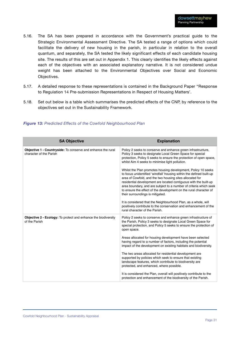- 5.16. The SA has been prepared in accordance with the Government's practical guide to the Strategic Environmental Assessment Directive. The SA tested a range of options which could facilitate the delivery of new housing in the parish, in particular in relation to the overall quantum, and separately, the SA tested the likely significant effects of each candidate housing site. The results of this are set out in Appendix 1. This clearly identifies the likely effects against each of the objectives with an associated explanatory narrative. It is not considered undue weight has been attached to the Environmental Objectives over Social and Economic Objectives.
- 5.17. A detailed response to these representations is contained in the Background Paper ''Response to Regulation 14 Pre-submission Representations in Respect of Housing Matters'.
- 5.18. Set out below is a table which summarises the predicted effects of the CNP, by reference to the objectives set out in the Sustainability Framework.

| <b>SA Objective</b>                                                                            | <b>Explanation</b>                                                                                                                                                                                                                                                                                                                                                                                                                                                                                                                                                                                                                                                                                                                                                                                                                                                                |
|------------------------------------------------------------------------------------------------|-----------------------------------------------------------------------------------------------------------------------------------------------------------------------------------------------------------------------------------------------------------------------------------------------------------------------------------------------------------------------------------------------------------------------------------------------------------------------------------------------------------------------------------------------------------------------------------------------------------------------------------------------------------------------------------------------------------------------------------------------------------------------------------------------------------------------------------------------------------------------------------|
| <b>Objective 1 - Countryside:</b> To conserve and enhance the rural<br>character of the Parish | Policy 2 seeks to conserve and enhance green infrastructure,<br>Policy 3 seeks to designate Local Green Space for special<br>protection, Policy 5 seeks to ensure the protection of open space,<br>whilst Aim 4 seeks to minimise light pollution.<br>Whilst the Plan promotes housing development, Policy 10 seeks<br>to focus unidentified 'windfall' housing within the defined built-up<br>area of Cowfold, and the two housing sites allocated for<br>residential development are located contiguous with the built-up<br>area boundary, and are subject to a number of criteria which seek<br>to ensure the effect of the development on the rural character of<br>their surroundings is mitigated.<br>It is considered that the Neighbourhood Plan, as a whole, will<br>positively contribute to the conservation and enhancement of the<br>rural character of the Parish. |
| Objective 2 - Ecology: To protect and enhance the biodiversity<br>of the Parish                | Policy 2 seeks to conserve and enhance green infrastructure of<br>the Parish, Policy 3 seeks to designate Local Green Space for<br>special protection, and Policy 5 seeks to ensure the protection of<br>open space.<br>Areas allocated for housing development have been selected<br>having regard to a number of factors, including the potential<br>impact of the development on existing habitats and biodiversity.<br>The two areas allocated for residential development are<br>supported by policies which seek to ensure that existing<br>landscape features, which contribute to biodiversity are<br>protected, and enhanced, where possible.<br>It is considered the Plan, overall will positively contribute to the<br>protection and enhancement of the biodiversity of the Parish.                                                                                   |

#### *Figure 13: Predicted Effects of the Cowfold Neighbourhood Plan*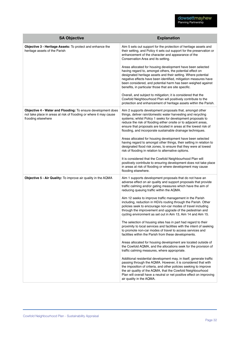| <b>SA Objective</b>                                                                                                                                     | <b>Explanation</b>                                                                                                                                                                                                                                                                                                                                                                           |
|---------------------------------------------------------------------------------------------------------------------------------------------------------|----------------------------------------------------------------------------------------------------------------------------------------------------------------------------------------------------------------------------------------------------------------------------------------------------------------------------------------------------------------------------------------------|
| Objective 3 - Heritage Assets: To protect and enhance the<br>heritage assets of the Parish                                                              | Aim 5 sets out support for the protection of heritage assets and<br>their setting, and Policy 4 sets out support for the preservation or<br>enhancement of the character and appearance of the<br>Conservation Area and its setting.                                                                                                                                                         |
|                                                                                                                                                         | Areas allocated for housing development have been selected<br>having regard to, amongst others, the potential effect on<br>designated heritage assets and their setting. Where potential<br>negative effects have been identified, mitigation measures have<br>been considered, and potential harm has been weighed against<br>benefits, in particular those that are site specific.         |
|                                                                                                                                                         | Overall, and subject to mitigation; it is considered that the<br>Cowfold Neighbourhood Plan will positively contribute to the<br>protection and enhancement of heritage assets within the Parish.                                                                                                                                                                                            |
| Objective 4 - Water and Flooding: To ensure development does<br>not take place in areas at risk of flooding or where it may cause<br>flooding elsewhere | Aim 2 supports development proposals that, amongst other<br>things, deliver rain/domestic water harvesting and recycling<br>systems; whilst Policy 1 seeks for development proposals to<br>reduce the risk of flooding either onsite or to adjacent areas,<br>ensure that proposals are located in areas at the lowest risk of<br>flooding, and incorporate sustainable drainage techniques. |
|                                                                                                                                                         | Areas allocated for housing development have been selected<br>having regard to amongst other things, their setting in relation to<br>designated flood risk zones, to ensure that they were at lowest<br>risk of flooding in relation to alternative options.                                                                                                                                 |
|                                                                                                                                                         | It is considered that the Cowfold Neighbourhood Plan will<br>positively contribute to ensuring development does not take place<br>in areas at risk of flooding or where development may cause<br>flooding elsewhere.                                                                                                                                                                         |
| Objective 5 - Air Quality: To improve air quality in the AQMA                                                                                           | Aim 1 supports development proposals that do not have an<br>adverse effect on air quality and support proposals that provide<br>traffic calming and/or gating measures which have the aim of<br>reducing queuing traffic within the AQMA.                                                                                                                                                    |
|                                                                                                                                                         | Aim 12 seeks to improve traffic management in the Parish<br>including, reduction in HGVs routing through the Parish. Other<br>policies seek to encourage non-car modes of travel including<br>through the improvement and upgrade of the pedestrian and<br>cycling environment as set out in Aim 13, Aim 14 and Aim 15                                                                       |
|                                                                                                                                                         | The selection of housing sites has in part had regard to their<br>proximity to local services and facilities with the intent of seeking<br>to promote non-car modes of travel to access services and<br>facilities within the Parish from these developments.                                                                                                                                |
|                                                                                                                                                         | Areas allocated for housing development are located outside of<br>the Cowfold AQMA, and the allocations seek for the provision of<br>traffic calming measures, where appropriate.                                                                                                                                                                                                            |
|                                                                                                                                                         | Additional residential development may, in itself, generate traffic<br>passing through the AQMA. However, it is considered that with<br>the imposition of criteria, and other policies seeking to improve<br>the air quality of the AQMA, that the Cowfold Neighbourhood<br>Plan will overall have a neutral or net positive effect on improving<br>air quality in the AQMA.                 |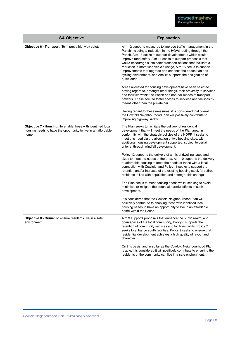| <b>SA Objective</b>                                                                                                                    | <b>Explanation</b>                                                                                                                                                                                                                                                                                                                                                                                                                                                                                                                                                                                                                                                                                                                                                                                                                                                                                                                                                                                                                                                                                                                                        |
|----------------------------------------------------------------------------------------------------------------------------------------|-----------------------------------------------------------------------------------------------------------------------------------------------------------------------------------------------------------------------------------------------------------------------------------------------------------------------------------------------------------------------------------------------------------------------------------------------------------------------------------------------------------------------------------------------------------------------------------------------------------------------------------------------------------------------------------------------------------------------------------------------------------------------------------------------------------------------------------------------------------------------------------------------------------------------------------------------------------------------------------------------------------------------------------------------------------------------------------------------------------------------------------------------------------|
| Objective 6 - Transport: To improve highway safety                                                                                     | Aim 12 supports measures to improve traffic management in the<br>Parish including a reduction in the HGVs routing through the<br>Parish, Aim 13 seeks to support developments which would<br>improve road safety, Aim 14 seeks to support proposals that<br>would encourage sustainable transport options that facilitate a<br>reduction in motorised vehicle usage, Aim 15 seeks to support<br>improvements that upgrade and enhance the pedestrian and<br>cycling environment, and Aim 16 supports the designation of<br>quiet lanes.<br>Areas allocated for housing development have been selected<br>having regard to, amongst other things, their proximity to services<br>and facilities within the Parish and non-car modes of transport<br>network. These seek to foster access to services and facilities by<br>means other than the private car.<br>Having regard to these measures, it is considered that overall,<br>the Cowfold Neighbourhood Plan will positively contribute to<br>improving highway safety.                                                                                                                                |
| Objective 7 - Housing: To enable those with identified local<br>housing needs to have the opportunity to live in an affordable<br>home | The Plan seeks to facilitate the delivery of residential<br>development that will meet the needs of the Plan area, in<br>conformity with the strategic policies of the HDPF. It seeks to<br>meet this need via the allocation of two housing sites, with<br>additional housing development supported, subject to certain<br>criteria, through windfall development.<br>Policy 13 supports the delivery of a mix of dwelling types and<br>sizes to meet the needs of the area, Aim 10 supports the delivery<br>of affordable housing to meet the needs of those with a local<br>connection with Cowfold, and Policy 11 seeks to support the<br>retention and/or increase of the existing housing stock for retired<br>residents in line with population and demographic changes.<br>The Plan seeks to meet housing needs whilst seeking to avoid,<br>minimise, or mitigate the potential harmful effects of such<br>development.<br>It is considered that the Cowfold Neighbourhood Plan will<br>positively contribute to enabling those with identified local<br>housing needs to have an opportunity to live in an affordable<br>home within the Parish. |
| Objective 8 - Crime: To ensure residents live in a safe<br>environment                                                                 | Aim 3 supports proposals that enhance the public realm, and<br>open space of the local community, Policy 6 supports the<br>retention of community services and facilities, whilst Policy 7<br>seeks to enhance youth facilities. Policy 9 seeks to ensure that<br>residential development achieves a high quality of layout and<br>character.<br>On this basis, and in so far as the Cowfold Neighbourhood Plan<br>is able, it is considered it will positively contribute to ensuring the<br>residents of the community can live in a safe environment.                                                                                                                                                                                                                                                                                                                                                                                                                                                                                                                                                                                                  |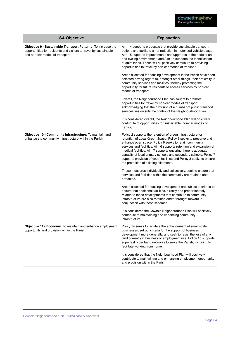| <b>SA Objective</b>                                                                                                                                                  | <b>Explanation</b>                                                                                                                                                                                                                                                                                                                                                                                                                                                                                                                                                                                                                                                                                                                                                                                                                                                                                                                                                                                                                                                                                                          |
|----------------------------------------------------------------------------------------------------------------------------------------------------------------------|-----------------------------------------------------------------------------------------------------------------------------------------------------------------------------------------------------------------------------------------------------------------------------------------------------------------------------------------------------------------------------------------------------------------------------------------------------------------------------------------------------------------------------------------------------------------------------------------------------------------------------------------------------------------------------------------------------------------------------------------------------------------------------------------------------------------------------------------------------------------------------------------------------------------------------------------------------------------------------------------------------------------------------------------------------------------------------------------------------------------------------|
| Objective 9 - Sustainable Transport Patterns: To increase the<br>opportunities for residents and visitors to travel by sustainable<br>and non-car modes of transport | Aim 14 supports proposals that provide sustainable transport<br>options and facilitate a net reduction in motorised vehicle usage,<br>Aim 15 supports improvements and upgrades to the pedestrian<br>and cycling environment, and Aim 16 supports the identification<br>of quiet lanes. These will all positively contribute to providing<br>opportunities to travel by non-car modes of transport.<br>Areas allocated for housing development in the Parish have been<br>selected having regard to, amongst other things, their proximity to<br>community services and facilities, thereby promoting the<br>opportunity for future residents to access services by non-car<br>modes of transport.<br>Overall, the Neighbourhood Plan has sought to promote<br>opportunities for travel by non-car modes of transport,<br>acknowledging that the provision of a number of public transport<br>services lies outside the control of the Neighbourhood Plan.<br>It is considered overall, the Neighbourhood Plan will positively<br>contribute to opportunities for sustainable, non-car modes of<br>transport.               |
| Objective 10 - Community Infrastructure: To maintain and<br>enhance the community infrastructure within the Parish                                                   | Policy 2 supports the retention of green infrastructure for<br>retention of Local Green Space, Policy 5 seeks to preserve and<br>enhance open space, Policy 6 seeks to retain community<br>services and facilities, Aim 6 supports retention and expansion of<br>medical facilities, Aim 7 supports ensuring there is adequate<br>capacity at local primary schools and secondary schools, Policy 7<br>supports provision of youth facilities and Policy 8 seeks to ensure<br>the protection of existing allotments.<br>These measures individually and collectively, seek to ensure that<br>services and facilities within the community are retained and<br>protected.<br>Areas allocated for housing development are subject to criteria to<br>ensure that additional facilities, directly and proportionately<br>related to those developments that contribute to community<br>infrastructure are also retained and/or brought forward in<br>conjunction with those schemes.<br>It is considered the Cowfold Neighbourhood Plan will positively<br>contribute to maintaining and enhancing community<br>infrastructure. |
| Objective 11 - Economy: To maintain and enhance employment<br>opportunity and provision within the Parish                                                            | Policy 14 seeks to facilitate the enhancement of small scale<br>businesses, set out criteria for the support of business<br>development more generally, and seek to resist the loss of any<br>land currently in business or employment use. Policy 15 supports<br>superfast broadband networks to serve the Parish, including to<br>facilitate working from home.<br>It is considered that the Neighbourhood Plan will positively<br>contribute to maintaining and enhancing employment opportunity<br>and provision within the Parish.                                                                                                                                                                                                                                                                                                                                                                                                                                                                                                                                                                                     |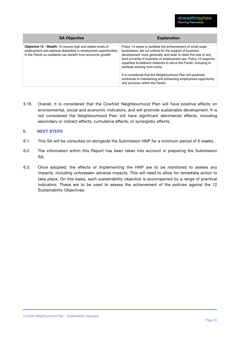| <b>SA Objective</b>                                                                                                                                                                                | <b>Explanation</b>                                                                                                                                                                                                                                                                                                                                                                                                                                                                                                                      |
|----------------------------------------------------------------------------------------------------------------------------------------------------------------------------------------------------|-----------------------------------------------------------------------------------------------------------------------------------------------------------------------------------------------------------------------------------------------------------------------------------------------------------------------------------------------------------------------------------------------------------------------------------------------------------------------------------------------------------------------------------------|
| <b>Objective 12 - Wealth:</b> To ensure high and stable levels of<br>employment and address disparities in employment opportunities<br>in the Parish so residents can benefit from economic growth | Policy 14 seeks to facilitate the enhancement of small scale<br>businesses, set out criteria for the support of business<br>development more generally, and seek to resist the loss of any<br>land currently in business or employment use. Policy 15 supports<br>superfast broadband networks to serve the Parish, including to<br>facilitate working from home.<br>It is considered that the Neighbourhood Plan will positively<br>contribute to maintaining and enhancing employment opportunity<br>and provision within the Parish. |

5.19. Overall, it is considered that the Cowfold Neighbourhood Plan will have positive effects on environmental, social and economic indicators, and will promote sustainable development. It is not considered the Neighbourhood Plan will have significant detrimental effects, including secondary or indirect effects, cumulative effects, or synergistic effects.

#### **6. NEXT STEPS**

- 6.1. This SA will be consulted on alongside the Submission HNP for a minimum period of 6 weeks.
- 6.2. The information within this Report has been taken into account in preparing the Submission SA.
- 6.3. Once adopted, the effects of implementing the HNP are to be monitored to assess any impacts, including unforeseen adverse impacts. This will need to allow for remediate action to take place. On this basis, each sustainability objective is accompanied by a range of practical indicators. These are to be used to assess the achievement of the policies against the 12 Sustainability Objectives.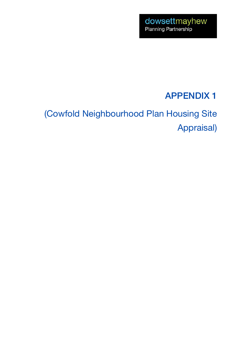## APPENDIX 1

## (Cowfold Neighbourhood Plan Housing Site Appraisal)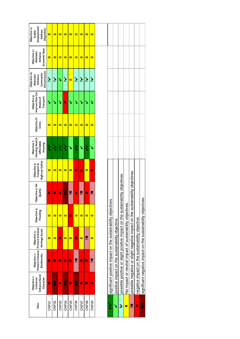| Sites             | Enhance Rural<br>Objective <sub>1</sub> :<br>Character<br>Conserve/ | Protect/ Enhance   Protect/ Enhance<br>Objective 2:<br>Biodiversity           | Heritage Assets<br>Objective 3: | Objective 4:<br>Flooding | Objective 5: Air<br>Quality | Highway Safety<br>Objective 6:<br>Transport & | <b>Housing Need &amp;</b><br>Objective 7:<br>Affordable<br>Housing | Objective 8:<br>Crime | Improve Non-Car<br>Objective 9:<br>Transport<br>Modes of | Infrastructure<br>Objective 10:<br>Community<br>Enhance<br>Maintain/ | Economic Base<br>Objective 11:<br>Maintain/<br>Enhance | Employment/<br>Objective 12:<br>Disparities<br>Address<br>Stable |
|-------------------|---------------------------------------------------------------------|-------------------------------------------------------------------------------|---------------------------------|--------------------------|-----------------------------|-----------------------------------------------|--------------------------------------------------------------------|-----------------------|----------------------------------------------------------|----------------------------------------------------------------------|--------------------------------------------------------|------------------------------------------------------------------|
| CNPOT             | ×                                                                   | ×                                                                             | $\bullet$                       | $\bullet$                | ×                           | $\bullet$                                     | ら                                                                  | $\bullet$             | ↘                                                        | خ                                                                    | $\bullet$                                              | 0                                                                |
| CNP <sub>02</sub> | ×                                                                   | ×                                                                             | $\bullet$                       | $\bullet$                | ×                           | 0                                             | ゝ                                                                  | $\bullet$             | ↘                                                        | Ž                                                                    | $\bullet$                                              | $\bullet$                                                        |
| CNP <sub>03</sub> | ×                                                                   | ×                                                                             | R                               | $\bullet$                | ×                           | 0                                             | ミ                                                                  | $\bullet$             | ↘                                                        | Š                                                                    | $\bullet$                                              | $\bullet$                                                        |
| CNP04             | ×                                                                   | ×                                                                             | $\bullet$                       | o                        | ×                           | 0                                             | ゝ                                                                  | 0                     | ×                                                        | برذ                                                                  | $\bullet$                                              | $\bullet$                                                        |
| CNP <sub>05</sub> | ×                                                                   | ×                                                                             | o                               | x                        | ×č                          | o                                             | ↘                                                                  | o                     | ↘                                                        | $\bullet$                                                            | $\bullet$                                              | o                                                                |
| CNP <sub>06</sub> | ×                                                                   | Xč                                                                            | ×                               | $\bullet$                | ×                           | ×                                             | ミ                                                                  | o                     | Ź                                                        | Ž                                                                    | $\bullet$                                              | $\bullet$                                                        |
| CNP <sub>07</sub> | ×                                                                   | ×                                                                             | $\bullet$                       | $\bullet$                | ×č                          | ×                                             | ١                                                                  | o                     | S                                                        | نخر                                                                  | 0                                                      | 0                                                                |
| CNP <sub>08</sub> | ×                                                                   | ×                                                                             | Xč                              | 0                        | ×                           | 0                                             |                                                                    | 0                     | Y                                                        | نز                                                                   | 0                                                      | 0                                                                |
| CNP <sub>09</sub> | ×                                                                   | Xč                                                                            | $\bullet$                       | $\bullet$                | ×č                          | X                                             | ٧                                                                  | $\bullet$             | S                                                        | خر                                                                   | $\bullet$                                              | $\bullet$                                                        |
|                   |                                                                     |                                                                               |                                 |                          |                             |                                               |                                                                    |                       |                                                          |                                                                      |                                                        |                                                                  |
| ζ                 |                                                                     | significant positive impact on the sustainability objectives.                 |                                 |                          |                             |                                               |                                                                    |                       |                                                          |                                                                      |                                                        |                                                                  |
| ٧                 |                                                                     | positive impact on the sustainability objective.                              |                                 |                          |                             |                                               |                                                                    |                       |                                                          |                                                                      |                                                        |                                                                  |
| Ż.                |                                                                     | possible positive or slight positive impact on the sustainability objectives  |                                 |                          |                             |                                               |                                                                    |                       |                                                          |                                                                      |                                                        |                                                                  |
| $\bullet$         |                                                                     | No impact or neutral impact of sustainability objectives.                     |                                 |                          |                             |                                               |                                                                    |                       |                                                          |                                                                      |                                                        |                                                                  |
| X                 |                                                                     | possible negative or slight negative impact on the sustainability objectives. |                                 |                          |                             |                                               |                                                                    |                       |                                                          |                                                                      |                                                        |                                                                  |
| ×                 |                                                                     | negative impact on the sustainability objective.                              |                                 |                          |                             |                                               |                                                                    |                       |                                                          |                                                                      |                                                        |                                                                  |

significant negative impact on the sustainability objectives. ✖✖ significant negative impact on the sustainability objectives.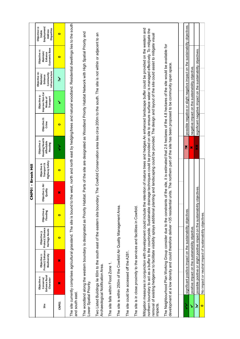|                         |                                                                     |                                                 |                                                                           |                          | <b>OAZU</b>                 | - Brook Hill                                         |                                                         |                       |                                                                                                                                                                                                                                                                                                                                                                                                                                                                                       |                                                                      |                                                        |                                                                  |
|-------------------------|---------------------------------------------------------------------|-------------------------------------------------|---------------------------------------------------------------------------|--------------------------|-----------------------------|------------------------------------------------------|---------------------------------------------------------|-----------------------|---------------------------------------------------------------------------------------------------------------------------------------------------------------------------------------------------------------------------------------------------------------------------------------------------------------------------------------------------------------------------------------------------------------------------------------------------------------------------------------|----------------------------------------------------------------------|--------------------------------------------------------|------------------------------------------------------------------|
| Site                    | Enhance Rural<br>Objective <sub>1</sub> :<br>Character<br>Conserve/ | Protect/Enhance<br>Biodiversity<br>Objective 2: | Protect/Enhance<br>Heritage Assets<br>Objective 3:                        | Objective 4:<br>Flooding | Objective 5: Air<br>Quality | <b>Highway Safety</b><br>Transport &<br>Objective 6: | Housing Need &<br>Objective 7:<br>Affordable<br>Housing | Objective 8:<br>Crime | Improve Non-Car<br>Objective 9:<br>Transport<br>Modes of                                                                                                                                                                                                                                                                                                                                                                                                                              | Infrastructure<br>Objective 10:<br>Community<br>Maintain/<br>Enhance | Economic Base<br>Objective 11:<br>Maintain/<br>Enhance | Employment/<br>Objective 12:<br>Disparities<br>Address<br>Stable |
| <b>CNP01</b>            | $\overline{\mathbf{x}}$                                             | $\boldsymbol{\varkappa}$                        | $\bullet$                                                                 | $\bullet$                | ×                           | $\bullet$                                            | $\zeta$                                                 | $\bullet$             | ↘                                                                                                                                                                                                                                                                                                                                                                                                                                                                                     | نځ                                                                   | $\bullet$                                              | $\bullet$                                                        |
| and south east.         |                                                                     |                                                 | The site currently comprises agricultural grassland. The site is bound    |                          |                             |                                                      |                                                         |                       | to the west, north and north east by hedging/trees and natural woodland. Residential dwellings lies to the south                                                                                                                                                                                                                                                                                                                                                                      |                                                                      |                                                        |                                                                  |
| Lower Spatial Priority. |                                                                     |                                                 | The woodland along the western boundary is designated as Priority H       |                          |                             |                                                      |                                                         |                       | abitat. Parts of the site are designated as Woodland Priority Habitat Network with High Spatial Priority and                                                                                                                                                                                                                                                                                                                                                                          |                                                                      |                                                        |                                                                  |
|                         | Archaeological Notification Area.                                   |                                                 |                                                                           |                          |                             |                                                      |                                                         |                       | Two Listed Buildings lie 60m to the south east of the eastern site boundary. The Cowfold Conservation area lies circa 200m to the south. The site is not within or adjacent to an                                                                                                                                                                                                                                                                                                     |                                                                      |                                                        |                                                                  |
|                         | The site falls within Flood Zone 1.                                 |                                                 |                                                                           |                          |                             |                                                      |                                                         |                       |                                                                                                                                                                                                                                                                                                                                                                                                                                                                                       |                                                                      |                                                        |                                                                  |
|                         |                                                                     |                                                 | The site is within 250m of the Cowfold Air Quality Management Area.       |                          |                             |                                                      |                                                         |                       |                                                                                                                                                                                                                                                                                                                                                                                                                                                                                       |                                                                      |                                                        |                                                                  |
|                         | The site could be accessed off the A281.                            |                                                 |                                                                           |                          |                             |                                                      |                                                         |                       |                                                                                                                                                                                                                                                                                                                                                                                                                                                                                       |                                                                      |                                                        |                                                                  |
|                         |                                                                     |                                                 | The site is in close proximity to the services and facilities in Cowfold. |                          |                             |                                                      |                                                         |                       |                                                                                                                                                                                                                                                                                                                                                                                                                                                                                       |                                                                      |                                                        |                                                                  |
| impacts.                |                                                                     |                                                 | northern boundary to act as a buffer to the countryside. Sustainable di   |                          |                             |                                                      |                                                         |                       | Mitigation measures in conjunction with development could include the retention of mature trees and hedges An enhanced landscape buffer could be provided on the western and<br>rainage techniques could be provided on site to ensure surface water is managed effectively. To mitigate the<br>removal of existing hedgerow to facilitate visibility splays additional planting and landscaping could be provided. The design and layout of the site could assist to mitigate visual |                                                                      |                                                        |                                                                  |
|                         |                                                                     |                                                 |                                                                           |                          |                             |                                                      |                                                         |                       | The Neighbourhood Plan Working Group consider due to the constraints of the site, it is estimated that 2.6 hectares of the 4.8 hectares of the site would be available for<br>development at a low density and could therefore deliver <35 residential units. The northern part of the site has been proposed to be community open space.                                                                                                                                             |                                                                      |                                                        |                                                                  |
|                         |                                                                     |                                                 |                                                                           |                          |                             |                                                      |                                                         |                       |                                                                                                                                                                                                                                                                                                                                                                                                                                                                                       |                                                                      |                                                        |                                                                  |
| ś                       |                                                                     |                                                 | significant positive impact on the sustainability objectives.             |                          |                             |                                                      | ×č                                                      |                       | possible negative or slight negative impact on the sustainability objectives.                                                                                                                                                                                                                                                                                                                                                                                                         |                                                                      |                                                        |                                                                  |
| Š                       |                                                                     |                                                 | positive impact on the sustainability objective.                          |                          |                             |                                                      | ×                                                       |                       | negative impact on the sustainability objective.                                                                                                                                                                                                                                                                                                                                                                                                                                      |                                                                      |                                                        |                                                                  |
| $\tilde{\mathbf{z}}$    |                                                                     |                                                 | possible positive or slight positive impact on the sustainability         |                          | objectives.                 |                                                      | ×                                                       |                       | significant negative impact on the sustainability objectives.                                                                                                                                                                                                                                                                                                                                                                                                                         |                                                                      |                                                        |                                                                  |
| $\bullet$               |                                                                     |                                                 | No impact or neutral impact of sustainability objectives.                 |                          |                             |                                                      |                                                         |                       |                                                                                                                                                                                                                                                                                                                                                                                                                                                                                       |                                                                      |                                                        |                                                                  |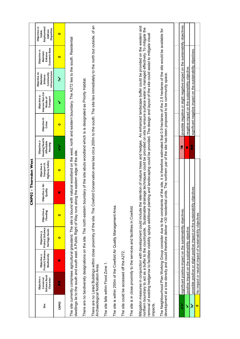|                    |                                                                                                                                                                                                                                                                                                                                                                                                                                                       |                                                 |                                                                   |                          | <b>CNP02 - Thornden West</b>       |                                               |                                                                                                                                                                                                        |                       |                                                                               |                                                                      |                                                        |                                                                  |
|--------------------|-------------------------------------------------------------------------------------------------------------------------------------------------------------------------------------------------------------------------------------------------------------------------------------------------------------------------------------------------------------------------------------------------------------------------------------------------------|-------------------------------------------------|-------------------------------------------------------------------|--------------------------|------------------------------------|-----------------------------------------------|--------------------------------------------------------------------------------------------------------------------------------------------------------------------------------------------------------|-----------------------|-------------------------------------------------------------------------------|----------------------------------------------------------------------|--------------------------------------------------------|------------------------------------------------------------------|
| Site               | Enhance Rural<br>Objective <sub>1</sub> :<br>Conserve/<br>Character                                                                                                                                                                                                                                                                                                                                                                                   | Protect/Enhance<br>Biodiversity<br>Objective 2: | Protect/Enhance<br>Heritage Assets<br>Objective 3:                | Objective 4:<br>Flooding | Objective 5: Air<br>Quality        | Highway Safety<br>Objective 6:<br>Transport & | Housing Need &<br>Objective 7:<br>Affordable<br>Housing                                                                                                                                                | Objective 8:<br>Crime | Improve Non-Car<br>Objective 9:<br>Transport<br>Modes of                      | Infrastructure<br>Objective 10:<br>Community<br>Maintain/<br>Enhance | Economic Base<br>Objective 11:<br>Maintain/<br>Enhance | Employment/<br>Objective 12:<br>Disparities<br>Address<br>Stable |
| CNP <sub>02</sub>  | ×                                                                                                                                                                                                                                                                                                                                                                                                                                                     | ×                                               | $\bullet$                                                         | $\bullet$                | ×                                  | $\bullet$                                     | ζ                                                                                                                                                                                                      | $\bullet$             | ↘                                                                             | نځ                                                                   | $\bullet$                                              | $\bullet$                                                        |
|                    | dwellings lie to the south and south east. A Public Right of Way runs a<br>The site currently comprises agricultural grassland. The site is bound                                                                                                                                                                                                                                                                                                     |                                                 |                                                                   |                          | long the eastern edge of the site. |                                               | with natural woodland on the west, north and eastern boundary. The A272 lies to the south. Residential                                                                                                 |                       |                                                                               |                                                                      |                                                        |                                                                  |
|                    | There are no biodiversity designations on the site. The north eastern boundary of the site abuts woodland which is is designated as Priority Habitat.                                                                                                                                                                                                                                                                                                 |                                                 |                                                                   |                          |                                    |                                               |                                                                                                                                                                                                        |                       |                                                                               |                                                                      |                                                        |                                                                  |
|                    | There are no Listed Buildings within close proximity of the site. The Cowfold Conservation area lies circa 200m to the south. The site lies immediately to the north but outside, of an<br>Archaeological Notification Area.                                                                                                                                                                                                                          |                                                 |                                                                   |                          |                                    |                                               |                                                                                                                                                                                                        |                       |                                                                               |                                                                      |                                                        |                                                                  |
|                    | The site falls within Flood Zone 1.                                                                                                                                                                                                                                                                                                                                                                                                                   |                                                 |                                                                   |                          |                                    |                                               |                                                                                                                                                                                                        |                       |                                                                               |                                                                      |                                                        |                                                                  |
|                    | The site is within 250m of the Cowfold Air Quality Management Area.                                                                                                                                                                                                                                                                                                                                                                                   |                                                 |                                                                   |                          |                                    |                                               |                                                                                                                                                                                                        |                       |                                                                               |                                                                      |                                                        |                                                                  |
|                    | The site could be accessed off the A272.                                                                                                                                                                                                                                                                                                                                                                                                              |                                                 |                                                                   |                          |                                    |                                               |                                                                                                                                                                                                        |                       |                                                                               |                                                                      |                                                        |                                                                  |
|                    | The site is in close proximity to the services and facilities in Cowfold.                                                                                                                                                                                                                                                                                                                                                                             |                                                 |                                                                   |                          |                                    |                                               |                                                                                                                                                                                                        |                       |                                                                               |                                                                      |                                                        |                                                                  |
| impacts.           | northern boundary to act as a buffer to the countryside. Sustainable drainable trachniques could be provided on site to ensure surface water is managed effectively. To mitigate the<br>removal of existing hedgerow to facilitate visibility splays additional planting and landscaping could be provided. The design and layout of the site could assist to mitigate visual<br>Mitigation measures in conjunction with development could include th |                                                 |                                                                   |                          |                                    |                                               | e retention of mature trees and hedges. An enhanced landscape buffer could be provided on the western and                                                                                              |                       |                                                                               |                                                                      |                                                        |                                                                  |
|                    | development at a low density and could therefore deliver <30 resident<br>The Neighbourhood Plan Working Group consider due to the constrai                                                                                                                                                                                                                                                                                                            |                                                 |                                                                   |                          |                                    |                                               | nts of the site, it is therefore estimated that 0.9 hectares of the 2.9 hectares of the site would be available for<br>ial units. The northern par of the site has been proposed to be community space |                       |                                                                               |                                                                      |                                                        |                                                                  |
|                    |                                                                                                                                                                                                                                                                                                                                                                                                                                                       |                                                 |                                                                   |                          |                                    |                                               |                                                                                                                                                                                                        |                       |                                                                               |                                                                      |                                                        |                                                                  |
| ミ                  |                                                                                                                                                                                                                                                                                                                                                                                                                                                       |                                                 | significant positive impact on the sustainability objectives.     |                          |                                    |                                               | ×č                                                                                                                                                                                                     |                       | possible negative or slight negative impact on the sustainability objectives. |                                                                      |                                                        |                                                                  |
| Š                  |                                                                                                                                                                                                                                                                                                                                                                                                                                                       |                                                 | positive impact on the sustainability objective.                  |                          |                                    |                                               | ×                                                                                                                                                                                                      |                       | negative impact on the sustainability objective.                              |                                                                      |                                                        |                                                                  |
| $\tilde{\bm{\xi}}$ |                                                                                                                                                                                                                                                                                                                                                                                                                                                       |                                                 | possible positive or slight positive impact on the sustainability |                          | objectives.                        |                                               | ×                                                                                                                                                                                                      |                       | significant negative impact on the sustainability objectives.                 |                                                                      |                                                        |                                                                  |
| $\bullet$          |                                                                                                                                                                                                                                                                                                                                                                                                                                                       |                                                 | No impact or neutral impact of sustainability objectives.         |                          |                                    |                                               |                                                                                                                                                                                                        |                       |                                                                               |                                                                      |                                                        |                                                                  |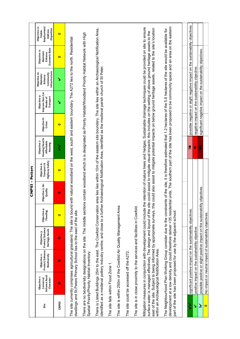|           |                                                         |                                                                                                                                                                                                                                                                                                                                                                                                                                                                                                    |                                                    |                          | CNP <sub>03</sub>           | - Potters                                     |                                                         |                       |                                                               |                                                                      |                                                                                                                 |                                                                  |
|-----------|---------------------------------------------------------|----------------------------------------------------------------------------------------------------------------------------------------------------------------------------------------------------------------------------------------------------------------------------------------------------------------------------------------------------------------------------------------------------------------------------------------------------------------------------------------------------|----------------------------------------------------|--------------------------|-----------------------------|-----------------------------------------------|---------------------------------------------------------|-----------------------|---------------------------------------------------------------|----------------------------------------------------------------------|-----------------------------------------------------------------------------------------------------------------|------------------------------------------------------------------|
| Site      | Enhance Rural<br>Objective t:<br>Conserve/<br>Character | Protect/Enhance<br>Biodiversity<br>Objective 2:                                                                                                                                                                                                                                                                                                                                                                                                                                                    | Protect/Enhance<br>Heritage Assets<br>Objective 3: | Objective 4:<br>Flooding | Objective 5: Air<br>Quality | Highway Safety<br>Objective 6:<br>Transport & | Housing Need &<br>Objective 7:<br>Affordable<br>Housing | Objective 8:<br>Crime | Improve Non-Car<br>Objective 9:<br>Transport<br>Modes of      | Infrastructure<br>Objective 10:<br>Community<br>Maintain/<br>Enhance | Economic Base<br>Objective 11:<br>Maintain/<br>Enhance                                                          | Employment/<br>Objective 12:<br>Disparities<br>Address<br>Stable |
| CNP03     | ×                                                       | ×                                                                                                                                                                                                                                                                                                                                                                                                                                                                                                  | ×                                                  | $\bullet$                | ×                           | $\bullet$                                     | ミ                                                       | $\bullet$             | ↘                                                             | ↘                                                                    | $\bullet$                                                                                                       | $\bullet$                                                        |
|           |                                                         | The site currently comprises agricultural grassland. The site is bound with natural woodland on the west, south and eastern boundary. The A272 lies to the north. Residential<br>dwellings and St.Peters Primary School lies to the east of the site.                                                                                                                                                                                                                                              |                                                    |                          |                             |                                               |                                                         |                       |                                                               |                                                                      |                                                                                                                 |                                                                  |
|           | Spatial Priority/Priority Habitat Inventory.            | There are no biodiversity designations on the site. The middle sections contain woodland which is is designated as Priority Habitat/Woodland Priority Habitat Network with High                                                                                                                                                                                                                                                                                                                    |                                                    |                          |                             |                                               |                                                         |                       |                                                               |                                                                      |                                                                                                                 |                                                                  |
|           |                                                         | There is Listed Buildings 25m to the east. The Cowfold Conservation area lies within 10m of the eastern site boundary. The site lies within an Archaeological Notification Area,<br>identified as a medieval pottery industry centre; and close to a further Archaeological Notification Area, identified as the medieval parish church of St Peter.                                                                                                                                               |                                                    |                          |                             |                                               |                                                         |                       |                                                               |                                                                      |                                                                                                                 |                                                                  |
|           | The site falls within Flood Zone 1.                     |                                                                                                                                                                                                                                                                                                                                                                                                                                                                                                    |                                                    |                          |                             |                                               |                                                         |                       |                                                               |                                                                      |                                                                                                                 |                                                                  |
|           |                                                         | The site is within 250m of the Cowfold Air Quality Management Area.                                                                                                                                                                                                                                                                                                                                                                                                                                |                                                    |                          |                             |                                               |                                                         |                       |                                                               |                                                                      |                                                                                                                 |                                                                  |
|           | The site could be accessed off the A272.                |                                                                                                                                                                                                                                                                                                                                                                                                                                                                                                    |                                                    |                          |                             |                                               |                                                         |                       |                                                               |                                                                      |                                                                                                                 |                                                                  |
|           |                                                         | The site is in close proximity to the services and facilities in Cowfold.                                                                                                                                                                                                                                                                                                                                                                                                                          |                                                    |                          |                             |                                               |                                                         |                       |                                                               |                                                                      |                                                                                                                 |                                                                  |
|           |                                                         | Mitigation measures in conjunction with development could include the retention of mature trees and hedges. Sustainable drainage techniques could be provided on site to ensure<br>surface water is managed effectively. The design and layout of the site could assist to mitigate visual impacts; this includes on the setting of above ground heritage assets to the<br>east of the site. Subject to being informed by appropriate surveys, this<br>within an Archaeological Notification Area. |                                                    |                          |                             |                                               |                                                         |                       |                                                               |                                                                      | could also assist to mitigate potential impacts on below ground heritage assets, related to the site's location |                                                                  |
|           |                                                         | development at a low density and could therefore deliver <35 residential units. The southern part of the site has been proposed to be community space and an area on the eastern<br>The Neighbourhood Plan Working Group consider due to the constraints of the site, it is therefore estimated that 1.2 hectares of the 5.6 hectares of the site would be available for<br>part of the site has been proposed for use by the adjacent school.                                                     |                                                    |                          |                             |                                               |                                                         |                       |                                                               |                                                                      |                                                                                                                 |                                                                  |
|           |                                                         |                                                                                                                                                                                                                                                                                                                                                                                                                                                                                                    |                                                    |                          |                             |                                               |                                                         |                       |                                                               |                                                                      |                                                                                                                 |                                                                  |
| ś         |                                                         | significant positive impact on the sustainability objectives.                                                                                                                                                                                                                                                                                                                                                                                                                                      |                                                    |                          |                             |                                               | Xč                                                      |                       |                                                               |                                                                      | possible negative or slight negative impact on the sustainability objectives.                                   |                                                                  |
| ↘         |                                                         | positive impact on the sustainability objective.                                                                                                                                                                                                                                                                                                                                                                                                                                                   |                                                    |                          |                             |                                               | ×                                                       |                       | negative impact on the sustainability objective.              |                                                                      |                                                                                                                 |                                                                  |
| چ         |                                                         | possible positive or slight positive impact on the sustainability                                                                                                                                                                                                                                                                                                                                                                                                                                  |                                                    |                          | objectives.                 |                                               | ×                                                       |                       | significant negative impact on the sustainability objectives. |                                                                      |                                                                                                                 |                                                                  |
| $\bullet$ |                                                         | No impact or neutral impact of sustainability objectives.                                                                                                                                                                                                                                                                                                                                                                                                                                          |                                                    |                          |                             |                                               |                                                         |                       |                                                               |                                                                      |                                                                                                                 |                                                                  |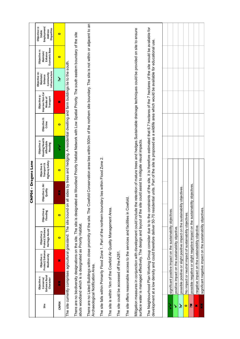|                                 |                                                                                                                                                                                                                                                                                                                                                                          |                                                  |                                                                               |                          | CNP04 - Dragons Lane        |                                                        |                                                         |                       |                                                                                                            |                                                                      |                                                        |                                                                  |
|---------------------------------|--------------------------------------------------------------------------------------------------------------------------------------------------------------------------------------------------------------------------------------------------------------------------------------------------------------------------------------------------------------------------|--------------------------------------------------|-------------------------------------------------------------------------------|--------------------------|-----------------------------|--------------------------------------------------------|---------------------------------------------------------|-----------------------|------------------------------------------------------------------------------------------------------------|----------------------------------------------------------------------|--------------------------------------------------------|------------------------------------------------------------------|
| Site                            | Enhance Rural<br>Objective <sub>1</sub> :<br>Conserve/<br>Character                                                                                                                                                                                                                                                                                                      | Protect/Enhance<br>Biodiversity<br>Objective 2:  | Protect/Enhance<br>Heritage Assets<br>Objective 3:                            | Objective 4:<br>Flooding | Objective 5: Air<br>Quality | <b>Highway Safety</b><br>Transport &<br>ö<br>Objective | Housing Need &<br>Objective 7:<br>Affordable<br>Housing | Objective 8:<br>Crime | Improve Non-Car<br>Objective 9:<br>Transport<br>Modes of                                                   | Infrastructure<br>Objective 10:<br>Community<br>Maintain/<br>Enhance | Economic Base<br>Objective 11:<br>Maintain/<br>Enhance | Objective 12:<br>Employment/<br>Disparities<br>Address<br>Stable |
| <b>CNP04</b>                    | ×                                                                                                                                                                                                                                                                                                                                                                        | ×                                                | $\bullet$                                                                     | $\bullet$                | X                           | $\bullet$                                              | $\zeta$                                                 | $\bullet$             | ×                                                                                                          | نځ                                                                   | $\bullet$                                              | $\bullet$                                                        |
|                                 | The site currently comprises agricultural grassland. The site bound or                                                                                                                                                                                                                                                                                                   |                                                  |                                                                               |                          |                             |                                                        |                                                         |                       | all sides by trees and hedging. A residential dwelling and farm buildings lie to the south                 |                                                                      |                                                        |                                                                  |
|                                 | There are no biodiversity designations on the site. The site is designar<br>abuts woodland which is is designated as Priority Habitat.                                                                                                                                                                                                                                   |                                                  |                                                                               |                          |                             |                                                        |                                                         |                       | ted as Woodland Priority Habitat Network with Low Spatial Priority. The south eastern boundary of the site |                                                                      |                                                        |                                                                  |
|                                 | There are no Listed Buildings within close proximity of the site. The Cowfold Conservation area lies within 500m of the northern site boundary. The site is not within or adjacent to an<br>Archaeological Notification Area.                                                                                                                                            |                                                  |                                                                               |                          |                             |                                                        |                                                         |                       |                                                                                                            |                                                                      |                                                        |                                                                  |
|                                 | The site falls within Primarily Flood Zone 1. Part of the northern boundary lies within Flood Zone 2.                                                                                                                                                                                                                                                                    |                                                  |                                                                               |                          |                             |                                                        |                                                         |                       |                                                                                                            |                                                                      |                                                        |                                                                  |
|                                 | The site is within 1km of the Cowfold Air Quality Management Area.                                                                                                                                                                                                                                                                                                       |                                                  |                                                                               |                          |                             |                                                        |                                                         |                       |                                                                                                            |                                                                      |                                                        |                                                                  |
|                                 | The site could be accessed off the A281.                                                                                                                                                                                                                                                                                                                                 |                                                  |                                                                               |                          |                             |                                                        |                                                         |                       |                                                                                                            |                                                                      |                                                        |                                                                  |
|                                 | The site offers reasonable access to the services and facilities in Cowfold.                                                                                                                                                                                                                                                                                             |                                                  |                                                                               |                          |                             |                                                        |                                                         |                       |                                                                                                            |                                                                      |                                                        |                                                                  |
|                                 | Mitigation measures in conjunction with development could include the retention of mature trees and hedges. Sustainable drainage techniques could be provided on site to ensure<br>surface water is managed effectively. The design and layout of the site could assist to mitigate visual impacts                                                                       |                                                  |                                                                               |                          |                             |                                                        |                                                         |                       |                                                                                                            |                                                                      |                                                        |                                                                  |
|                                 | The Neighbourhood Plan Working Group consider due to to the constraints of the site, it is therefore estimated that 6.7 hectares of the 7 hectares of the site would be available for<br>development at a low density and could therefore deliver 50-70 residential units. Part of the site is proposed as a wildlife area which would be available for educational use. |                                                  |                                                                               |                          |                             |                                                        |                                                         |                       |                                                                                                            |                                                                      |                                                        |                                                                  |
|                                 |                                                                                                                                                                                                                                                                                                                                                                          |                                                  |                                                                               |                          |                             |                                                        |                                                         |                       |                                                                                                            |                                                                      |                                                        |                                                                  |
|                                 |                                                                                                                                                                                                                                                                                                                                                                          |                                                  |                                                                               |                          |                             |                                                        |                                                         |                       |                                                                                                            |                                                                      |                                                        |                                                                  |
|                                 |                                                                                                                                                                                                                                                                                                                                                                          |                                                  | significant positive impact on the sustainability objectives.                 |                          |                             |                                                        |                                                         |                       |                                                                                                            |                                                                      |                                                        |                                                                  |
| ゝ                               |                                                                                                                                                                                                                                                                                                                                                                          | positive impact on the sustainability objective. |                                                                               |                          |                             |                                                        |                                                         |                       |                                                                                                            |                                                                      |                                                        |                                                                  |
| $\tilde{\bm{z}}$                |                                                                                                                                                                                                                                                                                                                                                                          |                                                  | possible positive or slight positive impact on the sustainability             |                          | objectives                  |                                                        |                                                         |                       |                                                                                                            |                                                                      |                                                        |                                                                  |
| $\bullet$                       |                                                                                                                                                                                                                                                                                                                                                                          |                                                  | No impact or neutral impact of sustainability objectives                      |                          |                             |                                                        |                                                         |                       |                                                                                                            |                                                                      |                                                        |                                                                  |
| ×č                              |                                                                                                                                                                                                                                                                                                                                                                          |                                                  | possible negative or slight negative impact on the sustainability objectives. |                          |                             |                                                        |                                                         |                       |                                                                                                            |                                                                      |                                                        |                                                                  |
| ×                               |                                                                                                                                                                                                                                                                                                                                                                          |                                                  | negative impact on the sustainability objective.                              |                          |                             |                                                        |                                                         |                       |                                                                                                            |                                                                      |                                                        |                                                                  |
| $\frac{\mathbf{x}}{\mathbf{x}}$ |                                                                                                                                                                                                                                                                                                                                                                          |                                                  | significant negative impact on the sustainability objectives.                 |                          |                             |                                                        |                                                         |                       |                                                                                                            |                                                                      |                                                        |                                                                  |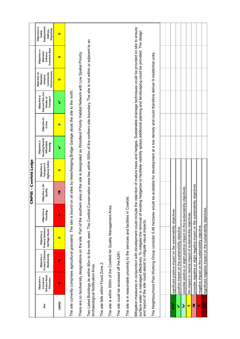|              |                                                                                                                                                                                                                                                                                                                                |                                                 |                                                                              |                          | CNP05 - Cowfold Lodge       |                                               |                                                         |                       |                                                          |                                                                                               |                                                                                                              |                                                                  |
|--------------|--------------------------------------------------------------------------------------------------------------------------------------------------------------------------------------------------------------------------------------------------------------------------------------------------------------------------------|-------------------------------------------------|------------------------------------------------------------------------------|--------------------------|-----------------------------|-----------------------------------------------|---------------------------------------------------------|-----------------------|----------------------------------------------------------|-----------------------------------------------------------------------------------------------|--------------------------------------------------------------------------------------------------------------|------------------------------------------------------------------|
| Site         | Enhance Rural<br>Objective t:<br>Character<br>Conserve                                                                                                                                                                                                                                                                         | Protect/Enhance<br>Biodiversity<br>Objective 2: | Protect/Enhance<br>Heritage Assets<br>Objective 3:                           | Objective 4:<br>Flooding | Objective 5: Air<br>Quality | Highway Safety<br>Transport &<br>Objective 6: | Housing Need &<br>Objective 7:<br>Affordable<br>Housing | Objective 8:<br>Crime | Improve Non-Car<br>Objective 9:<br>Transport<br>Modes of | Infrastructure<br>Objective 10:<br>Community<br>Maintain/<br>Enhance                          | Economic Base<br>Objective 11:<br>Maintain/<br>Enhance                                                       | Employment/<br>Objective 12:<br>Disparities<br>Address<br>Stable |
| <b>CNPO5</b> | $\boldsymbol{\varkappa}$                                                                                                                                                                                                                                                                                                       | $\boldsymbol{\varkappa}$                        | $\bullet$                                                                    | $\boldsymbol{\varkappa}$ | 篜                           | $\bullet$                                     | ↘                                                       | $\bullet$             | ↘                                                        | $\bullet$                                                                                     | $\bullet$                                                                                                    | $\bullet$                                                        |
|              | The site currently comprises agricultural grassland. The site is bound on all sites by trees/hedging.Bridge Garage abuts the site to the north.                                                                                                                                                                                |                                                 |                                                                              |                          |                             |                                               |                                                         |                       |                                                          |                                                                                               |                                                                                                              |                                                                  |
|              | There are no biodiversity designations on the site. Part of the southern                                                                                                                                                                                                                                                       |                                                 |                                                                              |                          |                             |                                               |                                                         |                       |                                                          | area of the site is designated as Woodland Priority Habitat Network with Low Spatial Priority |                                                                                                              |                                                                  |
|              | Two Listed Buildings lie within 80m to the north west. The Cowfold Conservation area lies within 500m of the northern site boundary. The site is not within or adjacent to an<br>Archaeological Notification Area.                                                                                                             |                                                 |                                                                              |                          |                             |                                               |                                                         |                       |                                                          |                                                                                               |                                                                                                              |                                                                  |
|              | The site falls within Flood Zone 2.                                                                                                                                                                                                                                                                                            |                                                 |                                                                              |                          |                             |                                               |                                                         |                       |                                                          |                                                                                               |                                                                                                              |                                                                  |
|              | The site is within 500m of the Cowfold Air Quality Management Area.                                                                                                                                                                                                                                                            |                                                 |                                                                              |                          |                             |                                               |                                                         |                       |                                                          |                                                                                               |                                                                                                              |                                                                  |
|              | The site could be accessed off the A281.                                                                                                                                                                                                                                                                                       |                                                 |                                                                              |                          |                             |                                               |                                                         |                       |                                                          |                                                                                               |                                                                                                              |                                                                  |
|              | The site is in reasonable proximity to the services and facilities in Cowfold                                                                                                                                                                                                                                                  |                                                 |                                                                              |                          |                             |                                               |                                                         |                       |                                                          |                                                                                               |                                                                                                              |                                                                  |
|              | Mitigation measures in conjunction with development could include the retention of mature trees and hedges. Sustainable drainage techniques could be provided on site to ensure<br>surface water is managed effectively. To mitigate the removal of existin<br>and layout of the site could assist to mitigate visual impacts. |                                                 |                                                                              |                          |                             |                                               |                                                         |                       |                                                          |                                                                                               | g hedgerow to facilitate visibility splays additional planting and landscaping could be provided. The design |                                                                  |
|              | The Neighbourhood Plan Working Group consider 0.48 hectares would be available for development at a low density and could therefore deliver 9 residential units.                                                                                                                                                               |                                                 |                                                                              |                          |                             |                                               |                                                         |                       |                                                          |                                                                                               |                                                                                                              |                                                                  |
|              |                                                                                                                                                                                                                                                                                                                                |                                                 |                                                                              |                          |                             |                                               |                                                         |                       |                                                          |                                                                                               |                                                                                                              |                                                                  |
| ミ            |                                                                                                                                                                                                                                                                                                                                |                                                 | significant positive impact on the sustainability objectives.                |                          |                             |                                               |                                                         |                       |                                                          |                                                                                               |                                                                                                              |                                                                  |
| ↘            |                                                                                                                                                                                                                                                                                                                                |                                                 | positive impact on the sustainability objective.                             |                          |                             |                                               |                                                         |                       |                                                          |                                                                                               |                                                                                                              |                                                                  |
| نځ           |                                                                                                                                                                                                                                                                                                                                |                                                 | possible positive or slight positive impact on the sustainability            |                          | objectives                  |                                               |                                                         |                       |                                                          |                                                                                               |                                                                                                              |                                                                  |
| $\bullet$    |                                                                                                                                                                                                                                                                                                                                |                                                 | No impact or neutral impact of sustainability objectives.                    |                          |                             |                                               |                                                         |                       |                                                          |                                                                                               |                                                                                                              |                                                                  |
| Xč           |                                                                                                                                                                                                                                                                                                                                |                                                 | possible negative or slight negative impact on the sustainability objectives |                          |                             |                                               |                                                         |                       |                                                          |                                                                                               |                                                                                                              |                                                                  |
| ×            |                                                                                                                                                                                                                                                                                                                                |                                                 | negative impact on the sustainability objective.                             |                          |                             |                                               |                                                         |                       |                                                          |                                                                                               |                                                                                                              |                                                                  |
| ×            |                                                                                                                                                                                                                                                                                                                                |                                                 | significant negative impact on the sustainability objectives.                |                          |                             |                                               |                                                         |                       |                                                          |                                                                                               |                                                                                                              |                                                                  |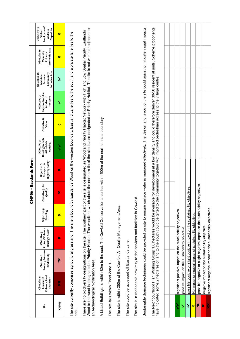|                   |                                                                     |                                                 |                                                                                                                                                                                                                                                                                                                                                                               |                          | CNP06 - Eastlands Farm      |                                                      |                                                                    |                       |                                                                                                                  |                                                                      |                                                        |                                                                  |
|-------------------|---------------------------------------------------------------------|-------------------------------------------------|-------------------------------------------------------------------------------------------------------------------------------------------------------------------------------------------------------------------------------------------------------------------------------------------------------------------------------------------------------------------------------|--------------------------|-----------------------------|------------------------------------------------------|--------------------------------------------------------------------|-----------------------|------------------------------------------------------------------------------------------------------------------|----------------------------------------------------------------------|--------------------------------------------------------|------------------------------------------------------------------|
| Site              | Enhance Rural<br>Objective <sub>1</sub> :<br>Conserve/<br>Character | Protect/Enhance<br>Biodiversity<br>Objective 2: | Protect/Enhance<br>Heritage Assets<br>Objective 3:                                                                                                                                                                                                                                                                                                                            | Objective 4:<br>Flooding | Objective 5: Air<br>Quality | <b>Highway Safety</b><br>Transport &<br>Objective 6: | <b>Housing Need &amp;</b><br>Objective 7:<br>Affordable<br>Housing | Objective 8:<br>Crime | Improve Non-Car<br>Objective 9:<br>Transport<br>Modes of                                                         | Infrastructure<br>Objective 10:<br>Community<br>Maintain/<br>Enhance | Economic Base<br>Objective 11:<br>Maintain/<br>Enhance | Employment/<br>Objective 12:<br>Disparities<br>Address<br>Stable |
| CNP <sub>06</sub> | ×                                                                   | Xč                                              | ×                                                                                                                                                                                                                                                                                                                                                                             | $\bullet$                | ×                           | ×                                                    | ζ                                                                  | $\bullet$             | ↘                                                                                                                | نخر                                                                  | $\bullet$                                              | $\bullet$                                                        |
| east.             |                                                                     |                                                 | The site currently comprises agricultural grassland. The site is bound                                                                                                                                                                                                                                                                                                        |                          |                             |                                                      |                                                                    |                       | by Eastlands Wood on the western boundary. Eastland Lane lies to the south and a private lane lies to the        |                                                                      |                                                        |                                                                  |
|                   | an Archaeological Notification Area.                                |                                                 | Wood to the west is designated as Priority Habitat. The woodland which abuts the northern tip of the site is also designated as Priority Habitat. The site is not within or adjacent to<br>There are no biodiversity designations on the site. The southern part of the site is designated as Woodland Priority Habitat Network with High and Low Spatial Priority. Eastlands |                          |                             |                                                      |                                                                    |                       |                                                                                                                  |                                                                      |                                                        |                                                                  |
|                   |                                                                     |                                                 | A Listed Buildings lie within 80m to the east. The Cowfold Conservation area lies within 500m of the northern site boundary.                                                                                                                                                                                                                                                  |                          |                             |                                                      |                                                                    |                       |                                                                                                                  |                                                                      |                                                        |                                                                  |
|                   | The site falls within Flood Zone 1.                                 |                                                 |                                                                                                                                                                                                                                                                                                                                                                               |                          |                             |                                                      |                                                                    |                       |                                                                                                                  |                                                                      |                                                        |                                                                  |
|                   |                                                                     |                                                 | The site is within 250m of the Cowfold Air Quality Management Area.                                                                                                                                                                                                                                                                                                           |                          |                             |                                                      |                                                                    |                       |                                                                                                                  |                                                                      |                                                        |                                                                  |
|                   | The site could be accessed off Eastlands Lane.                      |                                                 |                                                                                                                                                                                                                                                                                                                                                                               |                          |                             |                                                      |                                                                    |                       |                                                                                                                  |                                                                      |                                                        |                                                                  |
|                   |                                                                     |                                                 | The site is in reasonable proximity to the services and facilities in Cowfold                                                                                                                                                                                                                                                                                                 |                          |                             |                                                      |                                                                    |                       |                                                                                                                  |                                                                      |                                                        |                                                                  |
|                   |                                                                     |                                                 | Sustainable drainage techniques could be provided on site to ensure                                                                                                                                                                                                                                                                                                           |                          |                             |                                                      |                                                                    |                       | surface water is managed effectively. The design and layout of the site could assist to mitigate visual impacts. |                                                                      |                                                        |                                                                  |
|                   |                                                                     |                                                 | The Neighbourhood Plan Working Group 1.6 hectares would be available for development at a low density and could therefore deliver 30-50 residential units. Scheme proponents<br>have indicated some 2 hectares of land to the sou                                                                                                                                             |                          |                             |                                                      |                                                                    |                       |                                                                                                                  |                                                                      |                                                        |                                                                  |
|                   |                                                                     |                                                 |                                                                                                                                                                                                                                                                                                                                                                               |                          |                             |                                                      |                                                                    |                       |                                                                                                                  |                                                                      |                                                        |                                                                  |
|                   |                                                                     |                                                 |                                                                                                                                                                                                                                                                                                                                                                               |                          |                             |                                                      |                                                                    |                       |                                                                                                                  |                                                                      |                                                        |                                                                  |
| ζ                 |                                                                     |                                                 | significant positive impact on the sustainability objectives.                                                                                                                                                                                                                                                                                                                 |                          |                             |                                                      |                                                                    |                       |                                                                                                                  |                                                                      |                                                        |                                                                  |
| ↘                 |                                                                     |                                                 | positive impact on the sustainability objective.                                                                                                                                                                                                                                                                                                                              |                          |                             |                                                      |                                                                    |                       |                                                                                                                  |                                                                      |                                                        |                                                                  |
| چ                 |                                                                     |                                                 | possible positive or slight positive impact on the sustainability                                                                                                                                                                                                                                                                                                             |                          | objectives.                 |                                                      |                                                                    |                       |                                                                                                                  |                                                                      |                                                        |                                                                  |
| $\bullet$         |                                                                     |                                                 | No impact or neutral impact of sustainability objectives.                                                                                                                                                                                                                                                                                                                     |                          |                             |                                                      |                                                                    |                       |                                                                                                                  |                                                                      |                                                        |                                                                  |
| Xč                |                                                                     |                                                 | possible negative or slight negative impact on the sustainability objectives                                                                                                                                                                                                                                                                                                  |                          |                             |                                                      |                                                                    |                       |                                                                                                                  |                                                                      |                                                        |                                                                  |
| ×                 |                                                                     |                                                 | negative impact on the sustainability objective.                                                                                                                                                                                                                                                                                                                              |                          |                             |                                                      |                                                                    |                       |                                                                                                                  |                                                                      |                                                        |                                                                  |
| X<br>X            |                                                                     |                                                 | significant negative impact on the sustainability objectives.                                                                                                                                                                                                                                                                                                                 |                          |                             |                                                      |                                                                    |                       |                                                                                                                  |                                                                      |                                                        |                                                                  |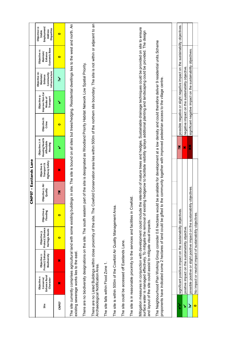|                              |                                                                                                                                                                                                                                                                                                                                |                                                 |                                                                   |                          | CNP07 - Eastlands Lane      |                                               |                                                           |                       |                                                                                                                                                                                        |                                                                      |                                                        |                                                                         |
|------------------------------|--------------------------------------------------------------------------------------------------------------------------------------------------------------------------------------------------------------------------------------------------------------------------------------------------------------------------------|-------------------------------------------------|-------------------------------------------------------------------|--------------------------|-----------------------------|-----------------------------------------------|-----------------------------------------------------------|-----------------------|----------------------------------------------------------------------------------------------------------------------------------------------------------------------------------------|----------------------------------------------------------------------|--------------------------------------------------------|-------------------------------------------------------------------------|
| Site                         | Enhance Rural<br>Objective <sub>1</sub> :<br>Conserve/<br>Character                                                                                                                                                                                                                                                            | Protect/Enhance<br>Objective 2:<br>Biodiversity | Protect/Enhance<br>Heritage Assets<br>Objective 3:                | Objective 4:<br>Flooding | Objective 5: Air<br>Quality | Highway Safety<br>Objective 6:<br>Transport & | Housing Need &<br>Objective 7: A<br>Affordable<br>Housing | Objective 8:<br>Crime | Improve Non-Car<br>Objective 9:<br>Transport<br>Modes of                                                                                                                               | Infrastructure<br>Objective 10:<br>Community<br>Maintain/<br>Enhance | Economic Base<br>Objective 11:<br>Maintain/<br>Enhance | Employment/<br>Objective 12:<br>Disparities<br>Address<br><b>Stable</b> |
| <b>CNPO7</b>                 | ×                                                                                                                                                                                                                                                                                                                              | ×                                               | $\bullet$                                                         | $\bullet$                | Xč                          | ×                                             | ↘                                                         | $\bullet$             | ↘                                                                                                                                                                                      | نخر                                                                  | $\bullet$                                              | $\bullet$                                                               |
|                              | The site currently comprises agricultural land with some existing buildings in site. The site is bound on all sites but trees/hedging. Residential divellings lies to the west and north. An<br>existing sewerage works lies to the east.                                                                                      |                                                 |                                                                   |                          |                             |                                               |                                                           |                       |                                                                                                                                                                                        |                                                                      |                                                        |                                                                         |
|                              | There are no biodiversity designations on the site. The south eastern p                                                                                                                                                                                                                                                        |                                                 |                                                                   |                          |                             |                                               |                                                           |                       | part of the site is designated as Woodland Priority Habitat Network Low Spatial Priority.                                                                                              |                                                                      |                                                        |                                                                         |
|                              | There are no Listed Buildings within close proximity of the site. The Cowfold Conservation area lies within 500m of the northern site boundary. The site is not within or adjacent to an<br>Archaeological Notification Area.                                                                                                  |                                                 |                                                                   |                          |                             |                                               |                                                           |                       |                                                                                                                                                                                        |                                                                      |                                                        |                                                                         |
|                              | The site falls within Flood Zone 1.                                                                                                                                                                                                                                                                                            |                                                 |                                                                   |                          |                             |                                               |                                                           |                       |                                                                                                                                                                                        |                                                                      |                                                        |                                                                         |
|                              | The site is within 500m of the Cowfold Air Quality Management Area.                                                                                                                                                                                                                                                            |                                                 |                                                                   |                          |                             |                                               |                                                           |                       |                                                                                                                                                                                        |                                                                      |                                                        |                                                                         |
|                              | The site could be accessed off Eastlands Lane.                                                                                                                                                                                                                                                                                 |                                                 |                                                                   |                          |                             |                                               |                                                           |                       |                                                                                                                                                                                        |                                                                      |                                                        |                                                                         |
|                              | The site is in reasonable proximity to the services and facilities in Cowfold.                                                                                                                                                                                                                                                 |                                                 |                                                                   |                          |                             |                                               |                                                           |                       |                                                                                                                                                                                        |                                                                      |                                                        |                                                                         |
|                              | Mitigation measures in conjunction with development could include the retention of mature trees and hedges. Sustainable drainage techniques could be provided on site to ensure<br>surface water is managed effectively. To mitigate the removal of existin<br>and layout of the site could assist to mitigate visual impacts. |                                                 |                                                                   |                          |                             |                                               |                                                           |                       | g hedgerow to facilitate visibility splays additional planting and landscaping could be provided. The design                                                                           |                                                                      |                                                        |                                                                         |
|                              | The Neighbourhood Plan Working Group consider 0.6 hectares would<br>proponents have indicated some 2 hectares of land could be gifted to                                                                                                                                                                                       |                                                 |                                                                   |                          |                             |                                               |                                                           |                       | be available for development at a low density and could therefore deliver 9 residential units. Scheme<br>the community together with improved pedestrian access to the village centre. |                                                                      |                                                        |                                                                         |
|                              |                                                                                                                                                                                                                                                                                                                                |                                                 |                                                                   |                          |                             |                                               |                                                           |                       |                                                                                                                                                                                        |                                                                      |                                                        |                                                                         |
| ζ                            |                                                                                                                                                                                                                                                                                                                                |                                                 | significant positive impact on the sustainability objectives.     |                          |                             |                                               | X                                                         |                       | possible negative or slight negative impact on the sustainability objectives.                                                                                                          |                                                                      |                                                        |                                                                         |
| ↘                            |                                                                                                                                                                                                                                                                                                                                |                                                 | positive impact on the sustainability objective.                  |                          |                             |                                               | ×                                                         |                       | negative impact on the sustainability objective.                                                                                                                                       |                                                                      |                                                        |                                                                         |
| $\tilde{\tilde{\mathbf{z}}}$ |                                                                                                                                                                                                                                                                                                                                |                                                 | possible positive or slight positive impact on the sustainability |                          | objectives.                 |                                               | ×                                                         |                       | significant negative impact on the sustainability objectives.                                                                                                                          |                                                                      |                                                        |                                                                         |
| $\bullet$                    |                                                                                                                                                                                                                                                                                                                                |                                                 | No impact or neutral impact of sustainability objectives.         |                          |                             |                                               |                                                           |                       |                                                                                                                                                                                        |                                                                      |                                                        |                                                                         |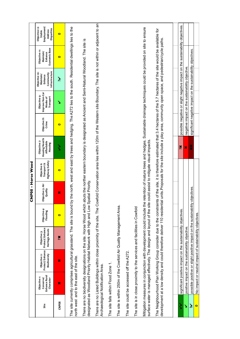|                      |                                                                                                                                                                                                                                                                                                                                                                       |                                                                   |                                                    |                          | CNP08 - Horse Wood          |                                                      |                                                                                                                 |                       |                                                               |                                                                      |                                                                               |                                                                  |
|----------------------|-----------------------------------------------------------------------------------------------------------------------------------------------------------------------------------------------------------------------------------------------------------------------------------------------------------------------------------------------------------------------|-------------------------------------------------------------------|----------------------------------------------------|--------------------------|-----------------------------|------------------------------------------------------|-----------------------------------------------------------------------------------------------------------------|-----------------------|---------------------------------------------------------------|----------------------------------------------------------------------|-------------------------------------------------------------------------------|------------------------------------------------------------------|
| Site                 | Enhance Rural<br>Objective <sub>1</sub> :<br>Conserve<br>Character                                                                                                                                                                                                                                                                                                    | Protect/Enhance<br>Objective 2:<br>Biodiversity                   | Protect/Enhance<br>Heritage Assets<br>Objective 3: | Objective 4:<br>Flooding | Objective 5: Air<br>Quality | <b>Highway Safety</b><br>Objective 6:<br>Transport & | Housing Need &<br>Objective 7:<br>Affordable<br>Housing                                                         | Objective 8:<br>Crime | Improve Non-Car<br>Objective 9:<br>Transport<br>Modes of      | Infrastructure<br>Objective 10:<br>Community<br>Maintain/<br>Enhance | Economic Base<br>Objective 11:<br>Maintain/<br>Enhance                        | Employment/<br>Objective 12:<br>Disparities<br>Address<br>Stable |
| CNP <sub>08</sub>    | ×                                                                                                                                                                                                                                                                                                                                                                     | ×                                                                 | Xč                                                 | $\bullet$                | ×                           | $\bullet$                                            | ζ                                                                                                               | $\bullet$             | ↘                                                             | نخر                                                                  | $\bullet$                                                                     | $\bullet$                                                        |
|                      | The site currently comprises agricultural grassland. The site is bound I<br>north west and to the east of the site.                                                                                                                                                                                                                                                   |                                                                   |                                                    |                          |                             |                                                      | by the north, west and east by trees and hedging. The A272 lies to the south. Residential dwellings lies to the |                       |                                                               |                                                                      |                                                                               |                                                                  |
|                      | designated as Woodland Priority Habitat Network with High and Low Spatial Priority.<br>There are no biodiversity designations on the site. Horse Wood which                                                                                                                                                                                                           |                                                                   |                                                    |                          |                             |                                                      | abuts the norther eastern boundary is designated as Ancient and Semi-Natural Woodland. The site is              |                       |                                                               |                                                                      |                                                                               |                                                                  |
|                      | There are no Listed Buildings within close proximity of the site. The Cowfold Conservation area lies within 120m of the Western site Boundary. The site is not within or adjacent to an<br>Archaeological Notification Area.                                                                                                                                          |                                                                   |                                                    |                          |                             |                                                      |                                                                                                                 |                       |                                                               |                                                                      |                                                                               |                                                                  |
|                      | The site falls within Flood Zone 1.                                                                                                                                                                                                                                                                                                                                   |                                                                   |                                                    |                          |                             |                                                      |                                                                                                                 |                       |                                                               |                                                                      |                                                                               |                                                                  |
|                      | The site is within 250m of the Cowfold Air Quality Management Area.                                                                                                                                                                                                                                                                                                   |                                                                   |                                                    |                          |                             |                                                      |                                                                                                                 |                       |                                                               |                                                                      |                                                                               |                                                                  |
|                      | The site could be accessed off the A272.                                                                                                                                                                                                                                                                                                                              |                                                                   |                                                    |                          |                             |                                                      |                                                                                                                 |                       |                                                               |                                                                      |                                                                               |                                                                  |
|                      | The site is in close proximity to the services and facilities in Cowfold                                                                                                                                                                                                                                                                                              |                                                                   |                                                    |                          |                             |                                                      |                                                                                                                 |                       |                                                               |                                                                      |                                                                               |                                                                  |
|                      | Mitigation measures in conjunction with development could include the retention of mature trees and hedges. Sustainable drainage techniques could be provided on site to ensure<br>surface water is managed effectively. The design and layout of the site                                                                                                            |                                                                   |                                                    |                          |                             | could assist to mitigate visual impacts              |                                                                                                                 |                       |                                                               |                                                                      |                                                                               |                                                                  |
|                      | The Neighbourhood Plan Working Group consider due to the constraints of the site, it is therefore estimated that 3.4 hectares of the 5.7 hectares of the site would be available for<br>development at a low density and could therefore deliver 110 residential units. Proposals for the site include a play area, community open space, and pedestrian/cycle paths. |                                                                   |                                                    |                          |                             |                                                      |                                                                                                                 |                       |                                                               |                                                                      |                                                                               |                                                                  |
|                      |                                                                                                                                                                                                                                                                                                                                                                       |                                                                   |                                                    |                          |                             |                                                      |                                                                                                                 |                       |                                                               |                                                                      |                                                                               |                                                                  |
|                      |                                                                                                                                                                                                                                                                                                                                                                       |                                                                   |                                                    |                          |                             |                                                      |                                                                                                                 |                       |                                                               |                                                                      |                                                                               |                                                                  |
| ゝ                    |                                                                                                                                                                                                                                                                                                                                                                       | significant positive impact on the sustainability objectives.     |                                                    |                          |                             |                                                      | Xč                                                                                                              |                       |                                                               |                                                                      | possible negative or slight negative impact on the sustainability objectives. |                                                                  |
| Š                    |                                                                                                                                                                                                                                                                                                                                                                       | positive impact on the sustainability objective.                  |                                                    |                          |                             |                                                      | ×                                                                                                               |                       | negative impact on the sustainability objective               |                                                                      |                                                                               |                                                                  |
| $\tilde{\bm{\zeta}}$ |                                                                                                                                                                                                                                                                                                                                                                       | possible positive or slight positive impact on the sustainability |                                                    |                          | objectives.                 |                                                      | ×                                                                                                               |                       | significant negative impact on the sustainability objectives. |                                                                      |                                                                               |                                                                  |
| $\bullet$            |                                                                                                                                                                                                                                                                                                                                                                       | No impact or neutral impact of sustainability objectives          |                                                    |                          |                             |                                                      |                                                                                                                 |                       |                                                               |                                                                      |                                                                               |                                                                  |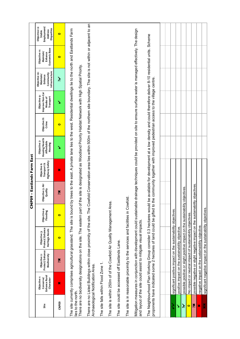|                                |                                                                                                                                                                                                                               |                                                                              |                                                    |                          | <b>OONDOO</b>               | - Eastlands Farm East                                |                                                         |                       |                                                                                                                                                                                          |                                                                      |                                                       |                                                                         |
|--------------------------------|-------------------------------------------------------------------------------------------------------------------------------------------------------------------------------------------------------------------------------|------------------------------------------------------------------------------|----------------------------------------------------|--------------------------|-----------------------------|------------------------------------------------------|---------------------------------------------------------|-----------------------|------------------------------------------------------------------------------------------------------------------------------------------------------------------------------------------|----------------------------------------------------------------------|-------------------------------------------------------|-------------------------------------------------------------------------|
| Site                           | Enhance Rural<br>Objective <sub>1</sub> :<br>Conserve/<br>Character                                                                                                                                                           | Protect/Enhance<br>Biodiversity<br>Objective 2:                              | Protect/Enhance<br>Heritage Assets<br>Objective 3: | Objective 4:<br>Flooding | Objective 5: Air<br>Quality | <b>Highway Safety</b><br>Transport &<br>Objective 6: | Housing Need &<br>Objective 7:<br>Affordable<br>Housing | Objective 8:<br>Crime | Improve Non-Car<br>Objective 9:<br>Transport<br>Modes of                                                                                                                                 | Infrastructure<br>Objective 10:<br>Community<br>Maintain/<br>Enhance | Economic Base<br>Objective 11:<br>Maintain<br>Enhance | Employment/<br>Objective 12:<br>Disparities<br>Address<br><b>Stable</b> |
| CNP <sub>09</sub>              | ×                                                                                                                                                                                                                             | Xč                                                                           | $\bullet$                                          | $\bullet$                | Xč                          | $\boldsymbol{\varkappa}$                             | ↘                                                       | $\bullet$             | ↘                                                                                                                                                                                        | نخر                                                                  | $\bullet$                                             | $\bullet$                                                               |
|                                | The site currently comprises agricultural grassland. The site is bound                                                                                                                                                        |                                                                              |                                                    |                          |                             |                                                      |                                                         |                       | by trees to the east. A private lane lies to the west. Residential dwellings lie to the north and Eastlands Farm                                                                         |                                                                      |                                                       |                                                                         |
| lies to the north.             | There are no biodiversity designations on the site. The eastern part of                                                                                                                                                       |                                                                              |                                                    |                          |                             |                                                      |                                                         |                       | the site is designated as Woodland Priority Habitat Network with High Spatial Priority.                                                                                                  |                                                                      |                                                       |                                                                         |
|                                | There are no Listed Buildings within close proximity of the site. The Cowfold Conservation area lies within 500m of the northern site boundary. The site is not within or adjacent to an<br>Archaeological Notification Area. |                                                                              |                                                    |                          |                             |                                                      |                                                         |                       |                                                                                                                                                                                          |                                                                      |                                                       |                                                                         |
|                                | The site falls within Flood Zone 1.                                                                                                                                                                                           |                                                                              |                                                    |                          |                             |                                                      |                                                         |                       |                                                                                                                                                                                          |                                                                      |                                                       |                                                                         |
|                                | The site is within 250m of of the Cowfold Air Quality Management Are                                                                                                                                                          |                                                                              |                                                    |                          | ത്                          |                                                      |                                                         |                       |                                                                                                                                                                                          |                                                                      |                                                       |                                                                         |
|                                | The site could be accessed off Eastlands Lane.                                                                                                                                                                                |                                                                              |                                                    |                          |                             |                                                      |                                                         |                       |                                                                                                                                                                                          |                                                                      |                                                       |                                                                         |
|                                | The site is in reasonable proximity to the services and facilities in Cowfold                                                                                                                                                 |                                                                              |                                                    |                          |                             |                                                      |                                                         |                       |                                                                                                                                                                                          |                                                                      |                                                       |                                                                         |
|                                | Mitigation measures in conjunction with development could sustainab<br>and layout of the site could assist to mitigate visual impacts.                                                                                        |                                                                              |                                                    |                          |                             |                                                      |                                                         |                       | e drainage techniques could be provided on site to ensure surface water is managed effectively. The design                                                                               |                                                                      |                                                       |                                                                         |
|                                | The Neighbourhood Plan Working Group consider 0.3 hectares would<br>proponents have indicated some 2 hectares of land could be gifted to                                                                                      |                                                                              |                                                    |                          |                             |                                                      |                                                         |                       | be available for development at a low density and could therefore deliver 8-10 residential units. Scheme<br>the community together with improved pedestrian access to the village centre |                                                                      |                                                       |                                                                         |
|                                |                                                                                                                                                                                                                               |                                                                              |                                                    |                          |                             |                                                      |                                                         |                       |                                                                                                                                                                                          |                                                                      |                                                       |                                                                         |
| ś                              |                                                                                                                                                                                                                               | significant positive impact on the sustainability objectives.                |                                                    |                          |                             |                                                      |                                                         |                       |                                                                                                                                                                                          |                                                                      |                                                       |                                                                         |
| ٧                              |                                                                                                                                                                                                                               | positive impact on the sustainability objective.                             |                                                    |                          |                             |                                                      |                                                         |                       |                                                                                                                                                                                          |                                                                      |                                                       |                                                                         |
| $\tilde{\tilde{\bm{\lambda}}}$ |                                                                                                                                                                                                                               | possible positive or slight positive impact on the sustainability            |                                                    |                          | / objectives                |                                                      |                                                         |                       |                                                                                                                                                                                          |                                                                      |                                                       |                                                                         |
| $\bullet$                      |                                                                                                                                                                                                                               | No impact or neutral impact of sustainability objectives.                    |                                                    |                          |                             |                                                      |                                                         |                       |                                                                                                                                                                                          |                                                                      |                                                       |                                                                         |
| Xč                             |                                                                                                                                                                                                                               | possible negative or slight negative impact on the sustainability objectives |                                                    |                          |                             |                                                      |                                                         |                       |                                                                                                                                                                                          |                                                                      |                                                       |                                                                         |
| ×                              |                                                                                                                                                                                                                               | negative impact on the sustainability objective.                             |                                                    |                          |                             |                                                      |                                                         |                       |                                                                                                                                                                                          |                                                                      |                                                       |                                                                         |
| ×                              |                                                                                                                                                                                                                               | significant negative impact on the sustainability objectives.                |                                                    |                          |                             |                                                      |                                                         |                       |                                                                                                                                                                                          |                                                                      |                                                       |                                                                         |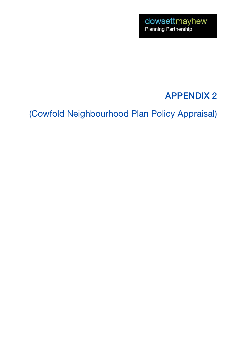## APPENDIX 2

(Cowfold Neighbourhood Plan Policy Appraisal)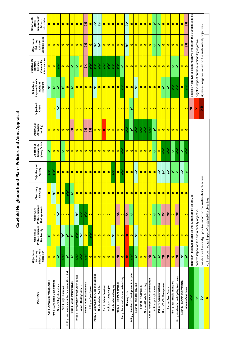| i                                               |
|-------------------------------------------------|
| ۱                                               |
| Nucles and L<br>֦֧֦֧֦֧֦֧֦֧֦֧֦֧֦֧֦֧֦֧֦֧֦֧֦֧֦֧֦֬֕ |
| 5                                               |
| Ξ                                               |
| i<br>١                                          |

| Policy/Aim                                        | Enhance Rural<br>Character<br>Objective 1:<br>Conserve/ | Protect/Enhance<br>Biodiversity<br>Objective 2:  | Protect/Enhance<br>Heritage Assets<br>Objective 3:                            | Objective 4:<br>Flooding | Objective 5: Air<br>Quality | Highway Safety<br>Objective 6:<br>Transport & | Objective 7:<br>Affordable<br>Housing | Objective 8:<br>Crime | Improve Non-Car<br>Objective 9:<br>Transport<br>Modes of | Infrastructure<br>Objective 10:<br>Maintain/<br>Community<br>Enhance | Economic Base<br>Objective 11:<br>Maintain/<br>Enhance               | Employment/<br>Objective 12:<br>Disparities<br>Address<br><b>Stable</b> |
|---------------------------------------------------|---------------------------------------------------------|--------------------------------------------------|-------------------------------------------------------------------------------|--------------------------|-----------------------------|-----------------------------------------------|---------------------------------------|-----------------------|----------------------------------------------------------|----------------------------------------------------------------------|----------------------------------------------------------------------|-------------------------------------------------------------------------|
| Aim 1 - Air Quality Management                    | $\bullet$                                               | ↘                                                | $\bullet$                                                                     | $\bullet$                | ź                           | ↘                                             | $\bullet$                             | $\bullet$             | نز                                                       | $\bullet$                                                            | $\bullet$                                                            | $\bullet$                                                               |
| Aim 2 - Sustainable Development                   | $\bullet$                                               | $\bullet$                                        | $\bullet$                                                                     | نخر                      | ડે                          | $\bullet$                                     | $\bullet$                             | $\bullet$             | ↘                                                        | $\bullet$                                                            | $\bullet$                                                            | $\bullet$                                                               |
| Aim 3 - Village Amenities                         | $\blacktriangleright$                                   | $\bullet$                                        | $\tilde{\bm{z}}$                                                              | $\bullet$                | $\bullet$                   | $\bullet$                                     | $\bullet$                             | $\tilde{\bm{z}}$      | ↘                                                        | P,                                                                   | $\bullet$                                                            | $\bullet$                                                               |
| Aim 4 - Light Pollution                           | ź                                                       | $\tilde{\tilde{\mathbf{v}}}$                     | $\bullet$                                                                     | $\bullet$                | $\bullet$                   | ↘                                             | $\bullet$                             | $\bullet$             | ↘                                                        | $\bullet$                                                            | $\bullet$                                                            | $\bullet$                                                               |
| Policy 1 - Groundwater & Surface Water Flood Risk | $\blacktriangleright$                                   | ↘                                                | $\bullet$                                                                     | ζ                        | $\bullet$                   | $\bullet$                                     | $\bullet$                             | $\bullet$             | $\bullet$                                                | $\bullet$                                                            | $\bullet$                                                            | $\bullet$                                                               |
| Policy 2 - Green Infrastructure                   | N                                                       | Š                                                | $\bullet$                                                                     | ↘                        | $\bullet$                   | $\bullet$                                     | 笎                                     | $\bullet$             | ↘                                                        | ↘                                                                    | $\bullet$                                                            | $\bullet$                                                               |
| Policy 3 - Protection of Local Green Spaces       | ź                                                       | ζ                                                | $\tilde{\mathbf{y}}$                                                          | $\bullet$                | $\bullet$                   | $\bullet$                                     | $\bullet$                             | $\bullet$             | $\bullet$                                                | ↘                                                                    | $\bullet$                                                            | $\bullet$                                                               |
| Aim 5 - Heritage Assets                           | ź                                                       | $\tilde{\bm{\lambda}}$                           | ź                                                                             | $\bullet$                | $\bullet$                   | $\bullet$                                     | $\bullet$                             | $\bullet$             | $\bullet$                                                | $\bullet$                                                            | $\bullet$                                                            | $\bullet$                                                               |
| Policy 4 - Conservation Area                      | ś                                                       | $\bullet$                                        | Ş                                                                             | $\bullet$                | $\bullet$                   | $\bullet$                                     | $\mathbf{x}$                          | $\bullet$             | $\bullet$                                                | 签                                                                    | $\ddot{\bm{x}}$                                                      | ×č                                                                      |
| Policy 5 - Open Space                             | $\bullet$                                               | ゞ                                                | $\bullet$                                                                     | $\bullet$                | $\bullet$                   | $\bullet$                                     | 瓮                                     | $\bullet$             | $\bullet$                                                | ź                                                                    | $\bullet$                                                            | $\bullet$                                                               |
| Policy 6 - Community Services and Facilities      | $\bullet$                                               | $\bullet$                                        | $\bullet$                                                                     | $\bullet$                | $\bullet$                   | $\bullet$                                     | $\bullet$                             | $\bullet$             | نز                                                       | ź                                                                    | نز                                                                   | نخر                                                                     |
| Aim 6 - Medical Facilities                        | $\bullet$                                               | $\bullet$                                        | $\bullet$                                                                     | $\bullet$                | $\bullet$                   | $\bullet$                                     | $\bullet$                             | $\bullet$             | $\bullet$                                                | ź                                                                    | نز                                                                   | $\tilde{\bm{z}}$                                                        |
| Aim 7 - School Provision                          | $\bullet$                                               | $\bullet$                                        | $\bullet$                                                                     | $\bullet$                | $\bullet$                   | $\bullet$                                     | ×                                     | $\bullet$             | $\bullet$                                                | ミ                                                                    | $\bullet$                                                            | $\bullet$                                                               |
| Policy 7 - Young People                           | $\bullet$                                               | $\bullet$                                        | $\bullet$                                                                     | $\bullet$                | $\bullet$                   | $\bullet$                                     | $\bullet$                             | $\bullet$             | $\bullet$                                                | ź                                                                    | $\bullet$                                                            | $\bullet$                                                               |
| Aim 8 - Vehicle Charging                          | $\bullet$                                               | $\tilde{\bm{v}}$                                 | $\bullet$                                                                     | $\overline{\bullet}$     | ડે                          | $\bullet$                                     | $\bullet$                             | $\bullet$             | $\bullet$                                                | ડે                                                                   | $\bullet$                                                            | $\bullet$                                                               |
| Policy 8 - Potters Allotments                     | ×                                                       | $\bullet$                                        | 笑                                                                             | $\bullet$                | $\bullet$                   | $\bullet$                                     | $\bullet$                             | $\bullet$             | $\bullet$                                                | ζ                                                                    | $\bullet$                                                            | $\bullet$                                                               |
| Aim 9 - Community Infrastructure Levy             | $\bullet$                                               | $\bullet$                                        | $\bullet$                                                                     | $\bullet$                | Ş                           | è                                             | $\bullet$                             | $\bullet$             | э                                                        | ↘                                                                    | $\bullet$                                                            | $\bullet$                                                               |
| Housing Need                                      | $\boldsymbol{\ast}$                                     | $\boldsymbol{\ast}$                              | $\mathbf{x}$                                                                  | $\bullet$                | $\bullet$                   | $\bullet$                                     | ડે                                    | $\bullet$             | $\bullet$                                                | $\bullet$                                                            | $\tilde{\bm{z}}$                                                     | نز                                                                      |
| Policy 9 - Residential Development Principles     | ζ                                                       | $\bullet$                                        | ↘                                                                             | $\bullet$                | $\bullet$                   | $\bullet$                                     | ↘                                     | ♦                     | $\bullet$                                                | $\bullet$                                                            | $\bullet$                                                            | $\bullet$                                                               |
| Policy 10 - Windfall Housing                      | ↘                                                       | $\tilde{\bm{z}}$                                 | $\bullet$                                                                     | $\bullet$                | $\tilde{\bm{z}}$            | $\bullet$                                     | Ş                                     | $\bullet$             | نز                                                       | $\bullet$                                                            | $\bullet$                                                            | $\bullet$                                                               |
| Policy 13 - Housing Mix                           | $\bullet$                                               | $\bullet$                                        | $\bullet$                                                                     | $\bullet$                | $\bullet$                   | $\bullet$                                     | Ş                                     | $\bullet$             | $\bullet$                                                | $\bullet$                                                            | $\bullet$                                                            | $\bullet$                                                               |
| Aim 10 - Affordable Housing                       | $\bullet$                                               | $\bullet$                                        | $\bullet$                                                                     | $\bullet$                | $\bullet$                   | $\bullet$                                     | ζ                                     | $\bullet$             | $\bullet$                                                | $\bullet$                                                            | $\bullet$                                                            | $\bullet$                                                               |
| Aim 11 - Retirement Accommodation                 | ×č                                                      | $\bullet$                                        | $\bullet$                                                                     | $\bullet$                | $\bullet$                   | $\bullet$                                     | è                                     | $\bullet$             | $\bullet$                                                | $\bullet$                                                            | $\bullet$                                                            | $\bullet$                                                               |
| Policy 14 - Employment                            | Š                                                       | $\bullet$                                        | ↘                                                                             | $\bullet$                | $\bullet$                   | ↘                                             | ↘                                     | $\bullet$             | $\bullet$                                                | $\bullet$                                                            | ↘                                                                    | ↘                                                                       |
| Policy 15 - Communications                        | N                                                       | $\bullet$                                        | ↘                                                                             | $\bullet$                | تر                          | $\bullet$                                     | $\bullet$                             | $\bullet$             | $\bullet$                                                | $\bullet$                                                            | Z                                                                    | ъ                                                                       |
| Aim 12 - Traffic Management                       | 笑                                                       | $\bullet$                                        | $\mathbf{x}$                                                                  | $\bullet$                | ž                           | Ş                                             | $\bullet$                             | $\bullet$             | ♦                                                        | $\bullet$                                                            | $\bullet$                                                            | $\bullet$                                                               |
| Aim 13 - Road Safety                              | 笑                                                       | $\bullet$                                        | $\mathbf{x}$                                                                  | $\bullet$                | نز                          | Ş                                             | $\bullet$                             | $\bullet$             | ↘                                                        | $\bullet$                                                            | $\bullet$                                                            | $\bullet$                                                               |
| Aim 14 - Sustainable Transport                    | $\bullet$                                               | $\bullet$                                        | $\bullet$                                                                     | $\bullet$                | ↘                           | ↘                                             | $\bullet$                             | $\bullet$             | ζ                                                        | ↘                                                                    | $\bullet$                                                            | $\bullet$                                                               |
| Aim 15 - Pedestrian and Cycling Environment       | $\mathbf{\tilde{x}}$                                    | $\bullet$                                        | $\mathbf{\tilde{x}}$                                                          | $\bullet$                | ↘                           | ડૈ                                            | $\bullet$                             | $\bullet$             | è                                                        | Δ                                                                    | $\bullet$                                                            | $\bullet$                                                               |
| Policy 16 - Car Parking Provision                 | $\tilde{\bm{z}}$                                        | $\bullet$                                        | $\bullet$                                                                     | $\bullet$                | نخر                         | ↘                                             | $\bullet$                             | $\bullet$             | $\bullet$                                                | $\bullet$                                                            | $\bullet$                                                            | $\bullet$                                                               |
| Aim 16 - Quiet Lanes                              | Z                                                       | $\bullet$                                        | $\bullet$                                                                     | $\bullet$                | ↘                           |                                               | $\circ$                               | $\bullet$             |                                                          | $\bullet$                                                            | ×                                                                    | 蓔                                                                       |
| ζ                                                 |                                                         |                                                  | significant positive impact on the sustainability objectives.                 |                          |                             |                                               |                                       | ×                     |                                                          |                                                                      | possible negative or slight negative impact on the sustainability ob |                                                                         |
| ↘                                                 |                                                         | positive impact on the sustainability objective. |                                                                               |                          |                             |                                               |                                       | ×                     |                                                          | negative impact on the sustainability objective.                     |                                                                      |                                                                         |
| $\tilde{\bm{z}}$                                  |                                                         |                                                  | possible positive or slight positive impact on the sustainability objectives. |                          |                             |                                               |                                       | ××                    |                                                          |                                                                      | significant negative impact on the sustainability objectives.        |                                                                         |
| $\bullet$                                         |                                                         |                                                  | No impact or neutral impact of sustainability objectives.                     |                          |                             |                                               |                                       |                       |                                                          |                                                                      |                                                                      |                                                                         |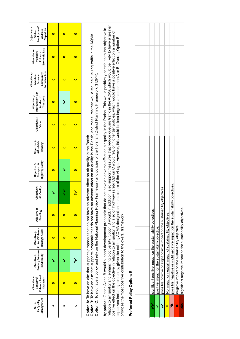| Management<br>Air Quality<br>Aim 1- | Enhance Rural<br>Objective 1:<br>Conserve/<br>Character                                                                                                                                                                                                                                                                                                                                                                                                                                                                                                                                                  | Protect/Enhance<br>Biodiversity<br>Objective 2:  | Protect/Enhance<br>Heritage Assets<br>Objective 3:                           | Objective 4:<br>Flooding | Objective 5:<br>Air Quality | Highway Safety<br>Transport &<br>Objective 6:                                                                                                                                                                                | Objective 7:<br>Affordable<br>Housing | Objective 8:<br>Crime | Improve Non-Car<br>Objective 9:<br>Transport<br>Modes of | Infrastructure<br>Objective 10:<br>Community<br>Maintain/<br>Enhance | Economic Base<br>Objective 11:<br>Maintain/<br>Enhance | Employment/<br>Objective 12:<br>Disparities<br>Address<br><b>Stable</b> |
|-------------------------------------|----------------------------------------------------------------------------------------------------------------------------------------------------------------------------------------------------------------------------------------------------------------------------------------------------------------------------------------------------------------------------------------------------------------------------------------------------------------------------------------------------------------------------------------------------------------------------------------------------------|--------------------------------------------------|------------------------------------------------------------------------------|--------------------------|-----------------------------|------------------------------------------------------------------------------------------------------------------------------------------------------------------------------------------------------------------------------|---------------------------------------|-----------------------|----------------------------------------------------------|----------------------------------------------------------------------|--------------------------------------------------------|-------------------------------------------------------------------------|
| ⋖                                   | $\bullet$                                                                                                                                                                                                                                                                                                                                                                                                                                                                                                                                                                                                |                                                  | $\bullet$                                                                    | $\bullet$                |                             | $\bullet$                                                                                                                                                                                                                    | $\bullet$                             | $\bullet$             | $\bullet$                                                | $\bullet$                                                            | $\bullet$                                              | $\bullet$                                                               |
| m                                   | $\bullet$                                                                                                                                                                                                                                                                                                                                                                                                                                                                                                                                                                                                |                                                  | $\bullet$                                                                    | $\bullet$                | ζ                           |                                                                                                                                                                                                                              | $\bullet$                             | $\bullet$             | نخر                                                      | $\bullet$                                                            | $\bullet$                                              | $\bullet$                                                               |
| ں                                   | $\bullet$                                                                                                                                                                                                                                                                                                                                                                                                                                                                                                                                                                                                | نځ                                               | $\bullet$                                                                    | $\bullet$                | ڿ                           | $\bullet$                                                                                                                                                                                                                    | $\bullet$                             | $\bullet$             | 0                                                        | 0                                                                    | $\bullet$                                              | $\bullet$                                                               |
|                                     | Option C: To not have a policy and rely on the National Planning Policy Framework and policies of the Horsham District Planning Framework (HDPF)<br>Option A: To have an aim that supports proposals that do not have an<br>Option B: To have an aim that supports proposals that do not have an                                                                                                                                                                                                                                                                                                         |                                                  |                                                                              |                          |                             | adverse effect on air quality in the Parish, and measures that would reduce queuing traffic in the AQMA.<br>adverse effect on air quality in the Parish.                                                                     |                                       |                       |                                                          |                                                                      |                                                        |                                                                         |
|                                     | relation to air quality and enhancing biodiversity. Option B would, in addition, also support measures that reduce queuing traffic in the AQMA which would be likely to have a greater<br>positive effect on the objective in relation to air quality, and also on highway safety. Option C would rely on higher tier policies, which would have a positive effect on a number of<br>objectives including air quality, given the existing AQMA designation in<br>Appraisal: Option A and B would support development proposals that<br>provides the most positive contribution to the overall framework. |                                                  |                                                                              |                          |                             | do not have an adverse effect on air quality in the Parish. This would positively contribute to the objective in<br>the centre of the village. However, this would be less targeted an option than A or B. Overall, Option B |                                       |                       |                                                          |                                                                      |                                                        |                                                                         |
|                                     | Preferred Policy Option: B                                                                                                                                                                                                                                                                                                                                                                                                                                                                                                                                                                               |                                                  |                                                                              |                          |                             |                                                                                                                                                                                                                              |                                       |                       |                                                          |                                                                      |                                                        |                                                                         |
|                                     |                                                                                                                                                                                                                                                                                                                                                                                                                                                                                                                                                                                                          |                                                  |                                                                              |                          |                             |                                                                                                                                                                                                                              |                                       |                       |                                                          |                                                                      |                                                        |                                                                         |
|                                     |                                                                                                                                                                                                                                                                                                                                                                                                                                                                                                                                                                                                          |                                                  |                                                                              |                          |                             |                                                                                                                                                                                                                              |                                       |                       |                                                          |                                                                      |                                                        |                                                                         |
| ź                                   |                                                                                                                                                                                                                                                                                                                                                                                                                                                                                                                                                                                                          |                                                  | significant positive impact on the sustainability objectives.                |                          |                             |                                                                                                                                                                                                                              |                                       |                       |                                                          |                                                                      |                                                        |                                                                         |
| Š                                   |                                                                                                                                                                                                                                                                                                                                                                                                                                                                                                                                                                                                          | positive impact on the sustainability objective. |                                                                              |                          |                             |                                                                                                                                                                                                                              |                                       |                       |                                                          |                                                                      |                                                        |                                                                         |
| نځ                                  |                                                                                                                                                                                                                                                                                                                                                                                                                                                                                                                                                                                                          |                                                  | possible positive or slight positive impact on the sustainability            |                          | objectives                  |                                                                                                                                                                                                                              |                                       |                       |                                                          |                                                                      |                                                        |                                                                         |
| $\bullet$                           |                                                                                                                                                                                                                                                                                                                                                                                                                                                                                                                                                                                                          |                                                  | No impact or neutral impact of sustainability objectives                     |                          |                             |                                                                                                                                                                                                                              |                                       |                       |                                                          |                                                                      |                                                        |                                                                         |
| ×č                                  |                                                                                                                                                                                                                                                                                                                                                                                                                                                                                                                                                                                                          |                                                  | possible negative or slight negative impact on the sustainability objectives |                          |                             |                                                                                                                                                                                                                              |                                       |                       |                                                          |                                                                      |                                                        |                                                                         |
| ×                                   |                                                                                                                                                                                                                                                                                                                                                                                                                                                                                                                                                                                                          |                                                  | negative impact on the sustainability objective.                             |                          |                             |                                                                                                                                                                                                                              |                                       |                       |                                                          |                                                                      |                                                        |                                                                         |
| ××                                  |                                                                                                                                                                                                                                                                                                                                                                                                                                                                                                                                                                                                          |                                                  | significant negative impact on the sustainability objectives.                |                          |                             |                                                                                                                                                                                                                              |                                       |                       |                                                          |                                                                      |                                                        |                                                                         |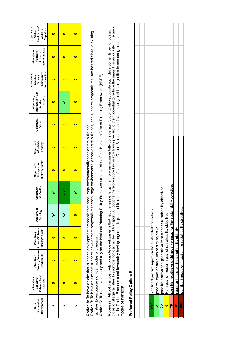| Development<br>Sustainable<br>Aim 2: | Enhance Rural<br>Objective <sub>1</sub> :<br>Conserve/<br>Character                                                                                                                                                                                                                                                                                                                                                                                                                                                                                            | Protect/Enhance<br>Biodiversity<br>Objective 2:  | Protect/Enhance<br>Heritage Assets<br>Objective 3:                            | Objective 4:<br>Flooding | Objective 5:<br>Air Quality | <b>Highway Safety</b><br>Transport &<br>Objective 6: | Objective 7:<br>Affordable<br>Housing | Objective 8:<br>Crime | Improve Non-Car<br>Objective 9:<br>Transport<br>Modes of | Infrastructure<br>Objective 10:<br>Community<br>Maintain/<br>Enhance | Economic Base<br>Objective 11:<br>Maintain/<br>Enhance | Objective 12:<br>Employment/<br>Disparities<br>Address<br><b>Stable</b> |
|--------------------------------------|----------------------------------------------------------------------------------------------------------------------------------------------------------------------------------------------------------------------------------------------------------------------------------------------------------------------------------------------------------------------------------------------------------------------------------------------------------------------------------------------------------------------------------------------------------------|--------------------------------------------------|-------------------------------------------------------------------------------|--------------------------|-----------------------------|------------------------------------------------------|---------------------------------------|-----------------------|----------------------------------------------------------|----------------------------------------------------------------------|--------------------------------------------------------|-------------------------------------------------------------------------|
| ⋖                                    | $\bullet$                                                                                                                                                                                                                                                                                                                                                                                                                                                                                                                                                      | $\bullet$                                        | $\bullet$                                                                     | نځ                       |                             | $\bullet$                                            | $\bullet$                             | $\bullet$             | $\bullet$                                                | $\bullet$                                                            | $\bullet$                                              | $\bullet$                                                               |
| B                                    | $\bullet$                                                                                                                                                                                                                                                                                                                                                                                                                                                                                                                                                      | $\bullet$                                        | $\bullet$                                                                     | نېر                      | ζ                           | $\bullet$                                            | $\bullet$                             | $\bullet$             |                                                          | 0                                                                    | $\bullet$                                              | $\bullet$                                                               |
| Ō                                    | $\bullet$                                                                                                                                                                                                                                                                                                                                                                                                                                                                                                                                                      | $\bullet$                                        | $\bullet$                                                                     | $\bullet$                |                             | $\bullet$                                            | $\bullet$                             | $\bullet$             | $\bullet$                                                | $\bullet$                                                            | $\bullet$                                              | $\bullet$                                                               |
|                                      | Option B: To have aim that supports development proposals that encourage environmentally considerate buildings, and supports proposals that are located close to existing<br>Option A: To have an aim that supports development proposals that encourage environmentally considerate buildings.<br>facilities to encourage non-car modes of transport.                                                                                                                                                                                                         |                                                  |                                                                               |                          |                             |                                                      |                                       |                       |                                                          |                                                                      |                                                        |                                                                         |
|                                      | Option C: To not have a policy and rely on the National Planning Policy Framework and policies of the Horsham District Planning Framework (HDPF).                                                                                                                                                                                                                                                                                                                                                                                                              |                                                  |                                                                               |                          |                             |                                                      |                                       |                       |                                                          |                                                                      |                                                        |                                                                         |
| modes of transport.                  | close to village facilities to promote non-car modes of transport. All options therefore score favourably having regard to their potential to reduce the impact on air quality in the area,<br>Appraisal: All options positively promote developments that require less energy the more environmentally considerate. Option B also supports such developments being located<br>whilst Option B scores most favourably having regard to its potential to reduce the use of cars etc. Option B also scores favourably against the objective to encourage non-car |                                                  |                                                                               |                          |                             |                                                      |                                       |                       |                                                          |                                                                      |                                                        |                                                                         |
|                                      | Preferred Policy Option: B                                                                                                                                                                                                                                                                                                                                                                                                                                                                                                                                     |                                                  |                                                                               |                          |                             |                                                      |                                       |                       |                                                          |                                                                      |                                                        |                                                                         |
|                                      |                                                                                                                                                                                                                                                                                                                                                                                                                                                                                                                                                                |                                                  |                                                                               |                          |                             |                                                      |                                       |                       |                                                          |                                                                      |                                                        |                                                                         |
|                                      |                                                                                                                                                                                                                                                                                                                                                                                                                                                                                                                                                                |                                                  |                                                                               |                          |                             |                                                      |                                       |                       |                                                          |                                                                      |                                                        |                                                                         |
| ミ                                    |                                                                                                                                                                                                                                                                                                                                                                                                                                                                                                                                                                |                                                  | significant positive impact on the sustainability objectives.                 |                          |                             |                                                      |                                       |                       |                                                          |                                                                      |                                                        |                                                                         |
| Š                                    |                                                                                                                                                                                                                                                                                                                                                                                                                                                                                                                                                                | positive impact on the sustainability objective. |                                                                               |                          |                             |                                                      |                                       |                       |                                                          |                                                                      |                                                        |                                                                         |
| نخر                                  |                                                                                                                                                                                                                                                                                                                                                                                                                                                                                                                                                                |                                                  | possible positive or slight positive impact on the sustainability             |                          | objectives.                 |                                                      |                                       |                       |                                                          |                                                                      |                                                        |                                                                         |
| $\bullet$                            |                                                                                                                                                                                                                                                                                                                                                                                                                                                                                                                                                                |                                                  | No impact or neutral impact of sustainability objectives.                     |                          |                             |                                                      |                                       |                       |                                                          |                                                                      |                                                        |                                                                         |
| Xč                                   |                                                                                                                                                                                                                                                                                                                                                                                                                                                                                                                                                                |                                                  | possible negative or slight negative impact on the sustainability objectives. |                          |                             |                                                      |                                       |                       |                                                          |                                                                      |                                                        |                                                                         |
| ×                                    |                                                                                                                                                                                                                                                                                                                                                                                                                                                                                                                                                                |                                                  | negative impact on the sustainability objective.                              |                          |                             |                                                      |                                       |                       |                                                          |                                                                      |                                                        |                                                                         |
| ××                                   |                                                                                                                                                                                                                                                                                                                                                                                                                                                                                                                                                                |                                                  | significant negative impact on the sustainability objectives.                 |                          |                             |                                                      |                                       |                       |                                                          |                                                                      |                                                        |                                                                         |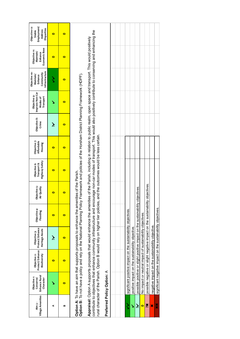| Village Amenities<br>Aim <sub>3</sub> - | Enhance Rural<br>Objective <sub>1</sub> :<br>Character<br>Conserve/                                                                                                                                                                                                                                                                                                                                                                                                                    | Protect/Enhance<br>Biodiversity<br>Objective 2:  | Protect/Enhance<br>Heritage Assets<br>Objective 3:                            | Objective 4:<br>Flooding | Objective 5:<br>Air Quality | Highway Safety<br>Objective 6:<br>Transport & | Objective 7:<br>Affordable<br>Housing | Objective 8:<br>Crime | Improve Non-Car<br>Objective 9:<br>Transport<br>Modes of | Infrastructure<br>Objective 10:<br>Community<br>Maintain/<br>Enhance | Economic Base<br>Objective 11:<br>Maintain/<br>Enhance | Objective 12:<br>Employment/<br>Disparities<br>Address<br>Stable |
|-----------------------------------------|----------------------------------------------------------------------------------------------------------------------------------------------------------------------------------------------------------------------------------------------------------------------------------------------------------------------------------------------------------------------------------------------------------------------------------------------------------------------------------------|--------------------------------------------------|-------------------------------------------------------------------------------|--------------------------|-----------------------------|-----------------------------------------------|---------------------------------------|-----------------------|----------------------------------------------------------|----------------------------------------------------------------------|--------------------------------------------------------|------------------------------------------------------------------|
| ⋖                                       |                                                                                                                                                                                                                                                                                                                                                                                                                                                                                        | $\bullet$                                        | نځ                                                                            | $\bullet$                | 0                           | o                                             | $\bullet$                             | نځ                    |                                                          | ミ                                                                    | $\bullet$                                              | $\bullet$                                                        |
| ≃                                       | $\bullet$                                                                                                                                                                                                                                                                                                                                                                                                                                                                              | $\bullet$                                        | $\bullet$                                                                     | $\bullet$                | $\bullet$                   | $\bullet$                                     | $\bullet$                             | $\bullet$             | $\bullet$                                                | o                                                                    | $\bullet$                                              | $\bullet$                                                        |
|                                         | Option B: To not have a policy and rely on the National Planning Policy Framework and policies of the Horsham District Planning Framework (HDPF).<br><b>Option A:</b> To have an aim that supports proposals to enhance the amenities of the Parish.                                                                                                                                                                                                                                   |                                                  |                                                                               |                          |                             |                                               |                                       |                       |                                                          |                                                                      |                                                        |                                                                  |
|                                         | contribute to objectives that enhance community infrastructure and encourage non-car modes of transport. This would also positively contribute to conserving and enhancing the<br>Appraisal: Option A supports proposals that would enhance the amenities of the Parish, including in relation to public realm, open space and transport. This would positively<br>rural character of the Parish. Option B would rely on higher tier policies, and the outcomes would be less certain. |                                                  |                                                                               |                          |                             |                                               |                                       |                       |                                                          |                                                                      |                                                        |                                                                  |
|                                         | Preferred Policy Option: A                                                                                                                                                                                                                                                                                                                                                                                                                                                             |                                                  |                                                                               |                          |                             |                                               |                                       |                       |                                                          |                                                                      |                                                        |                                                                  |
|                                         |                                                                                                                                                                                                                                                                                                                                                                                                                                                                                        |                                                  |                                                                               |                          |                             |                                               |                                       |                       |                                                          |                                                                      |                                                        |                                                                  |
|                                         |                                                                                                                                                                                                                                                                                                                                                                                                                                                                                        |                                                  |                                                                               |                          |                             |                                               |                                       |                       |                                                          |                                                                      |                                                        |                                                                  |
| ゝ                                       |                                                                                                                                                                                                                                                                                                                                                                                                                                                                                        |                                                  | significant positive impact on the sustainability objectives.                 |                          |                             |                                               |                                       |                       |                                                          |                                                                      |                                                        |                                                                  |
| ↘                                       |                                                                                                                                                                                                                                                                                                                                                                                                                                                                                        | positive impact on the sustainability objective. |                                                                               |                          |                             |                                               |                                       |                       |                                                          |                                                                      |                                                        |                                                                  |
| نځ                                      |                                                                                                                                                                                                                                                                                                                                                                                                                                                                                        |                                                  | possible positive or slight positive impact on the sustainability             |                          | objectives                  |                                               |                                       |                       |                                                          |                                                                      |                                                        |                                                                  |
| o                                       |                                                                                                                                                                                                                                                                                                                                                                                                                                                                                        |                                                  | No impact or neutral impact of sustainability objectives.                     |                          |                             |                                               |                                       |                       |                                                          |                                                                      |                                                        |                                                                  |
| Xč                                      |                                                                                                                                                                                                                                                                                                                                                                                                                                                                                        |                                                  | possible negative or slight negative impact on the sustainability objectives. |                          |                             |                                               |                                       |                       |                                                          |                                                                      |                                                        |                                                                  |
| ×                                       |                                                                                                                                                                                                                                                                                                                                                                                                                                                                                        |                                                  | negative impact on the sustainability objective.                              |                          |                             |                                               |                                       |                       |                                                          |                                                                      |                                                        |                                                                  |
| ×                                       |                                                                                                                                                                                                                                                                                                                                                                                                                                                                                        |                                                  | significant negative impact on the sustainability objectives.                 |                          |                             |                                               |                                       |                       |                                                          |                                                                      |                                                        |                                                                  |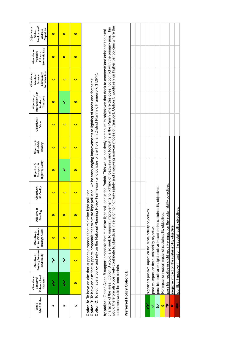| Light Pollution<br>Aim 4 | Enhance Rural<br>Objective 1:<br>Conserve/<br>Character | Protect/Enhance<br>Biodiversity<br>Objective 2: | Protect/Enhance<br>Heritage Assets<br>Objective 3:                                                                                                                                                                                                                                                                                                                                                                                                                                                                                                                   | Objective 4:<br>Flooding | Objective 5:<br>Air Quality | <b>Highway Safety</b><br>Transport &<br>Objective 6: | Objective 7:<br>Affordable<br>Housing | Objective 8:<br>Crime | Improve Non-Car<br>Objective 9:<br>Transport<br>Modes of | Infrastructure<br>Objective 10:<br>Community<br>Maintain/<br>Enhance | Economic Base<br>Objective 11:<br>Maintain/<br>Enhance | Objective 12:<br>Employment/<br>Disparities<br>Address<br>Stable |
|--------------------------|---------------------------------------------------------|-------------------------------------------------|----------------------------------------------------------------------------------------------------------------------------------------------------------------------------------------------------------------------------------------------------------------------------------------------------------------------------------------------------------------------------------------------------------------------------------------------------------------------------------------------------------------------------------------------------------------------|--------------------------|-----------------------------|------------------------------------------------------|---------------------------------------|-----------------------|----------------------------------------------------------|----------------------------------------------------------------------|--------------------------------------------------------|------------------------------------------------------------------|
| ⋖                        |                                                         | نخر                                             | $\bullet$                                                                                                                                                                                                                                                                                                                                                                                                                                                                                                                                                            | $\bullet$                | $\bullet$                   | $\bullet$                                            | $\bullet$                             | $\bullet$             | $\bullet$                                                | $\bullet$                                                            | $\bullet$                                              | $\bullet$                                                        |
| B                        | ミ                                                       | نخر                                             | $\bullet$                                                                                                                                                                                                                                                                                                                                                                                                                                                                                                                                                            | $\bullet$                | $\bullet$                   |                                                      | $\bullet$                             | $\bullet$             |                                                          | $\bullet$                                                            | $\bullet$                                              | $\bullet$                                                        |
| C                        | 0                                                       | $\bullet$                                       | $\bullet$                                                                                                                                                                                                                                                                                                                                                                                                                                                                                                                                                            | $\bullet$                | $\bullet$                   | $\bullet$                                            | $\bullet$                             | $\bullet$             | $\bullet$                                                | 0                                                                    | $\bullet$                                              | $\bullet$                                                        |
|                          |                                                         |                                                 | Option C: To not have a policy and rely on the National Planning Policy Framework and policies of the Horsham District Planning Framework (HDPF).<br>Option B: To have an aim that supports proposals that minimise light pollution, whilst encouraging improvements to lighting of roads and footpaths.<br>Option A: To have an aim that supports proposals that minimise light pollution.                                                                                                                                                                          |                          |                             |                                                      |                                       |                       |                                                          |                                                                      |                                                        |                                                                  |
|                          | outcomes would be less certain.                         |                                                 | would therefore also positively contribute to objectives in relation to highway safety and improving non-car modes of transport. Option C would rely on higher tier policies where the<br>character of the area. Option B would also seek to support improvements to lighting of roadways and footpaths in the Parish where this does not conflict with the primary aim. This<br>Appraisal: Option A and B support proposals that minimise light pollution in the Parish. This would positively contribute to objectives that seek to conserve and enhance the rural |                          |                             |                                                      |                                       |                       |                                                          |                                                                      |                                                        |                                                                  |
|                          | Preferred Policy Option: B                              |                                                 |                                                                                                                                                                                                                                                                                                                                                                                                                                                                                                                                                                      |                          |                             |                                                      |                                       |                       |                                                          |                                                                      |                                                        |                                                                  |
|                          |                                                         |                                                 |                                                                                                                                                                                                                                                                                                                                                                                                                                                                                                                                                                      |                          |                             |                                                      |                                       |                       |                                                          |                                                                      |                                                        |                                                                  |
| ミ                        |                                                         |                                                 | significant positive impact on the sustainability objectives.                                                                                                                                                                                                                                                                                                                                                                                                                                                                                                        |                          |                             |                                                      |                                       |                       |                                                          |                                                                      |                                                        |                                                                  |
| Š                        |                                                         |                                                 | positive impact on the sustainability objective.                                                                                                                                                                                                                                                                                                                                                                                                                                                                                                                     |                          |                             |                                                      |                                       |                       |                                                          |                                                                      |                                                        |                                                                  |
| Ž                        |                                                         |                                                 | possible positive or slight positive impact on the sustainability                                                                                                                                                                                                                                                                                                                                                                                                                                                                                                    |                          | objectives.                 |                                                      |                                       |                       |                                                          |                                                                      |                                                        |                                                                  |
| $\bullet$                |                                                         |                                                 | No impact or neutral impact of sustainability objectives.                                                                                                                                                                                                                                                                                                                                                                                                                                                                                                            |                          |                             |                                                      |                                       |                       |                                                          |                                                                      |                                                        |                                                                  |
| ×                        |                                                         |                                                 | possible negative or slight negative impact on the sustainability objectives.                                                                                                                                                                                                                                                                                                                                                                                                                                                                                        |                          |                             |                                                      |                                       |                       |                                                          |                                                                      |                                                        |                                                                  |
| ×                        |                                                         |                                                 | negative impact on the sustainability objective.                                                                                                                                                                                                                                                                                                                                                                                                                                                                                                                     |                          |                             |                                                      |                                       |                       |                                                          |                                                                      |                                                        |                                                                  |

significant negative impact on the sustainability objectives. ✖✖ significant negative impact on the sustainability objectives.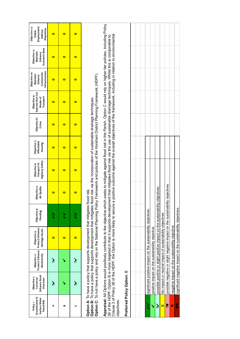| Groundwater &<br>Surface Water<br><b>Flood Risk</b><br>Policy <sub>1</sub> - | Enhance Rural<br>Objective t:<br>Character<br>Conserve/ | Protect/Enhance<br>Biodiversity<br>Objective 2:  | Protect/Enhance<br>Heritage Assets<br>Objective 3:                                                                                                                                                                                                                                                                                                                                                                                                                                                                                                                   | Objective 4:<br>Flooding | Objective 5:<br>Air Quality | <b>Highway Safety</b><br>Transport &<br>Objective 6: | Objective 7:<br>Affordable<br>Housing | Objective 8:<br>Crime | Improve Non-Car<br>Objective 9:<br>Modes of<br>Transport | Infrastructure<br>Objective 10:<br>Community<br>Maintain/<br>Enhance | Economic Base<br>Objective 11:<br>Maintain/<br>Enhance | Objective 12:<br>Employment/<br>Disparities<br>Address<br>Stable |
|------------------------------------------------------------------------------|---------------------------------------------------------|--------------------------------------------------|----------------------------------------------------------------------------------------------------------------------------------------------------------------------------------------------------------------------------------------------------------------------------------------------------------------------------------------------------------------------------------------------------------------------------------------------------------------------------------------------------------------------------------------------------------------------|--------------------------|-----------------------------|------------------------------------------------------|---------------------------------------|-----------------------|----------------------------------------------------------|----------------------------------------------------------------------|--------------------------------------------------------|------------------------------------------------------------------|
| ⋖                                                                            | نۇ                                                      | نخر                                              | $\bullet$                                                                                                                                                                                                                                                                                                                                                                                                                                                                                                                                                            | ζ                        | $\bullet$                   | $\bullet$                                            | $\bullet$                             | $\bullet$             | $\bullet$                                                | $\bullet$                                                            | $\bullet$                                              | $\bullet$                                                        |
| B                                                                            |                                                         |                                                  | $\bullet$                                                                                                                                                                                                                                                                                                                                                                                                                                                                                                                                                            | ζ                        | $\bullet$                   | $\bullet$                                            | $\bullet$                             | $\bullet$             | 0                                                        | $\bullet$                                                            | $\bullet$                                              | 0                                                                |
| ပ                                                                            | نځ                                                      | نځ                                               | $\bullet$                                                                                                                                                                                                                                                                                                                                                                                                                                                                                                                                                            | ζ                        | $\bullet$                   | $\bullet$                                            | $\bullet$                             | $\bullet$             | $\bullet$                                                | $\bullet$                                                            | $\bullet$                                              | $\bullet$                                                        |
|                                                                              |                                                         |                                                  | Option C: To not have a policy and rely on the National Planning Policy Framework and policies of the Horsham District Planning Framework (HDPF).<br>Option B: To have a policy that supports development that mitigates flood risk via the incorporation of sustainable drainage techniques.<br>Option A: To have a policy that supports development that mitigates flood risk.                                                                                                                                                                                     |                          |                             |                                                      |                                       |                       |                                                          |                                                                      |                                                        |                                                                  |
| objectives.                                                                  |                                                         |                                                  | Appraisal: All Options would positively contribute to the objective which seeks to mitigate against flood risk in the Parish. Option C would rely on higher tier policies, including Policy<br>Clause 3 of Policy 38 of the HDPF, the Option is more likely to secure a positive outcome against the overall objectives of the framework, including in relation to environmental<br>38 of the HDPF. Option B is more targeted in that it supports development that mitigates flood risk via the use of sustainable drainage techniques. Whilst this is comparable to |                          |                             |                                                      |                                       |                       |                                                          |                                                                      |                                                        |                                                                  |
|                                                                              | Preferred Policy Option: B                              |                                                  |                                                                                                                                                                                                                                                                                                                                                                                                                                                                                                                                                                      |                          |                             |                                                      |                                       |                       |                                                          |                                                                      |                                                        |                                                                  |
|                                                                              |                                                         |                                                  |                                                                                                                                                                                                                                                                                                                                                                                                                                                                                                                                                                      |                          |                             |                                                      |                                       |                       |                                                          |                                                                      |                                                        |                                                                  |
| ゝ                                                                            |                                                         |                                                  |                                                                                                                                                                                                                                                                                                                                                                                                                                                                                                                                                                      |                          |                             |                                                      |                                       |                       |                                                          |                                                                      |                                                        |                                                                  |
| ٧                                                                            |                                                         | positive impact on the sustainability objective. | significant positive impact on the sustainability objectives.                                                                                                                                                                                                                                                                                                                                                                                                                                                                                                        |                          |                             |                                                      |                                       |                       |                                                          |                                                                      |                                                        |                                                                  |
| ž                                                                            |                                                         |                                                  | possible positive or slight positive impact on the sustainability                                                                                                                                                                                                                                                                                                                                                                                                                                                                                                    |                          | objectives.                 |                                                      |                                       |                       |                                                          |                                                                      |                                                        |                                                                  |
| $\bullet$                                                                    |                                                         |                                                  | No impact or neutral impact of sustainability objectives.                                                                                                                                                                                                                                                                                                                                                                                                                                                                                                            |                          |                             |                                                      |                                       |                       |                                                          |                                                                      |                                                        |                                                                  |
| ×č                                                                           |                                                         |                                                  | possible negative or slight negative impact on the sustainability objectives                                                                                                                                                                                                                                                                                                                                                                                                                                                                                         |                          |                             |                                                      |                                       |                       |                                                          |                                                                      |                                                        |                                                                  |
| ×                                                                            |                                                         |                                                  | negative impact on the sustainability objective.                                                                                                                                                                                                                                                                                                                                                                                                                                                                                                                     |                          |                             |                                                      |                                       |                       |                                                          |                                                                      |                                                        |                                                                  |

xx

significant negative impact on the sustainability objectives. ✖✖ significant negative impact on the sustainability objectives.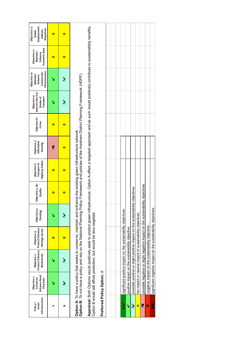| Infrastructure<br>Policy 2-<br>Green | Enhance Rural<br>Objective <sub>1</sub> :<br>Conserve/<br>Character | Protect/Enhance<br>Biodiversity<br>Objective 2:                                                                                                                                                                                                                         | Protect/Enhance<br>Heritage Assets<br>Objective 3: | Objective 4:<br>Flooding | Objective 5: Air<br>Quality | Highway Safety<br>Transport &<br>Objective 6: | Objective 7:<br>Affordable<br>Housing | Objective 8:<br>Crime | Improve Non-Car<br>Objective 9:<br>Modes of<br>Transport | Infrastructure<br>Objective 10:<br>Community<br>Maintain/<br>Enhance | Economic Base<br>Objective 11:<br>Maintain/<br>Enhance | Objective 12:<br>Employment/<br>Disparities<br>Address<br>Stable |
|--------------------------------------|---------------------------------------------------------------------|-------------------------------------------------------------------------------------------------------------------------------------------------------------------------------------------------------------------------------------------------------------------------|----------------------------------------------------|--------------------------|-----------------------------|-----------------------------------------------|---------------------------------------|-----------------------|----------------------------------------------------------|----------------------------------------------------------------------|--------------------------------------------------------|------------------------------------------------------------------|
| ⋖                                    |                                                                     |                                                                                                                                                                                                                                                                         | $\bullet$                                          |                          | $\bullet$                   | $\bullet$                                     | X                                     | $\bullet$             |                                                          |                                                                      | $\bullet$                                              | $\bullet$                                                        |
| œ                                    | نخر                                                                 | نخر                                                                                                                                                                                                                                                                     | $\bullet$                                          | نخر                      | o                           | $\bullet$                                     | $\bullet$                             | $\bullet$             | نځ                                                       | نځ                                                                   | $\bullet$                                              | $\bullet$                                                        |
|                                      |                                                                     | Option B: To not have a policy and rely on the National Planning Policy Framework and policies of the Horsham District Planning Framework (HDPF).<br>Option A: To have a policy that seeks to conserve, maintain and enhance the existing green infrastructure network. |                                                    |                          |                             |                                               |                                       |                       |                                                          |                                                                      |                                                        |                                                                  |
|                                      |                                                                     | Appraisal: Both Options would positively seek to protect green infrastructure. Option A offers a targeted approach and as such would positively contribute to sustainability benefits.<br>Option B would still afford protection, but would be less targeted.           |                                                    |                          |                             |                                               |                                       |                       |                                                          |                                                                      |                                                        |                                                                  |
|                                      | Preferred Policy Option: A                                          |                                                                                                                                                                                                                                                                         |                                                    |                          |                             |                                               |                                       |                       |                                                          |                                                                      |                                                        |                                                                  |
|                                      |                                                                     |                                                                                                                                                                                                                                                                         |                                                    |                          |                             |                                               |                                       |                       |                                                          |                                                                      |                                                        |                                                                  |
|                                      |                                                                     |                                                                                                                                                                                                                                                                         |                                                    |                          |                             |                                               |                                       |                       |                                                          |                                                                      |                                                        |                                                                  |
| ゝ                                    |                                                                     | significant positive impact on the sustainability objectives.                                                                                                                                                                                                           |                                                    |                          |                             |                                               |                                       |                       |                                                          |                                                                      |                                                        |                                                                  |
| Š                                    |                                                                     | positive impact on the sustainability objective.                                                                                                                                                                                                                        |                                                    |                          |                             |                                               |                                       |                       |                                                          |                                                                      |                                                        |                                                                  |
| نۇ                                   |                                                                     | possible positive or slight positive impact on the sustainability                                                                                                                                                                                                       |                                                    |                          | objectives.                 |                                               |                                       |                       |                                                          |                                                                      |                                                        |                                                                  |
| $\bullet$                            |                                                                     | No impact or neutral impact of sustainability objectives.                                                                                                                                                                                                               |                                                    |                          |                             |                                               |                                       |                       |                                                          |                                                                      |                                                        |                                                                  |
| Xč                                   |                                                                     | possible negative or slight negative impact on the sustainability objectives                                                                                                                                                                                            |                                                    |                          |                             |                                               |                                       |                       |                                                          |                                                                      |                                                        |                                                                  |
| ×                                    |                                                                     | negative impact on the sustainability objective.                                                                                                                                                                                                                        |                                                    |                          |                             |                                               |                                       |                       |                                                          |                                                                      |                                                        |                                                                  |
| ×                                    |                                                                     | significant negative impact on the sustainability objectives.                                                                                                                                                                                                           |                                                    |                          |                             |                                               |                                       |                       |                                                          |                                                                      |                                                        |                                                                  |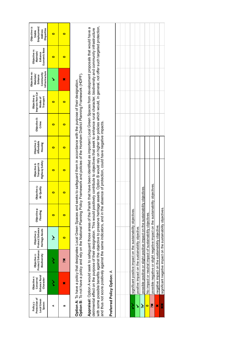| Protection of<br>Local Green<br>Policy 3-<br>Spaces | Enhance Rural<br>Objective <sub>1</sub> :<br>Conserve/<br>Character                                                                                                                                                                                                                                                                                                                              | Protect/Enhance<br>Objective 2:<br>Biodiversity  | Protect/Enhance<br>Heritage Assets<br>Objective 3:                            | Objective 4:<br>Flooding | Objective 5:<br>Air Quality | Highway Safety<br>Objective 6:<br>Transport & | Objective 7:<br>Affordable<br>Housing | Objective 8:<br>Crime | Improve Non-Car<br>Objective 9:<br>Transport<br>Modes of                                                       | Infrastructure<br>Objective 10:<br>Community<br>Maintain/<br>Enhance | Economic Base<br>Objective 11:<br>Maintain/<br>Enhance | Employment/<br>Objective 12:<br>Disparities<br>Address<br>Stable |
|-----------------------------------------------------|--------------------------------------------------------------------------------------------------------------------------------------------------------------------------------------------------------------------------------------------------------------------------------------------------------------------------------------------------------------------------------------------------|--------------------------------------------------|-------------------------------------------------------------------------------|--------------------------|-----------------------------|-----------------------------------------------|---------------------------------------|-----------------------|----------------------------------------------------------------------------------------------------------------|----------------------------------------------------------------------|--------------------------------------------------------|------------------------------------------------------------------|
| ⋖                                                   |                                                                                                                                                                                                                                                                                                                                                                                                  |                                                  | نځ                                                                            | $\bullet$                | $\bullet$                   | 0                                             | $\bullet$                             | $\bullet$             | $\bullet$                                                                                                      |                                                                      | $\bullet$                                              | $\bullet$                                                        |
| m                                                   | ×                                                                                                                                                                                                                                                                                                                                                                                                | Xč                                               | $\bullet$                                                                     | $\bullet$                | $\bullet$                   | $\bullet$                                     | $\bullet$                             | $\bullet$             | $\bullet$                                                                                                      | ×                                                                    | $\bullet$                                              | $\bullet$                                                        |
|                                                     | Option B: To not have a policy and rely on the National Planning Policy Framework and policies of the Horsham District Planning Framework (HDPF).<br>Option A: To have a policy that designates Local Green Spaces and seeks to safeguard them in accordance with the purpose of their designation.                                                                                              |                                                  |                                                                               |                          |                             |                                               |                                       |                       |                                                                                                                |                                                                      |                                                        |                                                                  |
|                                                     | Appraisal: Option A would seek to safeguard those areas of the Parish that have been identified as important Local Green Spaces from development proposals that would have a                                                                                                                                                                                                                     |                                                  |                                                                               |                          |                             |                                               |                                       |                       |                                                                                                                |                                                                      |                                                        |                                                                  |
|                                                     | with some possible benefits against the objective to preserve heritage assets. Option B would rely on higher tier policies which would, in general, not offer such targeted protection,<br>and thus not score positively against the same indicators, and in the absence of protection, could have negative impacts.<br>detrimental effect on the purpose of their designation. This would posit |                                                  |                                                                               |                          |                             |                                               |                                       |                       | ively contribute to objectives that seek to enhance rural character, biodiversity and community infrastructure |                                                                      |                                                        |                                                                  |
|                                                     | Preferred Policy Option: A                                                                                                                                                                                                                                                                                                                                                                       |                                                  |                                                                               |                          |                             |                                               |                                       |                       |                                                                                                                |                                                                      |                                                        |                                                                  |
|                                                     |                                                                                                                                                                                                                                                                                                                                                                                                  |                                                  |                                                                               |                          |                             |                                               |                                       |                       |                                                                                                                |                                                                      |                                                        |                                                                  |
|                                                     |                                                                                                                                                                                                                                                                                                                                                                                                  |                                                  |                                                                               |                          |                             |                                               |                                       |                       |                                                                                                                |                                                                      |                                                        |                                                                  |
|                                                     |                                                                                                                                                                                                                                                                                                                                                                                                  |                                                  | significant positive impact on the sustainability objectives.                 |                          |                             |                                               |                                       |                       |                                                                                                                |                                                                      |                                                        |                                                                  |
| Š                                                   |                                                                                                                                                                                                                                                                                                                                                                                                  | positive impact on the sustainability objective. |                                                                               |                          |                             |                                               |                                       |                       |                                                                                                                |                                                                      |                                                        |                                                                  |
| نځ                                                  |                                                                                                                                                                                                                                                                                                                                                                                                  |                                                  | possible positive or slight positive impact on the sustainability             |                          | objectives.                 |                                               |                                       |                       |                                                                                                                |                                                                      |                                                        |                                                                  |
| o                                                   |                                                                                                                                                                                                                                                                                                                                                                                                  |                                                  | No impact or neutral impact of sustainability objectives.                     |                          |                             |                                               |                                       |                       |                                                                                                                |                                                                      |                                                        |                                                                  |
| X                                                   |                                                                                                                                                                                                                                                                                                                                                                                                  |                                                  | possible negative or slight negative impact on the sustainability objectives. |                          |                             |                                               |                                       |                       |                                                                                                                |                                                                      |                                                        |                                                                  |
| ×                                                   |                                                                                                                                                                                                                                                                                                                                                                                                  |                                                  | negative impact on the sustainability objective.                              |                          |                             |                                               |                                       |                       |                                                                                                                |                                                                      |                                                        |                                                                  |
| ×                                                   |                                                                                                                                                                                                                                                                                                                                                                                                  |                                                  | significant negative impact on the sustainability objectives.                 |                          |                             |                                               |                                       |                       |                                                                                                                |                                                                      |                                                        |                                                                  |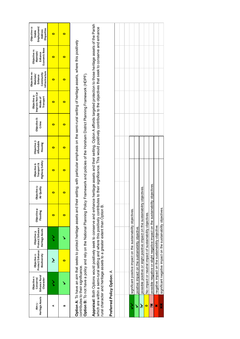| Heritage Assets<br>Aim 5- | Enhance Rural<br>Objective <sub>1</sub> :<br>Conserve/<br>Character                                                                                                                                                                                                                                                                                                             | Protect/Enhance<br>Objective 2:<br>Biodiversity  | Protect/Enhance<br>Heritage Assets<br>Objective 3:                            | Objective 4:<br>Flooding | Objective 5:<br>Air Quality | <b>Highway Safety</b><br>Objective 6:<br>Transport & | Objective 7:<br>Affordable<br>Housing | Objective 8:<br>Crime | Improve Non-Car<br>Objective 9:<br>Transport<br>Modes of | Infrastructure<br>Objective 10:<br>Community<br>Maintain/<br>Enhance | Economic Base<br>Objective 11:<br>Maintain/<br>Enhance | Objective 12:<br>Employment/<br>Disparities<br>Address<br>Stable |
|---------------------------|---------------------------------------------------------------------------------------------------------------------------------------------------------------------------------------------------------------------------------------------------------------------------------------------------------------------------------------------------------------------------------|--------------------------------------------------|-------------------------------------------------------------------------------|--------------------------|-----------------------------|------------------------------------------------------|---------------------------------------|-----------------------|----------------------------------------------------------|----------------------------------------------------------------------|--------------------------------------------------------|------------------------------------------------------------------|
| ⋖                         | ゝ                                                                                                                                                                                                                                                                                                                                                                               | نځ                                               |                                                                               | $\bullet$                | $\bullet$                   | o                                                    | $\bullet$                             | 0                     | 0                                                        | 0                                                                    | 0                                                      | $\bullet$                                                        |
| m                         |                                                                                                                                                                                                                                                                                                                                                                                 | 0                                                |                                                                               | $\bullet$                | $\bullet$                   | 0                                                    | 0                                     | $\bullet$             | 0                                                        | 0                                                                    | 0                                                      | $\bullet$                                                        |
|                           | Option A: To have aim that seeks to protect heritage assets and their setting; with particular emphasis on the semi-rural setting of heritage assets, where this positively                                                                                                                                                                                                     |                                                  |                                                                               |                          |                             |                                                      |                                       |                       |                                                          |                                                                      |                                                        |                                                                  |
|                           | Option B: To not have a policy and rely on the National Planning Policy Framework and policies of the Horsham District Planning Framework (HDPF).<br>contributes to their significance.                                                                                                                                                                                         |                                                  |                                                                               |                          |                             |                                                      |                                       |                       |                                                          |                                                                      |                                                        |                                                                  |
|                           | Appraisal: Both Options would positively seek to conserve and enhance heritage assets and their setting. Option A affords targeted protection to those heritage assets of the Parish<br>which are within a semi-rural setting and where this positively contributes to their significance. This would positively contribute to the objectives that seek to conserve and enhance |                                                  |                                                                               |                          |                             |                                                      |                                       |                       |                                                          |                                                                      |                                                        |                                                                  |
|                           | rural character and heritage assets to a greater extent than Option B.                                                                                                                                                                                                                                                                                                          |                                                  |                                                                               |                          |                             |                                                      |                                       |                       |                                                          |                                                                      |                                                        |                                                                  |
|                           | Preferred Policy Option: A                                                                                                                                                                                                                                                                                                                                                      |                                                  |                                                                               |                          |                             |                                                      |                                       |                       |                                                          |                                                                      |                                                        |                                                                  |
|                           |                                                                                                                                                                                                                                                                                                                                                                                 |                                                  |                                                                               |                          |                             |                                                      |                                       |                       |                                                          |                                                                      |                                                        |                                                                  |
|                           |                                                                                                                                                                                                                                                                                                                                                                                 |                                                  |                                                                               |                          |                             |                                                      |                                       |                       |                                                          |                                                                      |                                                        |                                                                  |
| ミ                         |                                                                                                                                                                                                                                                                                                                                                                                 |                                                  | significant positive impact on the sustainability objectives.                 |                          |                             |                                                      |                                       |                       |                                                          |                                                                      |                                                        |                                                                  |
| Š                         |                                                                                                                                                                                                                                                                                                                                                                                 | positive impact on the sustainability objective. |                                                                               |                          |                             |                                                      |                                       |                       |                                                          |                                                                      |                                                        |                                                                  |
| نخ                        |                                                                                                                                                                                                                                                                                                                                                                                 |                                                  | possible positive or slight positive impact on the sustainability             |                          | objectives.                 |                                                      |                                       |                       |                                                          |                                                                      |                                                        |                                                                  |
| o                         |                                                                                                                                                                                                                                                                                                                                                                                 |                                                  | No impact or neutral impact of sustainability objectives.                     |                          |                             |                                                      |                                       |                       |                                                          |                                                                      |                                                        |                                                                  |
| ×                         |                                                                                                                                                                                                                                                                                                                                                                                 |                                                  | possible negative or slight negative impact on the sustainability objectives. |                          |                             |                                                      |                                       |                       |                                                          |                                                                      |                                                        |                                                                  |
| ×                         |                                                                                                                                                                                                                                                                                                                                                                                 |                                                  | negative impact on the sustainability objective.                              |                          |                             |                                                      |                                       |                       |                                                          |                                                                      |                                                        |                                                                  |
| ×                         |                                                                                                                                                                                                                                                                                                                                                                                 |                                                  | significant negative impact on the sustainability objectives.                 |                          |                             |                                                      |                                       |                       |                                                          |                                                                      |                                                        |                                                                  |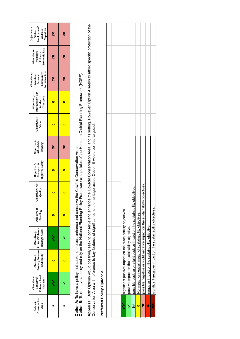| Conservation<br>Policy 4-<br>Area | Enhance Rural<br>Objective <sub>1</sub> :<br>Character<br>Conserve/ | Protect/Enhance<br>Biodiversity<br>Objective 2:                                                                                                                                                                                                                                                                | Protect/Enhance<br>Heritage Assets<br>Objective 3: | Objective 4:<br>Flooding | Objective 5: Air<br>Quality | Highway Safety<br>Objective 6:<br>Transport & | Objective 7:<br>Affordable<br>Housing | Objective 8:<br>Crime | Improve Non-Car<br>Objective 9:<br>Transport<br>Modes of | Infrastructure<br>Objective 10:<br>Community<br>Maintain/<br>Enhance | Economic Base<br>Objective 11:<br>Maintain/<br>Enhance | Objective 12:<br>Employment/<br><b>Disparities</b><br>Address<br>Stable |
|-----------------------------------|---------------------------------------------------------------------|----------------------------------------------------------------------------------------------------------------------------------------------------------------------------------------------------------------------------------------------------------------------------------------------------------------|----------------------------------------------------|--------------------------|-----------------------------|-----------------------------------------------|---------------------------------------|-----------------------|----------------------------------------------------------|----------------------------------------------------------------------|--------------------------------------------------------|-------------------------------------------------------------------------|
| ⋖                                 |                                                                     | o                                                                                                                                                                                                                                                                                                              |                                                    | $\bullet$                | $\bullet$                   | o                                             | Xč                                    | $\bullet$             | $\bullet$                                                | X                                                                    | X                                                      | Xč                                                                      |
| ≃                                 |                                                                     | $\bullet$                                                                                                                                                                                                                                                                                                      |                                                    | $\bullet$                | $\bullet$                   | $\bullet$                                     | Xč                                    | $\bullet$             | $\bullet$                                                | Xč                                                                   | X                                                      | Xč                                                                      |
|                                   |                                                                     | Option B: To not have a policy and rely on the National Planning Policy Framework and policies of the Horsham District Planning Framework (HDPF).<br>Option A: To have a policy that seeks to protect, enhance and conserve the Cowfold Conservation Area.                                                     |                                                    |                          |                             |                                               |                                       |                       |                                                          |                                                                      |                                                        |                                                                         |
|                                   |                                                                     | Appraisal: Both Options would positively seek to conserve and enhance the Cowfold Conservation Area, and its setting. However, Option A seeks to afford specific protection of the<br>Conservation Area with reference to key features of significance to the heritage asset. Option B would be less targeted. |                                                    |                          |                             |                                               |                                       |                       |                                                          |                                                                      |                                                        |                                                                         |
|                                   | Preferred Policy Option: A                                          |                                                                                                                                                                                                                                                                                                                |                                                    |                          |                             |                                               |                                       |                       |                                                          |                                                                      |                                                        |                                                                         |
|                                   |                                                                     |                                                                                                                                                                                                                                                                                                                |                                                    |                          |                             |                                               |                                       |                       |                                                          |                                                                      |                                                        |                                                                         |
| ゝ                                 |                                                                     | significant positive impact on the sustainability objectives.                                                                                                                                                                                                                                                  |                                                    |                          |                             |                                               |                                       |                       |                                                          |                                                                      |                                                        |                                                                         |
| Š                                 |                                                                     | positive impact on the sustainability objective.                                                                                                                                                                                                                                                               |                                                    |                          |                             |                                               |                                       |                       |                                                          |                                                                      |                                                        |                                                                         |
| چ                                 |                                                                     | possible positive or slight positive impact on the sustainability                                                                                                                                                                                                                                              |                                                    |                          | objectives                  |                                               |                                       |                       |                                                          |                                                                      |                                                        |                                                                         |
| $\bullet$                         |                                                                     | No impact or neutral impact of sustainability objectives.                                                                                                                                                                                                                                                      |                                                    |                          |                             |                                               |                                       |                       |                                                          |                                                                      |                                                        |                                                                         |
| $\frac{\textbf{x}}{2}$            |                                                                     | possible negative or slight negative impact on the sustainability objectives                                                                                                                                                                                                                                   |                                                    |                          |                             |                                               |                                       |                       |                                                          |                                                                      |                                                        |                                                                         |

 $|\mathbf{x}|$ 

**A** negative impact on the sustainability objective.

negative impact on the sustainability objective.

✖✖ significant negative impact on the sustainability objectives.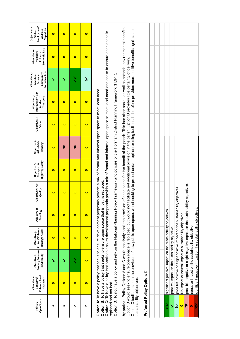|                                     |                                                                                                                                                                                                                                                                                                                                                                                                                                                                                                                                                                     |                                                               |                                                                              |                          |                             |                                               |                                       |                       |                                                                                                                                                                                                                        | Objective 10:                                       |                                                        | Objective 12:                                   |
|-------------------------------------|---------------------------------------------------------------------------------------------------------------------------------------------------------------------------------------------------------------------------------------------------------------------------------------------------------------------------------------------------------------------------------------------------------------------------------------------------------------------------------------------------------------------------------------------------------------------|---------------------------------------------------------------|------------------------------------------------------------------------------|--------------------------|-----------------------------|-----------------------------------------------|---------------------------------------|-----------------------|------------------------------------------------------------------------------------------------------------------------------------------------------------------------------------------------------------------------|-----------------------------------------------------|--------------------------------------------------------|-------------------------------------------------|
| Open Space<br>Policy <sub>5</sub> - | Enhance Rural<br>Objective <sub>1</sub> :<br>Conserve/<br>Character                                                                                                                                                                                                                                                                                                                                                                                                                                                                                                 | Protect/Enhance<br>Biodiversity<br>Objective 2:               | Protect/Enhance<br>Heritage Assets<br>Objective 3:                           | Objective 4:<br>Flooding | Objective 5: Air<br>Quality | Highway Safety<br>Transport &<br>Objective 6: | Objective 7:<br>Affordable<br>Housing | Objective 8:<br>Crime | Improve Non-Car<br>Objective 9:<br>Transport<br>Modes of                                                                                                                                                               | Infrastructure<br>Community<br>Maintain/<br>Enhance | Economic Base<br>Objective 11:<br>Maintain/<br>Enhance | Employment/<br>Disparities<br>Address<br>Stable |
| 4                                   | $\bullet$                                                                                                                                                                                                                                                                                                                                                                                                                                                                                                                                                           | ↘                                                             | $\bullet$                                                                    | $\bullet$                | $\bullet$                   | $\bullet$                                     | $\bullet$                             | $\bullet$             | $\bullet$                                                                                                                                                                                                              | ↘                                                   | $\bullet$                                              | $\bullet$                                       |
| B                                   | $\bullet$                                                                                                                                                                                                                                                                                                                                                                                                                                                                                                                                                           |                                                               | $\bullet$                                                                    | $\bullet$                | $\bullet$                   | $\bullet$                                     | Xč                                    | $\bullet$             | $\bullet$                                                                                                                                                                                                              |                                                     | $\bullet$                                              | $\bullet$                                       |
| C                                   | $\bullet$                                                                                                                                                                                                                                                                                                                                                                                                                                                                                                                                                           | ζ                                                             | $\bullet$                                                                    | $\bullet$                | $\bullet$                   | 0                                             | 签                                     | $\bullet$             | $\bullet$                                                                                                                                                                                                              | ら                                                   | $\bullet$                                              | $\bullet$                                       |
| $\Omega$                            | $\bullet$                                                                                                                                                                                                                                                                                                                                                                                                                                                                                                                                                           | $\bullet$                                                     | $\bullet$                                                                    | $\bullet$                | $\bullet$                   | $\bullet$                                     | $\bullet$                             | $\bullet$             | $\bullet$                                                                                                                                                                                                              | خز                                                  | $\bullet$                                              | $\bullet$                                       |
| replaced and not lost.              | Option C: To have a policy that seeks to ensure development proposals provide a mix of formal and informal open space to meet local need and seeks to ensure open space is<br>Option D: To not have a policy and rely on the National Planning Policy Framework and policies of the Horsham District Planning Framework (HDPF).<br>Option A: To have a policy that seeks to ensure development proposals provide a mix of formal and informal open space to meet local need<br>Option B: To have a policy that seeks to ensure open space that is lost, is replaced |                                                               |                                                                              |                          |                             |                                               |                                       |                       |                                                                                                                                                                                                                        |                                                     |                                                        |                                                 |
| sustainability objectives.          | Option C facilitates both the provision of new public open space, whist seeking to protect and/or replace existing facilities. It therefore provides more positive benefits against the<br>Appraisal: Policy Options A and C would positively seek the provision<br>Option B would seek to ensure open space is replaced, but would not                                                                                                                                                                                                                             |                                                               |                                                                              |                          |                             |                                               |                                       |                       | of open space for the benefit of the parish. This has clear social, as well as potential environmental benefits.<br>facilitate net additional provision in the parish. Option D provides little certainty of delivery. |                                                     |                                                        |                                                 |
|                                     | Preferred Policy Option: C                                                                                                                                                                                                                                                                                                                                                                                                                                                                                                                                          |                                                               |                                                                              |                          |                             |                                               |                                       |                       |                                                                                                                                                                                                                        |                                                     |                                                        |                                                 |
|                                     |                                                                                                                                                                                                                                                                                                                                                                                                                                                                                                                                                                     |                                                               |                                                                              |                          |                             |                                               |                                       |                       |                                                                                                                                                                                                                        |                                                     |                                                        |                                                 |
| ζ                                   |                                                                                                                                                                                                                                                                                                                                                                                                                                                                                                                                                                     |                                                               | significant positive impact on the sustainability objectives.                |                          |                             |                                               |                                       |                       |                                                                                                                                                                                                                        |                                                     |                                                        |                                                 |
| ↘                                   |                                                                                                                                                                                                                                                                                                                                                                                                                                                                                                                                                                     | positive impact on the sustainability objective.              |                                                                              |                          |                             |                                               |                                       |                       |                                                                                                                                                                                                                        |                                                     |                                                        |                                                 |
| $\tilde{\bm{z}}$                    |                                                                                                                                                                                                                                                                                                                                                                                                                                                                                                                                                                     |                                                               | possible positive or slight positive impact on the sustainability            |                          | objectives.                 |                                               |                                       |                       |                                                                                                                                                                                                                        |                                                     |                                                        |                                                 |
| $\bullet$                           |                                                                                                                                                                                                                                                                                                                                                                                                                                                                                                                                                                     |                                                               | No impact or neutral impact of sustainability objectives.                    |                          |                             |                                               |                                       |                       |                                                                                                                                                                                                                        |                                                     |                                                        |                                                 |
| Xč                                  |                                                                                                                                                                                                                                                                                                                                                                                                                                                                                                                                                                     |                                                               | possible negative or slight negative impact on the sustainability objectives |                          |                             |                                               |                                       |                       |                                                                                                                                                                                                                        |                                                     |                                                        |                                                 |
| ×                                   |                                                                                                                                                                                                                                                                                                                                                                                                                                                                                                                                                                     |                                                               | negative impact on the sustainability objective.                             |                          |                             |                                               |                                       |                       |                                                                                                                                                                                                                        |                                                     |                                                        |                                                 |
| ××                                  |                                                                                                                                                                                                                                                                                                                                                                                                                                                                                                                                                                     | significant negative impact on the sustainability objectives. |                                                                              |                          |                             |                                               |                                       |                       |                                                                                                                                                                                                                        |                                                     |                                                        |                                                 |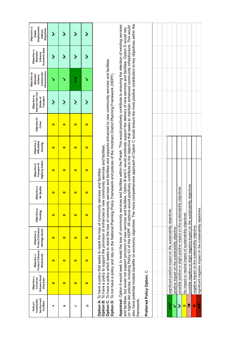| Services and<br>Community<br>Facilities<br>Policy 6- | Enhance Rural<br>Objective <sub>1</sub> :<br>Conserve/<br>Character | Protect/Enhance<br>Biodiversity<br>Objective 2:                                                                                                                                                                                                                                                                                                                                                                                                                                                                                                                                                                                                                                                                                                                  | Protect/Enhance<br>Heritage Assets<br>Objective 3: | Objective 4:<br>Flooding | Objective 5:<br>Air Quality | <b>Highway Safety</b><br>Transport &<br>Objective 6: | Objective 7:<br>Affordable<br>Housing | Objective 8:<br>Crime | Improve Non-Car<br>Objective 9:<br>Transport<br>Modes of | Infrastructure<br>Objective 10:<br>Community<br>Maintain/<br>Enhance | Economic Base<br>Objective 11:<br>Maintain/<br>Enhance | Employment/<br>Objective 12:<br>Disparities<br>Address<br>Stable |
|------------------------------------------------------|---------------------------------------------------------------------|------------------------------------------------------------------------------------------------------------------------------------------------------------------------------------------------------------------------------------------------------------------------------------------------------------------------------------------------------------------------------------------------------------------------------------------------------------------------------------------------------------------------------------------------------------------------------------------------------------------------------------------------------------------------------------------------------------------------------------------------------------------|----------------------------------------------------|--------------------------|-----------------------------|------------------------------------------------------|---------------------------------------|-----------------------|----------------------------------------------------------|----------------------------------------------------------------------|--------------------------------------------------------|------------------------------------------------------------------|
| 4                                                    | $\bullet$                                                           | $\bullet$                                                                                                                                                                                                                                                                                                                                                                                                                                                                                                                                                                                                                                                                                                                                                        | $\bullet$                                          | $\bullet$                | $\bullet$                   | $\bullet$                                            | $\bullet$                             | $\bullet$             | تخر                                                      | ↘                                                                    | نۇ                                                     | نۇ                                                               |
| B                                                    | $\bullet$                                                           | $\bullet$                                                                                                                                                                                                                                                                                                                                                                                                                                                                                                                                                                                                                                                                                                                                                        | $\bullet$                                          | $\bullet$                | $\bullet$                   | $\bullet$                                            | $\bullet$                             | $\bullet$             | نۇ                                                       |                                                                      | خ                                                      | خ                                                                |
| $\mathbf C$                                          | $\bullet$                                                           | $\bullet$                                                                                                                                                                                                                                                                                                                                                                                                                                                                                                                                                                                                                                                                                                                                                        | $\bullet$                                          | $\bullet$                | $\bullet$                   | $\bullet$                                            | $\bullet$                             | $\bullet$             | نخر                                                      | ś                                                                    | نخر                                                    | $\tilde{\mathbf{z}}$                                             |
| $\Omega$                                             | $\bullet$                                                           | $\bullet$                                                                                                                                                                                                                                                                                                                                                                                                                                                                                                                                                                                                                                                                                                                                                        | $\bullet$                                          | $\bullet$                | $\bullet$                   | $\bullet$                                            | $\bullet$                             | $\bullet$             | نخر                                                      | ↘                                                                    | تخ                                                     | تخ                                                               |
|                                                      |                                                                     | Option C: To have a policy which seeks to resist the loss of community services and facilities and supports enhanced or new community services and facilities.<br>Option D: To not have a policy and rely on the National Planning Policy Framework and policies of the Horsham District Planning Framework (HDPF)<br>Option B: To have a policy to support the provision of enhanced or new community services and facilities.<br>Option A: To have a policy that seeks to resist the loss of community                                                                                                                                                                                                                                                         |                                                    |                          | services and facilities.    |                                                      |                                       |                       |                                                          |                                                                      |                                                        |                                                                  |
| framework                                            |                                                                     | also have potential modest benefits on economic objectives. The more comprehensive approach of Option C would ensure the most positive contribution to key objectives within the<br>Appraisal: Option A would seek to resist the loss of community services and facilities within the Parish. This would positively contribute to ensuring the retention of existing services<br>on higher tier policies, including Policy 43 of the HDPF. All options would positively contribute to the objective that seeks to maintain enhanced community infrastructure. This would<br>and facilities, but would not support provision of new services and facilities. Option B and Galilities. Option B and Galilities of new services and facilities. Option D would rely |                                                    |                          |                             |                                                      |                                       |                       |                                                          |                                                                      |                                                        |                                                                  |
|                                                      | Preferred Policy Option: C                                          |                                                                                                                                                                                                                                                                                                                                                                                                                                                                                                                                                                                                                                                                                                                                                                  |                                                    |                          |                             |                                                      |                                       |                       |                                                          |                                                                      |                                                        |                                                                  |
|                                                      |                                                                     |                                                                                                                                                                                                                                                                                                                                                                                                                                                                                                                                                                                                                                                                                                                                                                  |                                                    |                          |                             |                                                      |                                       |                       |                                                          |                                                                      |                                                        |                                                                  |
| ζ                                                    |                                                                     | significant positive impact on the sustainability objectives.                                                                                                                                                                                                                                                                                                                                                                                                                                                                                                                                                                                                                                                                                                    |                                                    |                          |                             |                                                      |                                       |                       |                                                          |                                                                      |                                                        |                                                                  |
| ١                                                    |                                                                     | positive impact on the sustainability objective.                                                                                                                                                                                                                                                                                                                                                                                                                                                                                                                                                                                                                                                                                                                 |                                                    |                          |                             |                                                      |                                       |                       |                                                          |                                                                      |                                                        |                                                                  |
| نز                                                   |                                                                     | possible positive or slight positive impact on the sustainability                                                                                                                                                                                                                                                                                                                                                                                                                                                                                                                                                                                                                                                                                                |                                                    |                          | objectives.                 |                                                      |                                       |                       |                                                          |                                                                      |                                                        |                                                                  |
| $\bullet$                                            |                                                                     | No impact or neutral impact of sustainability objectives.                                                                                                                                                                                                                                                                                                                                                                                                                                                                                                                                                                                                                                                                                                        |                                                    |                          |                             |                                                      |                                       |                       |                                                          |                                                                      |                                                        |                                                                  |
| Xč                                                   |                                                                     | possible negative or slight negative impact on the sustainability objectives                                                                                                                                                                                                                                                                                                                                                                                                                                                                                                                                                                                                                                                                                     |                                                    |                          |                             |                                                      |                                       |                       |                                                          |                                                                      |                                                        |                                                                  |
| ×                                                    |                                                                     | negative impact on the sustainability objective.                                                                                                                                                                                                                                                                                                                                                                                                                                                                                                                                                                                                                                                                                                                 |                                                    |                          |                             |                                                      |                                       |                       |                                                          |                                                                      |                                                        |                                                                  |
| ××                                                   |                                                                     | significant negative impact on the sustainability objectives.                                                                                                                                                                                                                                                                                                                                                                                                                                                                                                                                                                                                                                                                                                    |                                                    |                          |                             |                                                      |                                       |                       |                                                          |                                                                      |                                                        |                                                                  |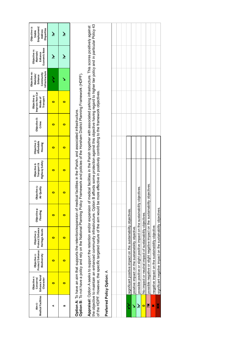| Medical Facilities<br>Aim 6 - | Enhance Rural<br>Objective <sub>1</sub> :<br>Conserve/<br>Character                                                                                                                                                                                                                                                                                                                                                | Protect/Enhance<br>Objective 2:<br>Biodiversity  | Protect/Enhance<br>Heritage Assets<br>Objective 3:                            | Objective 4:<br>Flooding | Objective 5:<br>Air Quality | Highway Safety<br>Transport &<br>Objective 6: | Objective 7:<br>Affordable<br>Housing | Objective 8:<br>Crime                                                                                               | Improve Non-Car<br>Objective 9:<br>Transport<br>Modes of | Infrastructure<br>Objective 10:<br>Community<br>Maintain/<br>Enhance | Economic Base<br>Objective 11:<br>Maintain/<br>Enhance | Objective 12:<br>Employment/<br><b>Disparities</b><br>Address<br>Stable |
|-------------------------------|--------------------------------------------------------------------------------------------------------------------------------------------------------------------------------------------------------------------------------------------------------------------------------------------------------------------------------------------------------------------------------------------------------------------|--------------------------------------------------|-------------------------------------------------------------------------------|--------------------------|-----------------------------|-----------------------------------------------|---------------------------------------|---------------------------------------------------------------------------------------------------------------------|----------------------------------------------------------|----------------------------------------------------------------------|--------------------------------------------------------|-------------------------------------------------------------------------|
| 4                             | 0                                                                                                                                                                                                                                                                                                                                                                                                                  | 0                                                | 0                                                                             | $\bullet$                | 0                           | 0                                             | 0                                     | 0                                                                                                                   | 0                                                        | ミ                                                                    | نځ                                                     | نځ                                                                      |
| œ                             | 0                                                                                                                                                                                                                                                                                                                                                                                                                  | $\bullet$                                        | $\bullet$                                                                     | $\bullet$                | $\bullet$                   | $\bullet$                                     | $\bullet$                             | 0                                                                                                                   | 0                                                        |                                                                      | نځ                                                     | نځ                                                                      |
|                               | Option B: To not have a policy and rely on the National Planning Policy Framework and policies of the Horsham District Planning Framework (HDPF).<br>Option A: To have an aim that supports the retention/expansion of medical facilities in the Parish, and associated infrastructure.                                                                                                                            |                                                  |                                                                               |                          |                             |                                               |                                       |                                                                                                                     |                                                          |                                                                      |                                                        |                                                                         |
|                               | the objective to maintain an enhanced community infrastructure. Option B affords some protection against this objective having regard to higher tier policy and in particular Policy 43<br>of the HDPF. However, the specific targeted nature of the aim would be more effective in positively contributing to the framework objectives.<br>Appraisal: Option A seeks to support the retention and/or expansion or |                                                  |                                                                               |                          |                             |                                               |                                       | of medical facilities in the Parish together with associated parking infrastructure. This scores positively against |                                                          |                                                                      |                                                        |                                                                         |
|                               | Preferred Policy Option: A                                                                                                                                                                                                                                                                                                                                                                                         |                                                  |                                                                               |                          |                             |                                               |                                       |                                                                                                                     |                                                          |                                                                      |                                                        |                                                                         |
|                               |                                                                                                                                                                                                                                                                                                                                                                                                                    |                                                  |                                                                               |                          |                             |                                               |                                       |                                                                                                                     |                                                          |                                                                      |                                                        |                                                                         |
|                               |                                                                                                                                                                                                                                                                                                                                                                                                                    |                                                  |                                                                               |                          |                             |                                               |                                       |                                                                                                                     |                                                          |                                                                      |                                                        |                                                                         |
| ś                             |                                                                                                                                                                                                                                                                                                                                                                                                                    |                                                  | significant positive impact on the sustainability objectives.                 |                          |                             |                                               |                                       |                                                                                                                     |                                                          |                                                                      |                                                        |                                                                         |
| Š                             |                                                                                                                                                                                                                                                                                                                                                                                                                    | positive impact on the sustainability objective. |                                                                               |                          |                             |                                               |                                       |                                                                                                                     |                                                          |                                                                      |                                                        |                                                                         |
| نځ                            |                                                                                                                                                                                                                                                                                                                                                                                                                    |                                                  | possible positive or slight positive impact on the sustainability             |                          | objectives.                 |                                               |                                       |                                                                                                                     |                                                          |                                                                      |                                                        |                                                                         |
| $\bullet$                     |                                                                                                                                                                                                                                                                                                                                                                                                                    |                                                  | No impact or neutral impact of sustainability objectives.                     |                          |                             |                                               |                                       |                                                                                                                     |                                                          |                                                                      |                                                        |                                                                         |
| ×č                            |                                                                                                                                                                                                                                                                                                                                                                                                                    |                                                  | possible negative or slight negative impact on the sustainability objectives. |                          |                             |                                               |                                       |                                                                                                                     |                                                          |                                                                      |                                                        |                                                                         |
| ×                             |                                                                                                                                                                                                                                                                                                                                                                                                                    |                                                  | negative impact on the sustainability objective.                              |                          |                             |                                               |                                       |                                                                                                                     |                                                          |                                                                      |                                                        |                                                                         |
| ××                            |                                                                                                                                                                                                                                                                                                                                                                                                                    |                                                  | significant negative impact on the sustainability objectives.                 |                          |                             |                                               |                                       |                                                                                                                     |                                                          |                                                                      |                                                        |                                                                         |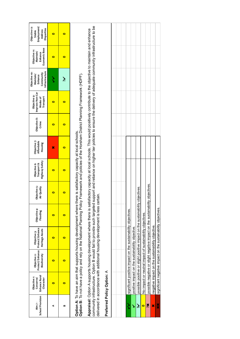|                             | Objective <sub>1</sub> :                                                                                                                                                                                                                                               |                                                 |                                                                               |                          |                             |                                               |                                       |                       | Objective 9:                                                                                                                                                                                                                     | Objective 10:                                       | Objective 11: |                                       |
|-----------------------------|------------------------------------------------------------------------------------------------------------------------------------------------------------------------------------------------------------------------------------------------------------------------|-------------------------------------------------|-------------------------------------------------------------------------------|--------------------------|-----------------------------|-----------------------------------------------|---------------------------------------|-----------------------|----------------------------------------------------------------------------------------------------------------------------------------------------------------------------------------------------------------------------------|-----------------------------------------------------|---------------|---------------------------------------|
| School Provision<br>Aim 7 - | Enhance Rural<br>Conserve/<br>Character                                                                                                                                                                                                                                | Protect/Enhance<br>Objective 2:<br>Biodiversity | Protect/Enhance<br>Heritage Assets<br>Objective 3:                            | Objective 4:<br>Flooding | Objective 5:<br>Air Quality | Highway Safety<br>Transport &<br>Objective 6: | Objective 7:<br>Affordable<br>Housing | Objective 8:<br>Crime | Improve Non-Car<br>Modes of<br>Transport                                                                                                                                                                                         | Infrastructure<br>Community<br>Maintain/<br>Enhance |               | Economic Base<br>Maintain/<br>Enhance |
| ⋖                           | o                                                                                                                                                                                                                                                                      | 0                                               | 0                                                                             | $\bullet$                | 0                           | 0                                             | ×                                     | $\bullet$             | ō                                                                                                                                                                                                                                |                                                     |               | 0                                     |
| ≃                           | o                                                                                                                                                                                                                                                                      | o                                               | o                                                                             | $\bullet$                | $\bullet$                   | o                                             | $\bullet$                             | 0                     | $\bullet$                                                                                                                                                                                                                        | نخر                                                 |               | 0                                     |
|                             | Option B: To not have a policy and rely on the National Planning Policy Framework and policies of the Horsham District Planning Framework (HDPF).<br>Option A: To have an aim that supports housing development where there is satisfactory capacity at local schools. |                                                 |                                                                               |                          |                             |                                               |                                       |                       |                                                                                                                                                                                                                                  |                                                     |               |                                       |
|                             | delivered in accordance with additional housing development is less certain<br>Appraisal: Option A supports housing development where there is sat<br>community infrastructure. Option B would fail to provide such targeted                                           |                                                 |                                                                               |                          |                             |                                               |                                       |                       | support and reliance on higher tier policies to ensure the delivery of adequate community infrastructure to be<br>isfactory capacity at local schools. This would positively contribute to the objective to maintain and enhance |                                                     |               |                                       |
|                             | Preferred Policy Option: A                                                                                                                                                                                                                                             |                                                 |                                                                               |                          |                             |                                               |                                       |                       |                                                                                                                                                                                                                                  |                                                     |               |                                       |
|                             |                                                                                                                                                                                                                                                                        |                                                 |                                                                               |                          |                             |                                               |                                       |                       |                                                                                                                                                                                                                                  |                                                     |               |                                       |
|                             |                                                                                                                                                                                                                                                                        |                                                 |                                                                               |                          |                             |                                               |                                       |                       |                                                                                                                                                                                                                                  |                                                     |               |                                       |
| ζ                           |                                                                                                                                                                                                                                                                        |                                                 | significant positive impact on the sustainability objectives.                 |                          |                             |                                               |                                       |                       |                                                                                                                                                                                                                                  |                                                     |               |                                       |
| \$                          |                                                                                                                                                                                                                                                                        |                                                 | positive impact on the sustainability objective.                              |                          |                             |                                               |                                       |                       |                                                                                                                                                                                                                                  |                                                     |               |                                       |
| نۇ                          |                                                                                                                                                                                                                                                                        |                                                 | possible positive or slight positive impact on the sustainability             |                          | objectives.                 |                                               |                                       |                       |                                                                                                                                                                                                                                  |                                                     |               |                                       |
| $\bullet$                   |                                                                                                                                                                                                                                                                        |                                                 | No impact or neutral impact of sustainability objectives.                     |                          |                             |                                               |                                       |                       |                                                                                                                                                                                                                                  |                                                     |               |                                       |
| X                           |                                                                                                                                                                                                                                                                        |                                                 | possible negative or slight negative impact on the sustainability objectives. |                          |                             |                                               |                                       |                       |                                                                                                                                                                                                                                  |                                                     |               |                                       |
| ×                           |                                                                                                                                                                                                                                                                        |                                                 | negative impact on the sustainability objective.                              |                          |                             |                                               |                                       |                       |                                                                                                                                                                                                                                  |                                                     |               |                                       |

significant negative impact on the sustainability objectives. ✖✖ significant negative impact on the sustainability objectives.

 $rac{1}{x}$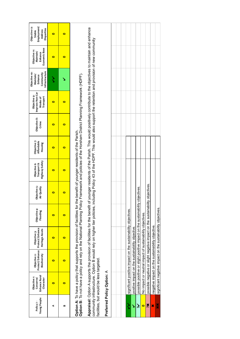| Young People<br>Policy 7- | Enhance Rural<br>Objective <sub>1</sub> :<br>Conserve/<br>Character | Protect/Enhance<br>Objective 2:<br>Biodiversity | Protect/Enhance<br>Heritage Assets<br>Objective 3:                                                                                                                                                                                                                                                                                                                      | Objective 4:<br>Flooding | Objective 5:<br>Air Quality | Highway Safety<br>Objective 6:<br>Transport & | Objective 7:<br>Affordable<br>Housing | Objective 8:<br>Crime | Improve Non-Car<br>Objective 9:<br>Transport<br>Modes of | nfrastructure<br>Objective 10:<br>Community<br>Maintain/<br>Enhance | Economic Base<br>Objective 11:<br>Maintain/<br>Enhance | Employment/<br>Objective 12:<br>Disparities<br>Address<br>Stable |
|---------------------------|---------------------------------------------------------------------|-------------------------------------------------|-------------------------------------------------------------------------------------------------------------------------------------------------------------------------------------------------------------------------------------------------------------------------------------------------------------------------------------------------------------------------|--------------------------|-----------------------------|-----------------------------------------------|---------------------------------------|-----------------------|----------------------------------------------------------|---------------------------------------------------------------------|--------------------------------------------------------|------------------------------------------------------------------|
| ⋖                         | $\bullet$                                                           | 0                                               | 0                                                                                                                                                                                                                                                                                                                                                                       | $\bullet$                | $\bullet$                   | 0                                             | $\bullet$                             | $\bullet$             | $\bullet$                                                | ゝ                                                                   | $\bullet$                                              | $\bullet$                                                        |
| B                         | $\bullet$                                                           | $\bullet$                                       | $\bullet$                                                                                                                                                                                                                                                                                                                                                               | $\bullet$                | $\bullet$                   | $\bullet$                                     | $\bullet$                             | $\bullet$             | $\bullet$                                                |                                                                     | $\bullet$                                              | $\bullet$                                                        |
|                           |                                                                     |                                                 | Option B: To not have a policy and rely on the National Planning Policy Framework and policies of the Horsham District Planning Framework (HDPF).<br>Option A: To have a policy that supports the provision of facilities for the benefit of younger residents of the Parish.                                                                                           |                          |                             |                                               |                                       |                       |                                                          |                                                                     |                                                        |                                                                  |
|                           | facilities, but would be less targeted.                             |                                                 | Appraisal: Option A supports the provision of facilities for the benefit of younger residents of the Parish. This would positively contribute to the objectives to maintain and enhance<br>community infrastructure. Option B would rely on higher tier policies, including Policy 43 of the HDPF. This would also support the retention and provision of new community |                          |                             |                                               |                                       |                       |                                                          |                                                                     |                                                        |                                                                  |
|                           | Preferred Policy Option: A                                          |                                                 |                                                                                                                                                                                                                                                                                                                                                                         |                          |                             |                                               |                                       |                       |                                                          |                                                                     |                                                        |                                                                  |
|                           |                                                                     |                                                 |                                                                                                                                                                                                                                                                                                                                                                         |                          |                             |                                               |                                       |                       |                                                          |                                                                     |                                                        |                                                                  |
|                           |                                                                     |                                                 |                                                                                                                                                                                                                                                                                                                                                                         |                          |                             |                                               |                                       |                       |                                                          |                                                                     |                                                        |                                                                  |
| ゝ                         |                                                                     |                                                 | significant positive impact on the sustainability objectives.                                                                                                                                                                                                                                                                                                           |                          |                             |                                               |                                       |                       |                                                          |                                                                     |                                                        |                                                                  |
| Š                         |                                                                     |                                                 | positive impact on the sustainability objective.                                                                                                                                                                                                                                                                                                                        |                          |                             |                                               |                                       |                       |                                                          |                                                                     |                                                        |                                                                  |
| نخ                        |                                                                     |                                                 | possible positive or slight positive impact on the sustainability                                                                                                                                                                                                                                                                                                       |                          | objectives.                 |                                               |                                       |                       |                                                          |                                                                     |                                                        |                                                                  |
| $\bullet$                 |                                                                     |                                                 | No impact or neutral impact of sustainability objectives.                                                                                                                                                                                                                                                                                                               |                          |                             |                                               |                                       |                       |                                                          |                                                                     |                                                        |                                                                  |
| Xč                        |                                                                     |                                                 | possible negative or slight negative impact on the sustainability objectives.                                                                                                                                                                                                                                                                                           |                          |                             |                                               |                                       |                       |                                                          |                                                                     |                                                        |                                                                  |
| ×                         |                                                                     |                                                 | negative impact on the sustainability objective.                                                                                                                                                                                                                                                                                                                        |                          |                             |                                               |                                       |                       |                                                          |                                                                     |                                                        |                                                                  |
| ×                         |                                                                     |                                                 | significant negative impact on the sustainability objectives.                                                                                                                                                                                                                                                                                                           |                          |                             |                                               |                                       |                       |                                                          |                                                                     |                                                        |                                                                  |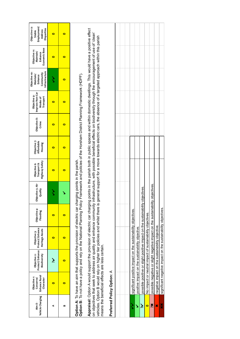| Vehicle Charging<br>Aim 8- | Enhance Rural<br>Objective <sub>1</sub> :<br>Character<br>Conserve/ | Protect/Enhance<br>Biodiversity<br>Objective 2:                                                                                                                                                                                                                                | Protect/Enhance<br>Heritage Assets<br>Objective 3: | Objective 4:<br>Flooding | Objective 5: Air<br>Quality | Highway Safety<br>Objective 6:<br>Transport & | Objective 7:<br>Affordable<br>Housing | Objective 8:<br>Crime | Improve Non-Car<br>Objective 9:<br>Transport<br>Modes of                                                                                                                                                                                                                                                                                  | Infrastructure<br>Objective 10:<br>Community<br>Maintain<br>Enhance | Economic Base<br>Objective 11:<br>Maintain/<br>Enhance | Objective 12:<br>Employment/<br>Disparities<br><b>Address</b><br><b>Stable</b> |
|----------------------------|---------------------------------------------------------------------|--------------------------------------------------------------------------------------------------------------------------------------------------------------------------------------------------------------------------------------------------------------------------------|----------------------------------------------------|--------------------------|-----------------------------|-----------------------------------------------|---------------------------------------|-----------------------|-------------------------------------------------------------------------------------------------------------------------------------------------------------------------------------------------------------------------------------------------------------------------------------------------------------------------------------------|---------------------------------------------------------------------|--------------------------------------------------------|--------------------------------------------------------------------------------|
| ⋖                          | $\bullet$                                                           | خ                                                                                                                                                                                                                                                                              | $\bullet$                                          | $\bullet$                |                             | $\bullet$                                     | o                                     | o                     | $\bullet$                                                                                                                                                                                                                                                                                                                                 |                                                                     | o                                                      | $\bullet$                                                                      |
| ≃                          | $\bullet$                                                           | o                                                                                                                                                                                                                                                                              | $\bullet$                                          | $\bullet$                |                             | o                                             | 0                                     | 0                     | $\bullet$                                                                                                                                                                                                                                                                                                                                 | o                                                                   | 0                                                      | 0                                                                              |
|                            |                                                                     | Option A: To have an aim that supports the provision of electric car charging points in the parish.<br>Option B: To not have a policy and rely on the National Planning Policy Framework and policies of the Horsham District Pla                                              |                                                    |                          |                             |                                               |                                       |                       |                                                                                                                                                                                                                                                                                                                                           |                                                                     |                                                        |                                                                                |
|                            |                                                                     | Appraisal: Option A would support the provision of electric car chargin<br>on objectives that seek to address air quality and enhance community<br>vehicles. Option B would rely on higher tier policies and whilst there is<br>means the beneficial effects are less certain. |                                                    |                          |                             |                                               |                                       |                       | og points in the parish both in public spaces and within domestic dwellings. This would have a positive effect<br>infrastructure, with possible beneficial effects on biodiversity through the encouragement of use of 'clean'<br>general support for a move towards electric cars, the absence of a targeted approach within this parish |                                                                     |                                                        |                                                                                |
|                            | Preferred Policy Option: A                                          |                                                                                                                                                                                                                                                                                |                                                    |                          |                             |                                               |                                       |                       |                                                                                                                                                                                                                                                                                                                                           |                                                                     |                                                        |                                                                                |
|                            |                                                                     |                                                                                                                                                                                                                                                                                |                                                    |                          |                             |                                               |                                       |                       |                                                                                                                                                                                                                                                                                                                                           |                                                                     |                                                        |                                                                                |
|                            |                                                                     | significant positive impact on the sustainability objectives.                                                                                                                                                                                                                  |                                                    |                          |                             |                                               |                                       |                       |                                                                                                                                                                                                                                                                                                                                           |                                                                     |                                                        |                                                                                |
| ゝ                          |                                                                     | positive impact on the sustainability objective.                                                                                                                                                                                                                               |                                                    |                          |                             |                                               |                                       |                       |                                                                                                                                                                                                                                                                                                                                           |                                                                     |                                                        |                                                                                |
| $\tilde{\bm{\xi}}$         |                                                                     | possible positive or slight positive impact on the sustainability                                                                                                                                                                                                              |                                                    |                          | objectives.                 |                                               |                                       |                       |                                                                                                                                                                                                                                                                                                                                           |                                                                     |                                                        |                                                                                |
| $\bullet$                  |                                                                     | No impact or neutral impact of sustainability objectives.                                                                                                                                                                                                                      |                                                    |                          |                             |                                               |                                       |                       |                                                                                                                                                                                                                                                                                                                                           |                                                                     |                                                        |                                                                                |
| ×č                         |                                                                     | possible negative or slight negative impact on the sustainabili                                                                                                                                                                                                                |                                                    |                          | ity objectives.             |                                               |                                       |                       |                                                                                                                                                                                                                                                                                                                                           |                                                                     |                                                        |                                                                                |
| ×                          |                                                                     | negative impact on the sustainability objective.                                                                                                                                                                                                                               |                                                    |                          |                             |                                               |                                       |                       |                                                                                                                                                                                                                                                                                                                                           |                                                                     |                                                        |                                                                                |

significant negative impact on the sustainability objectives. ✖✖ significant negative impact on the sustainability objectives.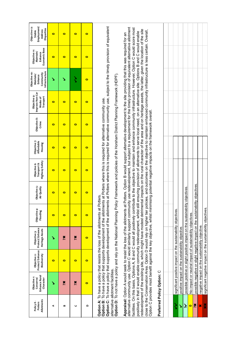| Allotments<br>Policy 8-<br>Potters | Enhance Rural<br>Objective t:<br>Conserve/<br>Character                                                                                                                                                                                                                                                                                                                                                                                                                                                                                                                                                                                                                                                                                                                                                                                                                                                                                                                                                                                                                                                                                                        | Protect/Enhance<br>Biodiversity<br>Objective 2: | Protect/Enhance<br>Heritage Assets<br>Objective 3:                            | Objective 4:<br>Flooding | Objective 5:<br>Air Quality | Highway Safety<br>Transport &<br>Objective 6: | Objective 7:<br>Affordable<br>Housing | Objective 8:<br>Crime | Improve Non-Car<br>Objective 9:<br>Transport<br>Modes of                                                   | Infrastructure<br>Objective 10:<br>Community<br>Maintain/<br>Enhance | Economic Base<br>Objective 11:<br>Maintain/<br>Enhance | Employment/<br>Objective 12:<br>Disparities<br>Address<br>Stable |
|------------------------------------|----------------------------------------------------------------------------------------------------------------------------------------------------------------------------------------------------------------------------------------------------------------------------------------------------------------------------------------------------------------------------------------------------------------------------------------------------------------------------------------------------------------------------------------------------------------------------------------------------------------------------------------------------------------------------------------------------------------------------------------------------------------------------------------------------------------------------------------------------------------------------------------------------------------------------------------------------------------------------------------------------------------------------------------------------------------------------------------------------------------------------------------------------------------|-------------------------------------------------|-------------------------------------------------------------------------------|--------------------------|-----------------------------|-----------------------------------------------|---------------------------------------|-----------------------|------------------------------------------------------------------------------------------------------------|----------------------------------------------------------------------|--------------------------------------------------------|------------------------------------------------------------------|
| ⋖                                  | ↘                                                                                                                                                                                                                                                                                                                                                                                                                                                                                                                                                                                                                                                                                                                                                                                                                                                                                                                                                                                                                                                                                                                                                              | $\bullet$                                       | ↘                                                                             | $\bullet$                | $\bullet$                   | $\bullet$                                     | $\bullet$                             | $\bullet$             | $\bullet$                                                                                                  | ↘                                                                    | $\bullet$                                              | $\bullet$                                                        |
| B                                  | Xč                                                                                                                                                                                                                                                                                                                                                                                                                                                                                                                                                                                                                                                                                                                                                                                                                                                                                                                                                                                                                                                                                                                                                             | $\bullet$                                       | ×                                                                             | $\bullet$                | $\bullet$                   | $\bullet$                                     | $\bullet$                             | $\bullet$             | $\bullet$                                                                                                  | ↘                                                                    | $\bullet$                                              | $\bullet$                                                        |
| C                                  | Xč                                                                                                                                                                                                                                                                                                                                                                                                                                                                                                                                                                                                                                                                                                                                                                                                                                                                                                                                                                                                                                                                                                                                                             | $\bullet$                                       | Xč                                                                            | $\bullet$                | $\bullet$                   | $\bullet$                                     | $\bullet$                             | $\bullet$             | $\bullet$                                                                                                  | ζ                                                                    | $\bullet$                                              | $\bullet$                                                        |
| $\Omega$                           | $\bullet$                                                                                                                                                                                                                                                                                                                                                                                                                                                                                                                                                                                                                                                                                                                                                                                                                                                                                                                                                                                                                                                                                                                                                      | $\bullet$                                       | $\bullet$                                                                     | $\bullet$                | $\bullet$                   | $\bullet$                                     | $\bullet$                             | $\bullet$             | $\bullet$                                                                                                  | $\bullet$                                                            | $\bullet$                                              | $\bullet$                                                        |
|                                    | Option C: To have a policy that supports development of the allotments at Potters where this is required for alternative community use, subject to the timely provision of equivalent<br>Option D: To not have a policy and rely on the National Planning Policy Framework and policies of the Horsham District Planning Framework (HDPF)<br>Option B: To have a policy that supports development of the allotments at Potters where this is required for alternative community use.<br><b>Option A:</b> To have a policy that resists the loss of the allotments at Potters<br>alternative allotment facilities.                                                                                                                                                                                                                                                                                                                                                                                                                                                                                                                                              |                                                 |                                                                               |                          |                             |                                               |                                       |                       |                                                                                                            |                                                                      |                                                        |                                                                  |
|                                    | alternative community use. Option C would similarly support community use redevelopment, but subject to a requirement for the timely provision of equivalent alternative allotment<br>facilities. On this basis, Options A, B and C would all positively contribute to the objective to maintain and enhance community infrastructure. However, Option C would score most<br>redevelopment of the existing site, which might have modest detrimental impacts on the rural character of the area and on heritage assets, the latter, given the location of the site<br>close to the Conservation Area. Option D would rely on higher tier policies, and outcomes on the objective to maintain enhanced community infrastructure is less certain. Overall,<br>positively in that it would enable community redevelopment, whilst still ensuring provision of allotments to serve local need, on an alternative site. Options B and C would enable<br>Option C provides most benefit against the key objective, whilst minimising potential negative impacts on the framework overall<br>Appraisal: Option A would seek to resist the loss of the allotments at P |                                                 |                                                                               |                          |                             |                                               |                                       |                       | otters. Option B would support alternative development to the site providing that this was required for an |                                                                      |                                                        |                                                                  |
|                                    | Preferred Policy Option: C                                                                                                                                                                                                                                                                                                                                                                                                                                                                                                                                                                                                                                                                                                                                                                                                                                                                                                                                                                                                                                                                                                                                     |                                                 |                                                                               |                          |                             |                                               |                                       |                       |                                                                                                            |                                                                      |                                                        |                                                                  |
|                                    |                                                                                                                                                                                                                                                                                                                                                                                                                                                                                                                                                                                                                                                                                                                                                                                                                                                                                                                                                                                                                                                                                                                                                                |                                                 |                                                                               |                          |                             |                                               |                                       |                       |                                                                                                            |                                                                      |                                                        |                                                                  |
| ζ                                  |                                                                                                                                                                                                                                                                                                                                                                                                                                                                                                                                                                                                                                                                                                                                                                                                                                                                                                                                                                                                                                                                                                                                                                |                                                 | significant positive impact on the sustainability objectives.                 |                          |                             |                                               |                                       |                       |                                                                                                            |                                                                      |                                                        |                                                                  |
| ↘                                  |                                                                                                                                                                                                                                                                                                                                                                                                                                                                                                                                                                                                                                                                                                                                                                                                                                                                                                                                                                                                                                                                                                                                                                |                                                 | positive impact on the sustainability objective.                              |                          |                             |                                               |                                       |                       |                                                                                                            |                                                                      |                                                        |                                                                  |
| نخ                                 |                                                                                                                                                                                                                                                                                                                                                                                                                                                                                                                                                                                                                                                                                                                                                                                                                                                                                                                                                                                                                                                                                                                                                                |                                                 | possible positive or slight positive impact on the sustainability             |                          | objectives.                 |                                               |                                       |                       |                                                                                                            |                                                                      |                                                        |                                                                  |
| $\bullet$                          |                                                                                                                                                                                                                                                                                                                                                                                                                                                                                                                                                                                                                                                                                                                                                                                                                                                                                                                                                                                                                                                                                                                                                                |                                                 | No impact or neutral impact of sustainability objectives.                     |                          |                             |                                               |                                       |                       |                                                                                                            |                                                                      |                                                        |                                                                  |
| Xč                                 |                                                                                                                                                                                                                                                                                                                                                                                                                                                                                                                                                                                                                                                                                                                                                                                                                                                                                                                                                                                                                                                                                                                                                                |                                                 | possible negative or slight negative impact on the sustainability objectives. |                          |                             |                                               |                                       |                       |                                                                                                            |                                                                      |                                                        |                                                                  |
| ×                                  |                                                                                                                                                                                                                                                                                                                                                                                                                                                                                                                                                                                                                                                                                                                                                                                                                                                                                                                                                                                                                                                                                                                                                                |                                                 | negative impact on the sustainability objective.                              |                          |                             |                                               |                                       |                       |                                                                                                            |                                                                      |                                                        |                                                                  |
| ×                                  |                                                                                                                                                                                                                                                                                                                                                                                                                                                                                                                                                                                                                                                                                                                                                                                                                                                                                                                                                                                                                                                                                                                                                                |                                                 | significant negative impact on the sustainability objectives.                 |                          |                             |                                               |                                       |                       |                                                                                                            |                                                                      |                                                        |                                                                  |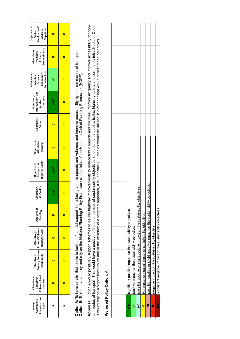| Infrastructure<br>Community<br>Aim 9- | Enhance Rural<br>Objective <sub>1</sub> :<br>Conserve/ | Protect/Enhance<br>Objective 2:                  | Protect/Enhance<br>Objective 3:                                                                                                                                                                                                                                                                                                      | Objective 4:<br>Flooding | Objective 5:<br>Air Quality | Objective 6:<br>Transport & | Objective 7:<br>Affordable | Objective 8:<br>Crime | Improve Non-Car<br>Objective 9:<br>Modes of | Objective 10:<br>Maintain/<br>Enhance | Objective 11:<br>Maintain/<br>Enhance                                                                                                                                                                                            | Objective 12:<br>Employment/<br>Stable |
|---------------------------------------|--------------------------------------------------------|--------------------------------------------------|--------------------------------------------------------------------------------------------------------------------------------------------------------------------------------------------------------------------------------------------------------------------------------------------------------------------------------------|--------------------------|-----------------------------|-----------------------------|----------------------------|-----------------------|---------------------------------------------|---------------------------------------|----------------------------------------------------------------------------------------------------------------------------------------------------------------------------------------------------------------------------------|----------------------------------------|
| Levy                                  | Character                                              | Biodiversity                                     | Heritage Assets                                                                                                                                                                                                                                                                                                                      |                          |                             | Highway Safety              | Housing                    |                       | Transport                                   | Infrastructure<br>Community           | Economic Base                                                                                                                                                                                                                    | <b>Disparities</b><br>Address          |
| ⋖                                     | 0                                                      | 0                                                | 0                                                                                                                                                                                                                                                                                                                                    | $\bullet$                |                             |                             | $\bullet$                  | $\bullet$             | ζ                                           |                                       | 0                                                                                                                                                                                                                                | $\bullet$                              |
| œ                                     | $\bullet$                                              | $\bullet$                                        | $\bullet$                                                                                                                                                                                                                                                                                                                            | $\bullet$                | $\bullet$                   | o                           | $\bullet$                  | $\bullet$             | o                                           | o                                     | $\bullet$                                                                                                                                                                                                                        | $\bullet$                              |
|                                       |                                                        |                                                  | Option A: To have an aim that seeks to facilitate financial support for reducing vehicle speeds and volumes and improve accessibility by non-car modes of transport.<br>Option B: To not have a policy and rely on the National P                                                                                                    |                          |                             |                             |                            |                       |                                             |                                       |                                                                                                                                                                                                                                  |                                        |
|                                       |                                                        |                                                  | Appraisal: Option A would positively support schemes to deliver highway improvements to reduce traffic speeds and volumes, improve air quality and improve accessibility for non-<br>car modes of transport. This would have a positive effect on a number<br>B would rely on a higher level policy and in the absence of a targeted |                          |                             |                             |                            |                       |                                             |                                       | of sustainability objectives in relation to air quality, traffic, highway safety and community infrastructure. Option<br>approach, it is uncertain CIL monies would be utilised in a manner that would benefit these objectives. |                                        |
|                                       | Preferred Policy Option: A                             |                                                  |                                                                                                                                                                                                                                                                                                                                      |                          |                             |                             |                            |                       |                                             |                                       |                                                                                                                                                                                                                                  |                                        |
|                                       |                                                        |                                                  |                                                                                                                                                                                                                                                                                                                                      |                          |                             |                             |                            |                       |                                             |                                       |                                                                                                                                                                                                                                  |                                        |
|                                       |                                                        |                                                  |                                                                                                                                                                                                                                                                                                                                      |                          |                             |                             |                            |                       |                                             |                                       |                                                                                                                                                                                                                                  |                                        |
|                                       |                                                        |                                                  | significant positive impact on the sustainability objectives.                                                                                                                                                                                                                                                                        |                          |                             |                             |                            |                       |                                             |                                       |                                                                                                                                                                                                                                  |                                        |
| Š                                     |                                                        | positive impact on the sustainability objective. |                                                                                                                                                                                                                                                                                                                                      |                          |                             |                             |                            |                       |                                             |                                       |                                                                                                                                                                                                                                  |                                        |
| نځ                                    |                                                        |                                                  | possible positive or slight positive impact on the sustainability                                                                                                                                                                                                                                                                    |                          | objectives.                 |                             |                            |                       |                                             |                                       |                                                                                                                                                                                                                                  |                                        |
| $\bullet$                             |                                                        |                                                  | No impact or neutral impact of sustainability objectives.                                                                                                                                                                                                                                                                            |                          |                             |                             |                            |                       |                                             |                                       |                                                                                                                                                                                                                                  |                                        |
| Xč                                    |                                                        |                                                  | possible negative or slight negative impact on the sustainability objectives.                                                                                                                                                                                                                                                        |                          |                             |                             |                            |                       |                                             |                                       |                                                                                                                                                                                                                                  |                                        |
| ×                                     |                                                        |                                                  | negative impact on the sustainability objective.                                                                                                                                                                                                                                                                                     |                          |                             |                             |                            |                       |                                             |                                       |                                                                                                                                                                                                                                  |                                        |

×

significant negative impact on the sustainability objectives. ✖✖ significant negative impact on the sustainability objectives.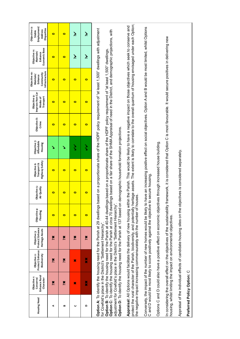| <b>Housing Need</b> | Enhance Rural<br>Objective 1:<br>Conserve/<br>Character                                                                                                                                                                                                                                                                                                                                                                                                        | Protect/Enhance<br>Biodiversity<br>Objective 2: | Protect/Enhance<br>Heritage Assets<br>Objective 3: | Objective 4:<br>Flooding | Objective 5:<br>Air Quality | <b>Highway Safety</b><br>Transport &<br>Objective 6:                                                                                                                                                                                                                                                                                                                         | Objective 7:<br>Affordable<br>Housing | Objective 8:<br>Crime | Improve Non-Car<br>Objective 9:<br>Transport<br>Modes of | Infrastructure<br>Objective 10:<br>Community<br>Maintain/<br>Enhance | Economic Base<br>Objective 11:<br>Maintain/<br>Enhance | Employment/<br>Objective 12:<br>Disparities<br>Address<br><b>Stable</b> |
|---------------------|----------------------------------------------------------------------------------------------------------------------------------------------------------------------------------------------------------------------------------------------------------------------------------------------------------------------------------------------------------------------------------------------------------------------------------------------------------------|-------------------------------------------------|----------------------------------------------------|--------------------------|-----------------------------|------------------------------------------------------------------------------------------------------------------------------------------------------------------------------------------------------------------------------------------------------------------------------------------------------------------------------------------------------------------------------|---------------------------------------|-----------------------|----------------------------------------------------------|----------------------------------------------------------------------|--------------------------------------------------------|-------------------------------------------------------------------------|
| ⋖                   | Xč                                                                                                                                                                                                                                                                                                                                                                                                                                                             | Xč                                              | ×                                                  | $\bullet$                | $\bullet$                   | $\bullet$                                                                                                                                                                                                                                                                                                                                                                    | ↘                                     | $\bullet$             | $\bullet$                                                | $\bullet$                                                            | $\bullet$                                              | $\bullet$                                                               |
| œ                   | Xč                                                                                                                                                                                                                                                                                                                                                                                                                                                             | Xč                                              | Xč                                                 | $\bullet$                | $\bullet$                   | $\bullet$                                                                                                                                                                                                                                                                                                                                                                    | ١                                     | $\bullet$             | $\bullet$                                                | $\bullet$                                                            | $\bullet$                                              | $\bullet$                                                               |
| C                   | ×                                                                                                                                                                                                                                                                                                                                                                                                                                                              | ×                                               | Xč                                                 | $\bullet$                | $\bullet$                   | $\bullet$                                                                                                                                                                                                                                                                                                                                                                    | ζ                                     | $\bullet$             | $\bullet$                                                | $\bullet$                                                            | نځ                                                     | نخر                                                                     |
| $\Omega$            | ×                                                                                                                                                                                                                                                                                                                                                                                                                                                              | ×                                               | Xč                                                 | $\bullet$                | $\bullet$                   | $\bullet$                                                                                                                                                                                                                                                                                                                                                                    | ζ                                     | $\bullet$             | $\bullet$                                                | $\bullet$                                                            | نځ                                                     | نخر                                                                     |
|                     | Option A: To identify the housing need for the Parish at 29 dwellings b<br>Option B: To identify the housing need for the Parish at 40-44 dwelling<br>Option D: To identify the housing need for the Parish at 137 based on<br>Option C: To identify the housing need for the Parish at circa 70 dwell<br>adjustment for Cowfold's place in the District's "Settlement Hierarchy".<br>for Cowfold's place in the District's "Settlement Hierarchy"             |                                                 |                                                    |                          |                             | ased on a proportionate share of the HDPF policy requirement of "at least 1,500" dwellings with adjustment<br>ings based on a fair share of the SHMA Appraisal of need in the District, and demographic projections, with<br>as based on a proportionate share of the HDPF policy requirement of "at least 1,500" dwellings.<br>demographic household formation projections. |                                       |                       |                                                          |                                                                      |                                                        |                                                                         |
|                     | protect the rural character of the Parish, biodiversity, and potentially heritage assets. The extent is likely to correlate to the overall quantum of housing envisaged under each Option;<br>Appraisal: All Options would facilitate the delivery of new housing within the Parish. This would be likely to have a negative impact on those objectives which seek to conserve and<br>the negative impact increasing commensurately with the number of houses. |                                                 |                                                    |                          |                             |                                                                                                                                                                                                                                                                                                                                                                              |                                       |                       |                                                          |                                                                      |                                                        |                                                                         |
|                     | Conversely, the impact of the number of new homes would be likely to have an increasing positive effect on social objectives. Option A and B would be most limited, whilst Options<br>C and D would be most likely to score positively against the objective to secure housing.                                                                                                                                                                                |                                                 |                                                    |                          |                             |                                                                                                                                                                                                                                                                                                                                                                              |                                       |                       |                                                          |                                                                      |                                                        |                                                                         |
|                     | Options C and D could also have a positive effect on economic objectiv                                                                                                                                                                                                                                                                                                                                                                                         |                                                 |                                                    |                          |                             | res through increased house building.                                                                                                                                                                                                                                                                                                                                        |                                       |                       |                                                          |                                                                      |                                                        |                                                                         |
|                     | In considering the overall effect on the objectives of the sustainability fr<br>housing, whilst limiting the impact on environmental objectives.                                                                                                                                                                                                                                                                                                               |                                                 |                                                    |                          |                             | amework, it is considered that Option C is most favourable. It would secure positives in delivering new                                                                                                                                                                                                                                                                      |                                       |                       |                                                          |                                                                      |                                                        |                                                                         |
|                     | Appraisal of the individual effects of candidate housing sites on the objectives is considered separately.                                                                                                                                                                                                                                                                                                                                                     |                                                 |                                                    |                          |                             |                                                                                                                                                                                                                                                                                                                                                                              |                                       |                       |                                                          |                                                                      |                                                        |                                                                         |
|                     | Preferred Policy Option: C                                                                                                                                                                                                                                                                                                                                                                                                                                     |                                                 |                                                    |                          |                             |                                                                                                                                                                                                                                                                                                                                                                              |                                       |                       |                                                          |                                                                      |                                                        |                                                                         |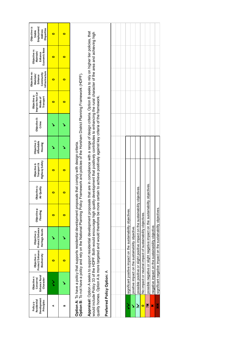| Development<br>Residential<br>Principles<br>Policy 9- | Enhance Rural<br>Objective <sub>1</sub> :<br>Conserve/<br>Character                                                                                                                                                                                                                                                                                                                                                                                                                                                | Protect/Enhance<br>Biodiversity<br>Objective 2:                   | Protect/Enhance<br>Heritage Assets<br>Objective 3: | Objective 4:<br>Flooding | Objective 5:<br>Air Quality | Highway Safety<br>Objective 6:<br>Transport & | Objective 7:<br>Affordable<br>Housing | Objective 8:<br>Crime | Improve Non-Car<br>Objective 9:<br>Transport<br>Modes of | Infrastructure<br>Objective 10:<br>Community<br>Maintain/<br>Enhance | Economic Base<br>Objective 11:<br>Maintain/<br>Enhance | Employment/<br>Objective 12:<br>Disparities<br>Address<br>Stable |
|-------------------------------------------------------|--------------------------------------------------------------------------------------------------------------------------------------------------------------------------------------------------------------------------------------------------------------------------------------------------------------------------------------------------------------------------------------------------------------------------------------------------------------------------------------------------------------------|-------------------------------------------------------------------|----------------------------------------------------|--------------------------|-----------------------------|-----------------------------------------------|---------------------------------------|-----------------------|----------------------------------------------------------|----------------------------------------------------------------------|--------------------------------------------------------|------------------------------------------------------------------|
| ⋖                                                     |                                                                                                                                                                                                                                                                                                                                                                                                                                                                                                                    | $\bullet$                                                         |                                                    | $\bullet$                | $\bullet$                   | $\bullet$                                     |                                       |                       | $\bullet$                                                | $\bullet$                                                            | 0                                                      | $\bullet$                                                        |
| ≃                                                     |                                                                                                                                                                                                                                                                                                                                                                                                                                                                                                                    | $\bullet$                                                         |                                                    | $\bullet$                | $\bullet$                   | $\bullet$                                     |                                       |                       | $\bullet$                                                | $\bullet$                                                            | 0                                                      | $\bullet$                                                        |
|                                                       | Option A: To have a policy that supports residential development proposals that comply with design criteria.<br>Option B: To not have a policy and rely on the National Planning Policy Framework and policies of the Horsham Dis                                                                                                                                                                                                                                                                                  |                                                                   |                                                    |                          |                             |                                               |                                       |                       |                                                          |                                                                      |                                                        |                                                                  |
|                                                       | Appraisal: Option A seeks to support residential development proposals that are in compliance with a range of design criteria. Option B seeks to rely on higher tier policies, that<br>would include Policy 33 of the HDPF. Both would encourage high quality development that positively contributes to enhancing the rural character of the area and achieving high<br>quality homes. Option A is more targeted and would therefore be more certain to achieve positively against key criteria of the framework. |                                                                   |                                                    |                          |                             |                                               |                                       |                       |                                                          |                                                                      |                                                        |                                                                  |
|                                                       | Preferred Policy Option: A                                                                                                                                                                                                                                                                                                                                                                                                                                                                                         |                                                                   |                                                    |                          |                             |                                               |                                       |                       |                                                          |                                                                      |                                                        |                                                                  |
|                                                       |                                                                                                                                                                                                                                                                                                                                                                                                                                                                                                                    |                                                                   |                                                    |                          |                             |                                               |                                       |                       |                                                          |                                                                      |                                                        |                                                                  |
| ゝ                                                     |                                                                                                                                                                                                                                                                                                                                                                                                                                                                                                                    | significant positive impact on the sustainability objectives.     |                                                    |                          |                             |                                               |                                       |                       |                                                          |                                                                      |                                                        |                                                                  |
| Š                                                     |                                                                                                                                                                                                                                                                                                                                                                                                                                                                                                                    | positive impact on the sustainability objective.                  |                                                    |                          |                             |                                               |                                       |                       |                                                          |                                                                      |                                                        |                                                                  |
| نر                                                    |                                                                                                                                                                                                                                                                                                                                                                                                                                                                                                                    | possible positive or slight positive impact on the sustainability |                                                    |                          | objectives.                 |                                               |                                       |                       |                                                          |                                                                      |                                                        |                                                                  |
| o                                                     |                                                                                                                                                                                                                                                                                                                                                                                                                                                                                                                    | No impact or neutral impact of sustainability objectives.         |                                                    |                          |                             |                                               |                                       |                       |                                                          |                                                                      |                                                        |                                                                  |
| Xč                                                    |                                                                                                                                                                                                                                                                                                                                                                                                                                                                                                                    | possible negative or slight negative impact on the sustainabil    |                                                    |                          | ity objectives              |                                               |                                       |                       |                                                          |                                                                      |                                                        |                                                                  |
| ×                                                     |                                                                                                                                                                                                                                                                                                                                                                                                                                                                                                                    | negative impact on the sustainability objective.                  |                                                    |                          |                             |                                               |                                       |                       |                                                          |                                                                      |                                                        |                                                                  |
| ×                                                     |                                                                                                                                                                                                                                                                                                                                                                                                                                                                                                                    | significant negative impact on the sustainability objectives.     |                                                    |                          |                             |                                               |                                       |                       |                                                          |                                                                      |                                                        |                                                                  |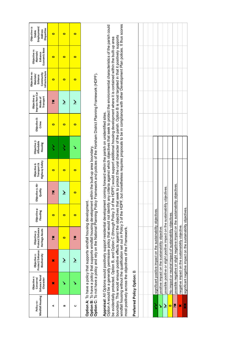| Windfall Housing<br>Policy 10- | Enhance Rural<br>Objective <sub>1</sub> :<br>Conserve/<br>Character                                                                                                                                                                                                                                                                                                                                                                                                                                                                                                                                                                                                                                                                                                                                                                                                                                                                                                                                                                                                                                                                                    | Protect/Enhance<br>Biodiversity<br>Objective 2:                               | Protect/Enhance<br>Heritage Assets<br>Objective 3: | Objective 4:<br>Flooding | Objective 5: Air<br>Quality | Highway Safety<br>Objective 6:<br>Transport &                                                                    | Objective 7:<br>Affordable<br>Housing | Objective 8:<br>Crime | Improve Non-Car<br>Objective 9:<br>Modes of<br>Transport | Infrastructure<br>Community<br>Objective 10:<br>Maintain/<br>Enhance | Economic Base<br>Objective 11:<br>Maintain/<br>Enhance |  |
|--------------------------------|--------------------------------------------------------------------------------------------------------------------------------------------------------------------------------------------------------------------------------------------------------------------------------------------------------------------------------------------------------------------------------------------------------------------------------------------------------------------------------------------------------------------------------------------------------------------------------------------------------------------------------------------------------------------------------------------------------------------------------------------------------------------------------------------------------------------------------------------------------------------------------------------------------------------------------------------------------------------------------------------------------------------------------------------------------------------------------------------------------------------------------------------------------|-------------------------------------------------------------------------------|----------------------------------------------------|--------------------------|-----------------------------|------------------------------------------------------------------------------------------------------------------|---------------------------------------|-----------------------|----------------------------------------------------------|----------------------------------------------------------------------|--------------------------------------------------------|--|
| ⋖                              | ×                                                                                                                                                                                                                                                                                                                                                                                                                                                                                                                                                                                                                                                                                                                                                                                                                                                                                                                                                                                                                                                                                                                                                      | ×                                                                             | Xč                                                 | $\bullet$                | Xč                          | $\bullet$                                                                                                        | ミ                                     | $\bullet$             | Xč                                                       | $\bullet$                                                            | $\bullet$                                              |  |
| B                              | ↘                                                                                                                                                                                                                                                                                                                                                                                                                                                                                                                                                                                                                                                                                                                                                                                                                                                                                                                                                                                                                                                                                                                                                      | نخر                                                                           | $\bullet$                                          | $\bullet$                | نۇ                          | $\bullet$                                                                                                        | ζ                                     | $\bullet$             | نخر                                                      | $\bullet$                                                            | $\bullet$                                              |  |
| C                              | ١                                                                                                                                                                                                                                                                                                                                                                                                                                                                                                                                                                                                                                                                                                                                                                                                                                                                                                                                                                                                                                                                                                                                                      | نۇ                                                                            | Xč                                                 | $\bullet$                | $\bullet$                   | 0                                                                                                                | ١                                     | $\bullet$             | نخر                                                      | 0                                                                    | $\bullet$                                              |  |
|                                | windfall housing without the qualification set out in Policy 3 of the HDPF, but nonetheless requires proposals to be in compliance with other Development Plan polices. It thus scores<br>boundary. This would ensure positive effects against the objectives that seek to protect the rural character of the parish. Option B is most targeted in that it positively supports<br>be evidentially protected. Option B, and Option C (through Policy 3 of the HDPF) would support additional housing development where it is contained within the built-up area<br>Option B: To have a policy that supports windfall housing development within the bulit-up area boundary.<br>Option C: To not have a policy and rely on the National Planning Policy Framework and policies of the Horsham Distric<br>Appraisal: All Options would positively support residential development coming forward within the parish on unidentified sites.<br>Option A: To have a policy that supports windfall housing development.<br>Option A would be a generally permissive policy that would not identify<br>nost positively across the objectives of the Framework. |                                                                               |                                                    |                          |                             | any criteria against which objectives that seek to protect the environmental characteristics of the parish could |                                       |                       |                                                          |                                                                      |                                                        |  |
|                                | Preferred Policy Option: B                                                                                                                                                                                                                                                                                                                                                                                                                                                                                                                                                                                                                                                                                                                                                                                                                                                                                                                                                                                                                                                                                                                             |                                                                               |                                                    |                          |                             |                                                                                                                  |                                       |                       |                                                          |                                                                      |                                                        |  |
|                                |                                                                                                                                                                                                                                                                                                                                                                                                                                                                                                                                                                                                                                                                                                                                                                                                                                                                                                                                                                                                                                                                                                                                                        |                                                                               |                                                    |                          |                             |                                                                                                                  |                                       |                       |                                                          |                                                                      |                                                        |  |
|                                |                                                                                                                                                                                                                                                                                                                                                                                                                                                                                                                                                                                                                                                                                                                                                                                                                                                                                                                                                                                                                                                                                                                                                        |                                                                               |                                                    |                          |                             |                                                                                                                  |                                       |                       |                                                          |                                                                      |                                                        |  |
| $\checkmark$                   |                                                                                                                                                                                                                                                                                                                                                                                                                                                                                                                                                                                                                                                                                                                                                                                                                                                                                                                                                                                                                                                                                                                                                        | significant positive impact on the sustainability objectives.                 |                                                    |                          |                             |                                                                                                                  |                                       |                       |                                                          |                                                                      |                                                        |  |
| Š                              |                                                                                                                                                                                                                                                                                                                                                                                                                                                                                                                                                                                                                                                                                                                                                                                                                                                                                                                                                                                                                                                                                                                                                        | positive impact on the sustainability objective.                              |                                                    |                          |                             |                                                                                                                  |                                       |                       |                                                          |                                                                      |                                                        |  |
| نځ                             |                                                                                                                                                                                                                                                                                                                                                                                                                                                                                                                                                                                                                                                                                                                                                                                                                                                                                                                                                                                                                                                                                                                                                        | possible positive or slight positive impact on the sustainability             |                                                    |                          | objectives.                 |                                                                                                                  |                                       |                       |                                                          |                                                                      |                                                        |  |
| $\bullet$                      |                                                                                                                                                                                                                                                                                                                                                                                                                                                                                                                                                                                                                                                                                                                                                                                                                                                                                                                                                                                                                                                                                                                                                        | No impact or neutral impact of sustainability objectives                      |                                                    |                          |                             |                                                                                                                  |                                       |                       |                                                          |                                                                      |                                                        |  |
| Xč                             |                                                                                                                                                                                                                                                                                                                                                                                                                                                                                                                                                                                                                                                                                                                                                                                                                                                                                                                                                                                                                                                                                                                                                        | possible negative or slight negative impact on the sustainability objectives. |                                                    |                          |                             |                                                                                                                  |                                       |                       |                                                          |                                                                      |                                                        |  |
| ×                              |                                                                                                                                                                                                                                                                                                                                                                                                                                                                                                                                                                                                                                                                                                                                                                                                                                                                                                                                                                                                                                                                                                                                                        | negative impact on the sustainability objective.                              |                                                    |                          |                             |                                                                                                                  |                                       |                       |                                                          |                                                                      |                                                        |  |

significant negative impact on the sustainability objectives. ✖✖ significant negative impact on the sustainability objectives.

××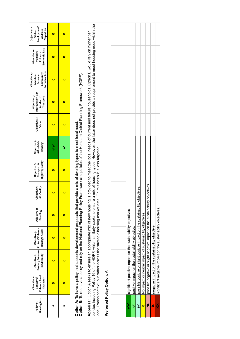| <b>Housing Mix</b><br>Policy 13- | Enhance Rural<br>Objective <sub>1</sub> :<br>Character<br>Conserve/ | Protect/Enhance<br>Biodiversity<br>Objective 2: | Protect/Enhance<br>Heritage Assets<br>Objective 3:                                                                                                                                                                                                                                                                                       | Objective 4:<br>Flooding | Objective 5:<br>Air Quality | Highway Safety<br>Objective 6:<br>Transport & | Objective 7:<br>Affordable<br>Housing | Objective 8:<br>Crime | Improve Non-Car<br>Objective 9:<br>Transport<br>Modes of                                                    | Infrastructure<br>Objective 10:<br>Community<br>Maintain/<br>Enhance | Economic Base<br>Objective 11:<br>Maintain/<br>Enhance | Objective 12:<br>Employment/<br>Disparities<br>Address<br>Stable |
|----------------------------------|---------------------------------------------------------------------|-------------------------------------------------|------------------------------------------------------------------------------------------------------------------------------------------------------------------------------------------------------------------------------------------------------------------------------------------------------------------------------------------|--------------------------|-----------------------------|-----------------------------------------------|---------------------------------------|-----------------------|-------------------------------------------------------------------------------------------------------------|----------------------------------------------------------------------|--------------------------------------------------------|------------------------------------------------------------------|
| ⋖                                | $\bullet$                                                           | 0                                               | 0                                                                                                                                                                                                                                                                                                                                        | $\bullet$                | $\bullet$                   | o                                             | ζ                                     | $\bullet$             | $\bullet$                                                                                                   | 0                                                                    | $\bullet$                                              | $\bullet$                                                        |
| œ                                | $\bullet$                                                           | $\bullet$                                       | $\bullet$                                                                                                                                                                                                                                                                                                                                | $\bullet$                | $\bullet$                   | $\bullet$                                     |                                       | $\bullet$             | $\bullet$                                                                                                   | $\bullet$                                                            | $\bullet$                                              | $\bullet$                                                        |
|                                  |                                                                     |                                                 | Option B: To not have a policy and rely on the National Planning Policy Framework and policies of the Horsham District Planning Framework (HDPF).<br>Option A: To have a policy that supports development proposals that provide a mix of dwelling types to meet local need                                                              |                          |                             |                                               |                                       |                       |                                                                                                             |                                                                      |                                                        |                                                                  |
|                                  |                                                                     |                                                 | policies including Policy 16 of the HDPF, which similarly seeks to ensure a mix of housing types. However, the latter does not provide a requirement to meet housing need within the<br>Appraisal: Option A seeks to ensure an appropriate mix of new housin<br>local, Parish context, but rather across the strategic housing market ar |                          |                             | ea. On this basis it is less targeted.        |                                       |                       | og is provided to meet the local needs of current and future households. Option B would rely on higher tier |                                                                      |                                                        |                                                                  |
|                                  | Preferred Policy Option: A                                          |                                                 |                                                                                                                                                                                                                                                                                                                                          |                          |                             |                                               |                                       |                       |                                                                                                             |                                                                      |                                                        |                                                                  |
|                                  |                                                                     |                                                 |                                                                                                                                                                                                                                                                                                                                          |                          |                             |                                               |                                       |                       |                                                                                                             |                                                                      |                                                        |                                                                  |
|                                  |                                                                     |                                                 |                                                                                                                                                                                                                                                                                                                                          |                          |                             |                                               |                                       |                       |                                                                                                             |                                                                      |                                                        |                                                                  |
| $\checkmark$                     |                                                                     |                                                 | significant positive impact on the sustainability objectives.                                                                                                                                                                                                                                                                            |                          |                             |                                               |                                       |                       |                                                                                                             |                                                                      |                                                        |                                                                  |
| Š                                |                                                                     |                                                 | positive impact on the sustainability objective.                                                                                                                                                                                                                                                                                         |                          |                             |                                               |                                       |                       |                                                                                                             |                                                                      |                                                        |                                                                  |
| نخر                              |                                                                     |                                                 | possible positive or slight positive impact on the sustainability                                                                                                                                                                                                                                                                        |                          | objectives.                 |                                               |                                       |                       |                                                                                                             |                                                                      |                                                        |                                                                  |
| $\bullet$                        |                                                                     |                                                 | No impact or neutral impact of sustainability objectives.                                                                                                                                                                                                                                                                                |                          |                             |                                               |                                       |                       |                                                                                                             |                                                                      |                                                        |                                                                  |
| Xč                               |                                                                     |                                                 | possible negative or slight negative impact on the sustainability objectives                                                                                                                                                                                                                                                             |                          |                             |                                               |                                       |                       |                                                                                                             |                                                                      |                                                        |                                                                  |
| ×                                |                                                                     |                                                 | negative impact on the sustainability objective.                                                                                                                                                                                                                                                                                         |                          |                             |                                               |                                       |                       |                                                                                                             |                                                                      |                                                        |                                                                  |
| ×                                |                                                                     |                                                 | significant negative impact on the sustainability objectives.                                                                                                                                                                                                                                                                            |                          |                             |                                               |                                       |                       |                                                                                                             |                                                                      |                                                        |                                                                  |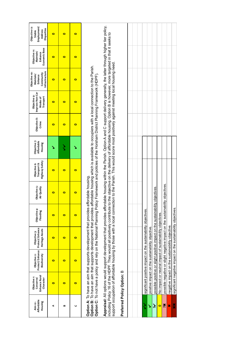|                                  |                                                         |                                                                                                                                                                                                                                                                                                                                                                                                                                                          |                                                    |                          |                             |                                               |                                       |                       |                                                                                         | Objective 10:                                       |                                                        |
|----------------------------------|---------------------------------------------------------|----------------------------------------------------------------------------------------------------------------------------------------------------------------------------------------------------------------------------------------------------------------------------------------------------------------------------------------------------------------------------------------------------------------------------------------------------------|----------------------------------------------------|--------------------------|-----------------------------|-----------------------------------------------|---------------------------------------|-----------------------|-----------------------------------------------------------------------------------------|-----------------------------------------------------|--------------------------------------------------------|
| Affordable<br>Housing<br>Aim 10- | Enhance Rural<br>Objective t:<br>Conserve/<br>Character | Protect/Enhance<br>Biodiversity<br>Objective 2:                                                                                                                                                                                                                                                                                                                                                                                                          | Protect/Enhance<br>Heritage Assets<br>Objective 3: | Objective 4:<br>Flooding | Objective 5:<br>Air Quality | Highway Safety<br>Transport &<br>Objective 6: | Objective 7:<br>Affordable<br>Housing | Objective 8:<br>Crime | Improve Non-Car<br>Objective 9:<br>Transport<br>Modes of                                | Infrastructure<br>Community<br>Maintain/<br>Enhance | Economic Base<br>Objective 11:<br>Maintain/<br>Enhance |
| ¢                                | $\bullet$                                               | 0                                                                                                                                                                                                                                                                                                                                                                                                                                                        | $\bullet$                                          | $\bullet$                | $\bullet$                   | 0                                             |                                       | $\bullet$             | $\bullet$                                                                               | $\bullet$                                           | $\bullet$                                              |
| B                                | $\bullet$                                               | $\bullet$                                                                                                                                                                                                                                                                                                                                                                                                                                                | $\bullet$                                          | $\bullet$                | $\bullet$                   | 0                                             | ζ                                     | $\bullet$             | $\bullet$                                                                               | $\bullet$                                           | $\bullet$                                              |
| $\mathbf C$                      | $\bullet$                                               | $\bullet$                                                                                                                                                                                                                                                                                                                                                                                                                                                | $\bullet$                                          | $\bullet$                | $\bullet$                   | $\bullet$                                     | ١                                     | $\bullet$             | $\bullet$                                                                               | $\bullet$                                           | $\bullet$                                              |
|                                  |                                                         | Option B: To have an aim that supports development that provides affordable housing which is available to occupiers with a local connection to the Parish.<br>Option C: To not have a policy and rely on the National Planning Policy Framework and policies of the Horsham District Planning Framework (HDPF).<br>Option A: To have an aim that supports development that provides affordable housing.                                                  |                                                    |                          |                             |                                               |                                       |                       |                                                                                         |                                                     |                                                        |
|                                  |                                                         | Appraisal: All options would support development that provides affordable housing within the Parish. Option A and C support delivery generally, the latter through higher tier policy,<br>including Policy 16 of the HDPF. They would all positively contribute to the objective on the delivery of affordable housing. Option B is however, more targeted in that it seeks to<br>support occupation of affordable housing by those with a local connect |                                                    |                          |                             |                                               |                                       |                       | ion to the Parish. This would score most positively against meeting local housing need. |                                                     |                                                        |
|                                  | Preferred Policy Option: B                              |                                                                                                                                                                                                                                                                                                                                                                                                                                                          |                                                    |                          |                             |                                               |                                       |                       |                                                                                         |                                                     |                                                        |
|                                  |                                                         |                                                                                                                                                                                                                                                                                                                                                                                                                                                          |                                                    |                          |                             |                                               |                                       |                       |                                                                                         |                                                     |                                                        |
| ゝ                                |                                                         | significant positive impact on the sustainability objectives.                                                                                                                                                                                                                                                                                                                                                                                            |                                                    |                          |                             |                                               |                                       |                       |                                                                                         |                                                     |                                                        |
| ゝ                                |                                                         | positive impact on the sustainability objective.                                                                                                                                                                                                                                                                                                                                                                                                         |                                                    |                          |                             |                                               |                                       |                       |                                                                                         |                                                     |                                                        |
| نخر                              |                                                         | possible positive or slight positive impact on the sustainability                                                                                                                                                                                                                                                                                                                                                                                        |                                                    |                          | objectives.                 |                                               |                                       |                       |                                                                                         |                                                     |                                                        |
| $\bullet$                        |                                                         | No impact or neutral impact of sustainability objectives.                                                                                                                                                                                                                                                                                                                                                                                                |                                                    |                          |                             |                                               |                                       |                       |                                                                                         |                                                     |                                                        |
| Xč                               |                                                         | possible negative or slight negative impact on the sustainability objectives                                                                                                                                                                                                                                                                                                                                                                             |                                                    |                          |                             |                                               |                                       |                       |                                                                                         |                                                     |                                                        |
| ×                                |                                                         | negative impact on the sustainability objective.                                                                                                                                                                                                                                                                                                                                                                                                         |                                                    |                          |                             |                                               |                                       |                       |                                                                                         |                                                     |                                                        |
| ××                               |                                                         | significant negative impact on the sustainability objectives.                                                                                                                                                                                                                                                                                                                                                                                            |                                                    |                          |                             |                                               |                                       |                       |                                                                                         |                                                     |                                                        |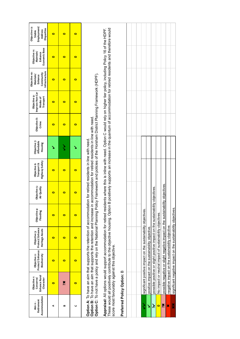| Accommodation<br>Retirement<br>Aim 11- | Enhance Rural<br>Objective <sub>1</sub> :<br>Conserve/<br>Character | Protect/Enhance<br>Biodiversity<br>Objective 2:  | Protect/Enhance<br>Heritage Assets<br>Objective 3:                                                                                                                                                                                                                                                                                                                                               | Objective 4:<br>Flooding | Objective 5:<br>Air Quality | Highway Safety<br>Transport &<br>Objective 6: | Objective 7:<br>Affordable<br>Housing | Objective 8:<br>Crime | Improve Non-Car<br>Objective 9:<br>Transport<br>Modes of | Infrastructure<br>Objective 10:<br>Community<br>Maintain/<br>Enhance | Economic Base<br>Objective 11:<br>Maintain/<br>Enhance                                                    | Employment/<br>Objective 12:<br>Disparities<br>Address<br>Stable |
|----------------------------------------|---------------------------------------------------------------------|--------------------------------------------------|--------------------------------------------------------------------------------------------------------------------------------------------------------------------------------------------------------------------------------------------------------------------------------------------------------------------------------------------------------------------------------------------------|--------------------------|-----------------------------|-----------------------------------------------|---------------------------------------|-----------------------|----------------------------------------------------------|----------------------------------------------------------------------|-----------------------------------------------------------------------------------------------------------|------------------------------------------------------------------|
| ¢                                      | $\bullet$                                                           | $\bullet$                                        | $\bullet$                                                                                                                                                                                                                                                                                                                                                                                        | $\bullet$                | $\bullet$                   | $\bullet$                                     |                                       | $\bullet$             | $\bullet$                                                | $\bullet$                                                            | $\bullet$                                                                                                 | $\bullet$                                                        |
| œ                                      | Xč                                                                  | $\bullet$                                        | $\bullet$                                                                                                                                                                                                                                                                                                                                                                                        | $\bullet$                | $\bullet$                   | $\bullet$                                     | ζ                                     | $\bullet$             | $\bullet$                                                | $\bullet$                                                            | $\bullet$                                                                                                 | $\bullet$                                                        |
| Ō                                      | $\bullet$                                                           | $\bullet$                                        | $\bullet$                                                                                                                                                                                                                                                                                                                                                                                        | $\bullet$                | $\bullet$                   | $\bullet$                                     | ↘                                     | $\bullet$             | $\bullet$                                                | $\bullet$                                                            | $\bullet$                                                                                                 | $\bullet$                                                        |
|                                        |                                                                     |                                                  | Option C: To not have a policy and rely on the National Planning Policy Framework and policies of the Horsham District Planning Framework (HDPF)<br>Option B: To have an aim that supports the retention and increase in accommodation for retired residents in line with need.<br>Option A: To have an aim that supports the retention of accommodation for retired residents in line with need |                          |                             |                                               |                                       |                       |                                                          |                                                                      |                                                                                                           |                                                                  |
|                                        | score most favourably against this objective.                       |                                                  | Appraisal: All options would support accommodation for retired residents where this is inline with need. Option C would rely on higher tier policy, including Policy 16 of the HDPF.<br>These would all positively contribute to the objective housing. Option B                                                                                                                                 |                          |                             |                                               |                                       |                       |                                                          |                                                                      | positively supports an increase in the quantum of accommodation for retired residents and therefore would |                                                                  |
|                                        | Preferred Policy Option: B                                          |                                                  |                                                                                                                                                                                                                                                                                                                                                                                                  |                          |                             |                                               |                                       |                       |                                                          |                                                                      |                                                                                                           |                                                                  |
|                                        |                                                                     |                                                  |                                                                                                                                                                                                                                                                                                                                                                                                  |                          |                             |                                               |                                       |                       |                                                          |                                                                      |                                                                                                           |                                                                  |
|                                        |                                                                     |                                                  |                                                                                                                                                                                                                                                                                                                                                                                                  |                          |                             |                                               |                                       |                       |                                                          |                                                                      |                                                                                                           |                                                                  |
| ミ                                      |                                                                     |                                                  | significant positive impact on the sustainability objectives.                                                                                                                                                                                                                                                                                                                                    |                          |                             |                                               |                                       |                       |                                                          |                                                                      |                                                                                                           |                                                                  |
| Š                                      |                                                                     | positive impact on the sustainability objective. |                                                                                                                                                                                                                                                                                                                                                                                                  |                          |                             |                                               |                                       |                       |                                                          |                                                                      |                                                                                                           |                                                                  |
| $\tilde{\bm{z}}$                       |                                                                     |                                                  | possible positive or slight positive impact on the sustainability                                                                                                                                                                                                                                                                                                                                |                          | objectives.                 |                                               |                                       |                       |                                                          |                                                                      |                                                                                                           |                                                                  |
| $\bullet$                              |                                                                     |                                                  | No impact or neutral impact of sustainability objectives.                                                                                                                                                                                                                                                                                                                                        |                          |                             |                                               |                                       |                       |                                                          |                                                                      |                                                                                                           |                                                                  |
| Xč                                     |                                                                     |                                                  | possible negative or slight negative impact on the sustainability objectives.                                                                                                                                                                                                                                                                                                                    |                          |                             |                                               |                                       |                       |                                                          |                                                                      |                                                                                                           |                                                                  |
| ×                                      |                                                                     |                                                  | negative impact on the sustainability objective.                                                                                                                                                                                                                                                                                                                                                 |                          |                             |                                               |                                       |                       |                                                          |                                                                      |                                                                                                           |                                                                  |
| ×                                      |                                                                     |                                                  | significant negative impact on the sustainability objectives.                                                                                                                                                                                                                                                                                                                                    |                          |                             |                                               |                                       |                       |                                                          |                                                                      |                                                                                                           |                                                                  |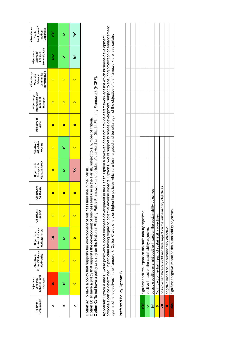| Employment<br>Policy <sub>14</sub> - | Enhance Rural<br>Objective <sub>1</sub> :<br>Character<br>Conserve/                                                                                                                                                                                                                                                                                                                                                                                                                                                                                  | Protect/Enhance<br>Objective 2:<br>Biodiversity  | Protect/Enhance<br>Heritage Assets<br>Objective 3:                           | Objective 4:<br>Flooding | Objective 5:<br>Air Quality | Highway Safety<br>Objective 6:<br>Transport & | Affordable<br>Objective 7:<br>Housing | Objective 8:<br>Crime | Improve Non-Car<br>Objective 9:<br>Modes of<br>Transport | Infrastructure<br>Objective 10:<br>Community<br>Enhance<br>Maintain/ | Economic Base<br>Objective 11:<br>Maintain/<br>Enhance | Employment/<br>Objective 12:<br>Disparities<br>Address<br>Stable |
|--------------------------------------|------------------------------------------------------------------------------------------------------------------------------------------------------------------------------------------------------------------------------------------------------------------------------------------------------------------------------------------------------------------------------------------------------------------------------------------------------------------------------------------------------------------------------------------------------|--------------------------------------------------|------------------------------------------------------------------------------|--------------------------|-----------------------------|-----------------------------------------------|---------------------------------------|-----------------------|----------------------------------------------------------|----------------------------------------------------------------------|--------------------------------------------------------|------------------------------------------------------------------|
| ⋖                                    | ×                                                                                                                                                                                                                                                                                                                                                                                                                                                                                                                                                    | $\bullet$                                        | X                                                                            | $\bullet$                | $\bullet$                   | $\bullet$                                     | $\bullet$                             | $\bullet$             | $\bullet$                                                | $\bullet$                                                            | ζ                                                      | ゝ                                                                |
| œ                                    | ↘                                                                                                                                                                                                                                                                                                                                                                                                                                                                                                                                                    | $\bullet$                                        |                                                                              | $\bullet$                | $\bullet$                   |                                               |                                       | $\bullet$             | $\bullet$                                                | $\bullet$                                                            |                                                        | ↘                                                                |
| ပ                                    | $\bullet$                                                                                                                                                                                                                                                                                                                                                                                                                                                                                                                                            | $\bullet$                                        | $\bullet$                                                                    | $\bullet$                | $\bullet$                   | Xč                                            | $\bullet$                             | $\bullet$             | $\bullet$                                                | $\bullet$                                                            | نځ                                                     | نۇڭ                                                              |
|                                      | Option C: To not have a policy and rely on the National Planning Policy Framework and policies of the Horsham District Planning Framework (HDPF).<br>Option B: To have a policy that supports the development of business land use in the Parish, subject to a number of criteria.<br>Option A: To have a policy that supports the development of business                                                                                                                                                                                           |                                                  |                                                                              |                          | land use in the Parish.     |                                               |                                       |                       |                                                          |                                                                      |                                                        |                                                                  |
|                                      | proposals can be determined, in particular having regard to potential adverse impacts. Option B would support business development, subject to ensuring protection or enhancement<br>against other objectives in the framework. Option C would rely on higher tier policies which are less targeted and benefits against the objective of the framework are less certain<br>Appraisal: Option A and B would positively support business development in the Parish. Option A however, does not provide a framework against which business development |                                                  |                                                                              |                          |                             |                                               |                                       |                       |                                                          |                                                                      |                                                        |                                                                  |
|                                      | Preferred Policy Option: B                                                                                                                                                                                                                                                                                                                                                                                                                                                                                                                           |                                                  |                                                                              |                          |                             |                                               |                                       |                       |                                                          |                                                                      |                                                        |                                                                  |
|                                      |                                                                                                                                                                                                                                                                                                                                                                                                                                                                                                                                                      |                                                  |                                                                              |                          |                             |                                               |                                       |                       |                                                          |                                                                      |                                                        |                                                                  |
|                                      |                                                                                                                                                                                                                                                                                                                                                                                                                                                                                                                                                      |                                                  |                                                                              |                          |                             |                                               |                                       |                       |                                                          |                                                                      |                                                        |                                                                  |
| ミ                                    |                                                                                                                                                                                                                                                                                                                                                                                                                                                                                                                                                      |                                                  | significant positive impact on the sustainability objectives.                |                          |                             |                                               |                                       |                       |                                                          |                                                                      |                                                        |                                                                  |
| Š                                    |                                                                                                                                                                                                                                                                                                                                                                                                                                                                                                                                                      | positive impact on the sustainability objective. |                                                                              |                          |                             |                                               |                                       |                       |                                                          |                                                                      |                                                        |                                                                  |
| $\tilde{\tilde{\mathbf{z}}}$         |                                                                                                                                                                                                                                                                                                                                                                                                                                                                                                                                                      |                                                  | possible positive or slight positive impact on the sustainability            |                          | objectives                  |                                               |                                       |                       |                                                          |                                                                      |                                                        |                                                                  |
| $\bullet$                            |                                                                                                                                                                                                                                                                                                                                                                                                                                                                                                                                                      |                                                  | No impact or neutral impact of sustainability objectives.                    |                          |                             |                                               |                                       |                       |                                                          |                                                                      |                                                        |                                                                  |
| Xč                                   |                                                                                                                                                                                                                                                                                                                                                                                                                                                                                                                                                      |                                                  | possible negative or slight negative impact on the sustainability objectives |                          |                             |                                               |                                       |                       |                                                          |                                                                      |                                                        |                                                                  |
| ×                                    |                                                                                                                                                                                                                                                                                                                                                                                                                                                                                                                                                      | negative impact on the sustainability objective. |                                                                              |                          |                             |                                               |                                       |                       |                                                          |                                                                      |                                                        |                                                                  |
| ×                                    |                                                                                                                                                                                                                                                                                                                                                                                                                                                                                                                                                      |                                                  | significant negative impact on the sustainability objectives.                |                          |                             |                                               |                                       |                       |                                                          |                                                                      |                                                        |                                                                  |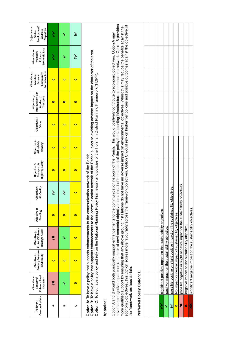| Communications<br>Policy 15- | Enhance Rural<br>Objective <sub>1</sub> :<br>Conserve/<br>Character                                                                                                                                                                                                                                                                                                                                                                                                                                                                                   | Protect/Enhance<br>Biodiversity<br>Objective 2:                              | Protect/Enhance<br>Heritage Assets<br>Objective 3: | Objective 4:<br>Flooding | Objective 5:<br>Air Quality | Highway Safety<br>Transport &<br>Objective 6: | Objective 7:<br>Affordable<br>Housing | Objective 8:<br>Crime | Improve Non-Car<br>Objective 9:<br>Transport<br>Modes of                                                                                                                                                                       | Infrastructure<br>Objective 10:<br>Community<br>Maintain/<br>Enhance | Economic Base<br>Objective 11:<br>Maintain/<br>Enhance | Employment/<br>Objective 12:<br>Disparities<br>Address<br>Stable |
|------------------------------|-------------------------------------------------------------------------------------------------------------------------------------------------------------------------------------------------------------------------------------------------------------------------------------------------------------------------------------------------------------------------------------------------------------------------------------------------------------------------------------------------------------------------------------------------------|------------------------------------------------------------------------------|----------------------------------------------------|--------------------------|-----------------------------|-----------------------------------------------|---------------------------------------|-----------------------|--------------------------------------------------------------------------------------------------------------------------------------------------------------------------------------------------------------------------------|----------------------------------------------------------------------|--------------------------------------------------------|------------------------------------------------------------------|
| 4                            | Xč                                                                                                                                                                                                                                                                                                                                                                                                                                                                                                                                                    | $\bullet$                                                                    | Xč                                                 | $\bullet$                | نۇ                          | $\bullet$                                     | $\bullet$                             | $\bullet$             | $\bullet$                                                                                                                                                                                                                      | $\bullet$                                                            | ミ                                                      | ミ                                                                |
| B                            | ↘                                                                                                                                                                                                                                                                                                                                                                                                                                                                                                                                                     | $\bullet$                                                                    | ↘                                                  | $\bullet$                | نۇ                          | $\bullet$                                     | $\bullet$                             | $\bullet$             | $\bullet$                                                                                                                                                                                                                      | $\bullet$                                                            | ↘                                                      | ↘                                                                |
| ပ                            | $\bullet$                                                                                                                                                                                                                                                                                                                                                                                                                                                                                                                                             | $\bullet$                                                                    | $\bullet$                                          | $\bullet$                | $\bullet$                   | $\bullet$                                     | $\bullet$                             | $\bullet$             | $\bullet$                                                                                                                                                                                                                      | $\bullet$                                                            | خز                                                     | نخر                                                              |
|                              | Option B: To have a policy that supports enhancements to the communication network of the Parish subject to avoiding adverse impact on the character of the area.<br>Option C: To not have a policy and rely on the National Planning Policy Framework and policies of the Horsham District Planning Framework (HDPF).<br>Option A: To have a policy that supports enhancements to the communication network of the Parish.                                                                                                                           |                                                                              |                                                    |                          |                             |                                               |                                       |                       |                                                                                                                                                                                                                                |                                                                      |                                                        |                                                                  |
| Appraisal:                   |                                                                                                                                                                                                                                                                                                                                                                                                                                                                                                                                                       |                                                                              |                                                    |                          |                             |                                               |                                       |                       |                                                                                                                                                                                                                                |                                                                      |                                                        |                                                                  |
|                              | economic objectives, this Option scores more favourably across the framework objectives. Option C would rely on higher tier policies and positive outcomes against the objective of<br>Option A and B would both positively support enhancements to the communication network of the Parish. This would positively contribute to economic objectives. Option A may<br>have some negative impacts on a number of environmental objectives<br>more qualified support by ensuring that any above ground installations<br>the framework are less certain. |                                                                              |                                                    |                          |                             |                                               |                                       |                       | as a result of the support of the policy for supporting infrastructure to enhance the network. Option B provides<br>do not have an adverse impact on environmental objectives. Whilst this may reduce the benefits against the |                                                                      |                                                        |                                                                  |
|                              | Preferred Policy Option: B                                                                                                                                                                                                                                                                                                                                                                                                                                                                                                                            |                                                                              |                                                    |                          |                             |                                               |                                       |                       |                                                                                                                                                                                                                                |                                                                      |                                                        |                                                                  |
|                              |                                                                                                                                                                                                                                                                                                                                                                                                                                                                                                                                                       |                                                                              |                                                    |                          |                             |                                               |                                       |                       |                                                                                                                                                                                                                                |                                                                      |                                                        |                                                                  |
|                              |                                                                                                                                                                                                                                                                                                                                                                                                                                                                                                                                                       |                                                                              |                                                    |                          |                             |                                               |                                       |                       |                                                                                                                                                                                                                                |                                                                      |                                                        |                                                                  |
| }<br>>                       |                                                                                                                                                                                                                                                                                                                                                                                                                                                                                                                                                       | significant positive impact on the sustainability objectives.                |                                                    |                          |                             |                                               |                                       |                       |                                                                                                                                                                                                                                |                                                                      |                                                        |                                                                  |
| ↘                            |                                                                                                                                                                                                                                                                                                                                                                                                                                                                                                                                                       | positive impact on the sustainability objective.                             |                                                    |                          |                             |                                               |                                       |                       |                                                                                                                                                                                                                                |                                                                      |                                                        |                                                                  |
| نخ                           |                                                                                                                                                                                                                                                                                                                                                                                                                                                                                                                                                       | possible positive or slight positive impact on the sustainability            |                                                    |                          | objectives                  |                                               |                                       |                       |                                                                                                                                                                                                                                |                                                                      |                                                        |                                                                  |
| $\bullet$                    |                                                                                                                                                                                                                                                                                                                                                                                                                                                                                                                                                       | No impact or neutral impact of sustainability objectives.                    |                                                    |                          |                             |                                               |                                       |                       |                                                                                                                                                                                                                                |                                                                      |                                                        |                                                                  |
| Xč                           |                                                                                                                                                                                                                                                                                                                                                                                                                                                                                                                                                       | possible negative or slight negative impact on the sustainability objectives |                                                    |                          |                             |                                               |                                       |                       |                                                                                                                                                                                                                                |                                                                      |                                                        |                                                                  |
| ×                            |                                                                                                                                                                                                                                                                                                                                                                                                                                                                                                                                                       | negative impact on the sustainability objective.                             |                                                    |                          |                             |                                               |                                       |                       |                                                                                                                                                                                                                                |                                                                      |                                                        |                                                                  |
| ××                           |                                                                                                                                                                                                                                                                                                                                                                                                                                                                                                                                                       | significant negative impact on the sustainability objectives.                |                                                    |                          |                             |                                               |                                       |                       |                                                                                                                                                                                                                                |                                                                      |                                                        |                                                                  |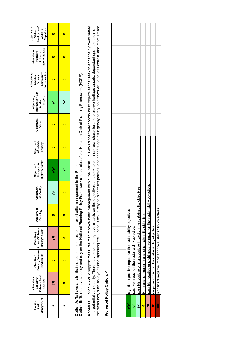| Management<br>Aim 12 -<br>Traffic | Enhance Rural<br>Objective <sub>1</sub> :<br>Conserve/<br>Character | Protect/Enhance<br>Objective 2:<br>Biodiversity                                                                                                                                                                                                                                                                                                                                                                                                | Protect/Enhance<br>Heritage Assets<br>Objective 3: | Objective 4:<br>Flooding | Objective 5:<br>Air Quality | Highway Safety<br>Objective 6:<br>Transport &                                                                   | Objective 7:<br>Affordable<br>Housing | Objective 8:<br>Crime | Improve Non-Car<br>Objective 9:<br>Transport<br>Modes of | Infrastructure<br>Objective 10:<br>Community<br>Maintain/<br>Enhance | Economic Base<br>Objective 11:<br>Maintain/<br>Enhance | Objective 12:<br>Employment/<br><b>Disparities</b><br>Address<br>Stable |
|-----------------------------------|---------------------------------------------------------------------|------------------------------------------------------------------------------------------------------------------------------------------------------------------------------------------------------------------------------------------------------------------------------------------------------------------------------------------------------------------------------------------------------------------------------------------------|----------------------------------------------------|--------------------------|-----------------------------|-----------------------------------------------------------------------------------------------------------------|---------------------------------------|-----------------------|----------------------------------------------------------|----------------------------------------------------------------------|--------------------------------------------------------|-------------------------------------------------------------------------|
| ⋖                                 | Xč                                                                  | 0                                                                                                                                                                                                                                                                                                                                                                                                                                              | Xč                                                 | $\bullet$                | Ž                           |                                                                                                                 | $\bullet$                             | $\bullet$             |                                                          | $\bullet$                                                            | $\bullet$                                              | $\bullet$                                                               |
| m                                 | $\bullet$                                                           | $\bullet$                                                                                                                                                                                                                                                                                                                                                                                                                                      | $\bullet$                                          | $\bullet$                | $\bullet$                   |                                                                                                                 | $\bullet$                             | $\bullet$             | نخر                                                      | $\bullet$                                                            | $\bullet$                                              | $\bullet$                                                               |
|                                   |                                                                     | Option B: To not have a policy and rely on the National Planning Policy Framework and policies of the Horsham District Planning Framework (HDPF).<br>Option A: To have an aim that supports measures to improve traffic management in the Parish.                                                                                                                                                                                              |                                                    |                          |                             |                                                                                                                 |                                       |                       |                                                          |                                                                      |                                                        |                                                                         |
|                                   |                                                                     | Appraisal: Option A would support measures that improve traffic management within the Parish. This would positively contribute to objectives that seek to enhance highway safety<br>and potentially air quality. There may be some negative impacts on the objectives that seek to enhance rural character and preserve heritage assets, dependant upon the detail of<br>the measures, such as layouts and signalling etc. Option B would rely |                                                    |                          |                             | on higher tier policies, and benefits against highway safety objectives would be less certain, and more limited |                                       |                       |                                                          |                                                                      |                                                        |                                                                         |
|                                   | Preferred Policy Option: A                                          |                                                                                                                                                                                                                                                                                                                                                                                                                                                |                                                    |                          |                             |                                                                                                                 |                                       |                       |                                                          |                                                                      |                                                        |                                                                         |
|                                   |                                                                     |                                                                                                                                                                                                                                                                                                                                                                                                                                                |                                                    |                          |                             |                                                                                                                 |                                       |                       |                                                          |                                                                      |                                                        |                                                                         |
|                                   |                                                                     |                                                                                                                                                                                                                                                                                                                                                                                                                                                |                                                    |                          |                             |                                                                                                                 |                                       |                       |                                                          |                                                                      |                                                        |                                                                         |
| ζ                                 |                                                                     | significant positive impact on the sustainability objectives.                                                                                                                                                                                                                                                                                                                                                                                  |                                                    |                          |                             |                                                                                                                 |                                       |                       |                                                          |                                                                      |                                                        |                                                                         |
| Š                                 |                                                                     | positive impact on the sustainability objective.                                                                                                                                                                                                                                                                                                                                                                                               |                                                    |                          |                             |                                                                                                                 |                                       |                       |                                                          |                                                                      |                                                        |                                                                         |
| نځ                                |                                                                     | possible positive or slight positive impact on the sustainability                                                                                                                                                                                                                                                                                                                                                                              |                                                    |                          | objectives.                 |                                                                                                                 |                                       |                       |                                                          |                                                                      |                                                        |                                                                         |
| $\bullet$                         |                                                                     | No impact or neutral impact of sustainability objectives.                                                                                                                                                                                                                                                                                                                                                                                      |                                                    |                          |                             |                                                                                                                 |                                       |                       |                                                          |                                                                      |                                                        |                                                                         |
| Xč                                |                                                                     | possible negative or slight negative impact on the sustainability objectives.                                                                                                                                                                                                                                                                                                                                                                  |                                                    |                          |                             |                                                                                                                 |                                       |                       |                                                          |                                                                      |                                                        |                                                                         |
| ×                                 |                                                                     | negative impact on the sustainability objective.                                                                                                                                                                                                                                                                                                                                                                                               |                                                    |                          |                             |                                                                                                                 |                                       |                       |                                                          |                                                                      |                                                        |                                                                         |

 $\frac{1}{x}$ 

significant negative impact on the sustainability objectives. ✖✖ significant negative impact on the sustainability objectives.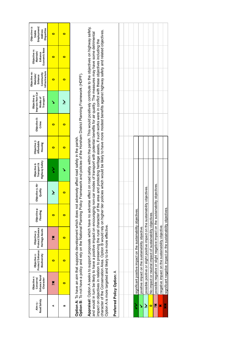| Road Safety<br>Aim <sub>13</sub> - | Enhance Rural<br>Objective <sub>1</sub> :<br>Conserve/<br>Character | Protect/Enhance<br>Objective 2:<br>Biodiversity  | Protect/Enhance<br>Heritage Assets<br>Objective 3:                                                                                                                                                                                                                                                                                                                                                                                                                                                                                                        | Objective 4:<br>Flooding | Objective 5: Air<br>Quality | Highway Safety<br>Transport &<br>Objective 6: | Objective 7:<br>Affordable<br>Housing | Objective 8:<br>Crime                                                                                                                                                                                                        | Improve Non-Car<br>Objective 9:<br>Transport<br>Modes of | Infrastructure<br>Objective 10:<br>Community<br>Maintain/<br>Enhance | Economic Base<br>Objective 11:<br>Maintain/<br>Enhance | Employment/<br>Objective 12:<br>Disparities<br>Address<br>Stable |
|------------------------------------|---------------------------------------------------------------------|--------------------------------------------------|-----------------------------------------------------------------------------------------------------------------------------------------------------------------------------------------------------------------------------------------------------------------------------------------------------------------------------------------------------------------------------------------------------------------------------------------------------------------------------------------------------------------------------------------------------------|--------------------------|-----------------------------|-----------------------------------------------|---------------------------------------|------------------------------------------------------------------------------------------------------------------------------------------------------------------------------------------------------------------------------|----------------------------------------------------------|----------------------------------------------------------------------|--------------------------------------------------------|------------------------------------------------------------------|
| ⋖                                  | X                                                                   | $\bullet$                                        | Xč                                                                                                                                                                                                                                                                                                                                                                                                                                                                                                                                                        | $\bullet$                | نر                          |                                               | $\bullet$                             | $\bullet$                                                                                                                                                                                                                    |                                                          | 0                                                                    | 0                                                      | $\bullet$                                                        |
| ≃                                  | $\bullet$                                                           | $\bullet$                                        | $\bullet$                                                                                                                                                                                                                                                                                                                                                                                                                                                                                                                                                 | $\bullet$                | $\bullet$                   |                                               | $\bullet$                             | $\bullet$                                                                                                                                                                                                                    | نځ                                                       | $\bullet$                                                            | $\bullet$                                              | $\bullet$                                                        |
|                                    |                                                                     |                                                  | Option B: To not have a policy and rely on the National Planning Policy Framework and policies of the Horsham District Planning Framework (HDPF).<br>Option A: To have an aim that supports development which does not                                                                                                                                                                                                                                                                                                                                    |                          |                             | adversely affect road safety in the parish.   |                                       |                                                                                                                                                                                                                              |                                                          |                                                                      |                                                        |                                                                  |
|                                    |                                                                     |                                                  | impact on objectives in relation to preserving the rural character of the area and protecting heritage assets, if such works were in conflict with these objectives including the<br>character of the Conservation Area. Option B<br>and would in turn be likely to have a positive impact on encouraging non-car modes of transport with potential benefits for air quality. The measures may have some detrimental<br>Appraisal: Option A seeks to support proposals which have no advers<br>Option A is more targeted and likely to be more effective. |                          |                             |                                               |                                       | se effect on road safety within the parish. This would positively contribute to the objectives on highway safety,<br>area and protecting heritage assets, if such works were in conflict with these objectives including the |                                                          |                                                                      |                                                        |                                                                  |
|                                    | Preferred Policy Option: A                                          |                                                  |                                                                                                                                                                                                                                                                                                                                                                                                                                                                                                                                                           |                          |                             |                                               |                                       |                                                                                                                                                                                                                              |                                                          |                                                                      |                                                        |                                                                  |
|                                    |                                                                     |                                                  |                                                                                                                                                                                                                                                                                                                                                                                                                                                                                                                                                           |                          |                             |                                               |                                       |                                                                                                                                                                                                                              |                                                          |                                                                      |                                                        |                                                                  |
|                                    |                                                                     |                                                  |                                                                                                                                                                                                                                                                                                                                                                                                                                                                                                                                                           |                          |                             |                                               |                                       |                                                                                                                                                                                                                              |                                                          |                                                                      |                                                        |                                                                  |
| ゝ                                  |                                                                     |                                                  | significant positive impact on the sustainability objectives.                                                                                                                                                                                                                                                                                                                                                                                                                                                                                             |                          |                             |                                               |                                       |                                                                                                                                                                                                                              |                                                          |                                                                      |                                                        |                                                                  |
| ↘                                  |                                                                     | positive impact on the sustainability objective. |                                                                                                                                                                                                                                                                                                                                                                                                                                                                                                                                                           |                          |                             |                                               |                                       |                                                                                                                                                                                                                              |                                                          |                                                                      |                                                        |                                                                  |
| $\tilde{\bm{\xi}}$                 |                                                                     |                                                  | possible positive or slight positive impact on the sustainability                                                                                                                                                                                                                                                                                                                                                                                                                                                                                         |                          | objectives.                 |                                               |                                       |                                                                                                                                                                                                                              |                                                          |                                                                      |                                                        |                                                                  |
| o                                  |                                                                     |                                                  | No impact or neutral impact of sustainability objectives.                                                                                                                                                                                                                                                                                                                                                                                                                                                                                                 |                          |                             |                                               |                                       |                                                                                                                                                                                                                              |                                                          |                                                                      |                                                        |                                                                  |
| ×č                                 |                                                                     |                                                  | possible negative or slight negative impact on the sustainability objectives                                                                                                                                                                                                                                                                                                                                                                                                                                                                              |                          |                             |                                               |                                       |                                                                                                                                                                                                                              |                                                          |                                                                      |                                                        |                                                                  |
| ×                                  |                                                                     |                                                  | negative impact on the sustainability objective.                                                                                                                                                                                                                                                                                                                                                                                                                                                                                                          |                          |                             |                                               |                                       |                                                                                                                                                                                                                              |                                                          |                                                                      |                                                        |                                                                  |
| ×                                  |                                                                     |                                                  | significant negative impact on the sustainability objectives.                                                                                                                                                                                                                                                                                                                                                                                                                                                                                             |                          |                             |                                               |                                       |                                                                                                                                                                                                                              |                                                          |                                                                      |                                                        |                                                                  |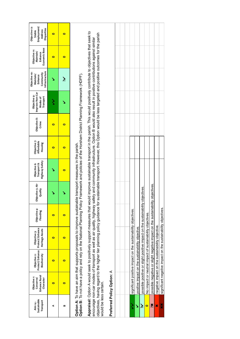| Sustainable<br>Transport<br>Aim 14- | Enhance Rural<br>Objective <sub>1</sub> :<br>Character<br>Conserve/ | Protect/Enhance<br>Biodiversity<br>Objective 2:                                                                                                                                                                                                                                                                                                                                                                                                                                                                                                                     | Protect/Enhance<br>Heritage Assets<br>Objective 3: | Objective 4:<br>Flooding | Objective 5: Air<br>Quality | Highway Safety<br>Transport &<br>Objective 6: | Objective 7:<br>Affordable<br>Housing | Objective 8:<br>Crime | Improve Non-Car<br>Objective 9:<br>Transport<br>Modes of | Infrastructure<br>Objective 10:<br>Community<br>Maintain/<br>Enhance | Economic Base<br>Objective 11:<br>Maintain/<br>Enhance | Objective 12:<br>Employment/<br>Disparities<br>Address<br>Stable |
|-------------------------------------|---------------------------------------------------------------------|---------------------------------------------------------------------------------------------------------------------------------------------------------------------------------------------------------------------------------------------------------------------------------------------------------------------------------------------------------------------------------------------------------------------------------------------------------------------------------------------------------------------------------------------------------------------|----------------------------------------------------|--------------------------|-----------------------------|-----------------------------------------------|---------------------------------------|-----------------------|----------------------------------------------------------|----------------------------------------------------------------------|--------------------------------------------------------|------------------------------------------------------------------|
| ⋖                                   | 0                                                                   | $\bullet$                                                                                                                                                                                                                                                                                                                                                                                                                                                                                                                                                           | $\bullet$                                          | $\bullet$                |                             |                                               | 0                                     | 0                     | ミ                                                        |                                                                      | 0                                                      | $\bullet$                                                        |
| œ                                   | $\bullet$                                                           | $\bullet$                                                                                                                                                                                                                                                                                                                                                                                                                                                                                                                                                           | $\bullet$                                          | $\bullet$                |                             | $\bullet$                                     | $\bullet$                             | $\bullet$             |                                                          | نۇ                                                                   | $\bullet$                                              | $\bullet$                                                        |
|                                     |                                                                     | Option B: To not have a policy and rely on the National Planning Policy Framework and policies of the Horsham District Planning Framework (HDPF).<br>Option A: To have an aim that supports proposals to improve sustainable transport measures in the parish.                                                                                                                                                                                                                                                                                                      |                                                    |                          |                             |                                               |                                       |                       |                                                          |                                                                      |                                                        |                                                                  |
| would be less certain.              |                                                                     | Appraisal: Option A would seek to positively support measures that would improve sustainable transport in the parish. This would positively contribute to objectives that seek to<br>objectives, having regard to the higher tier planch tier planch time parism point of sustainable transport. However, this Option would be less targeted and positive outcomes for the parish<br>encourage non-car modes of transport as well as air quality, highway safety and community infrastructure. Option B would also result in positive contributions against similar |                                                    |                          |                             |                                               |                                       |                       |                                                          |                                                                      |                                                        |                                                                  |
|                                     | Preferred Policy Option: A                                          |                                                                                                                                                                                                                                                                                                                                                                                                                                                                                                                                                                     |                                                    |                          |                             |                                               |                                       |                       |                                                          |                                                                      |                                                        |                                                                  |
|                                     |                                                                     |                                                                                                                                                                                                                                                                                                                                                                                                                                                                                                                                                                     |                                                    |                          |                             |                                               |                                       |                       |                                                          |                                                                      |                                                        |                                                                  |
|                                     |                                                                     |                                                                                                                                                                                                                                                                                                                                                                                                                                                                                                                                                                     |                                                    |                          |                             |                                               |                                       |                       |                                                          |                                                                      |                                                        |                                                                  |
|                                     |                                                                     | significant positive impact on the sustainability objectives.                                                                                                                                                                                                                                                                                                                                                                                                                                                                                                       |                                                    |                          |                             |                                               |                                       |                       |                                                          |                                                                      |                                                        |                                                                  |
| Š                                   |                                                                     | positive impact on the sustainability objective.                                                                                                                                                                                                                                                                                                                                                                                                                                                                                                                    |                                                    |                          |                             |                                               |                                       |                       |                                                          |                                                                      |                                                        |                                                                  |
| نځ                                  |                                                                     | possible positive or slight positive impact on the sustainability                                                                                                                                                                                                                                                                                                                                                                                                                                                                                                   |                                                    |                          | objectives                  |                                               |                                       |                       |                                                          |                                                                      |                                                        |                                                                  |
| $\bullet$                           |                                                                     | No impact or neutral impact of sustainability objectives.                                                                                                                                                                                                                                                                                                                                                                                                                                                                                                           |                                                    |                          |                             |                                               |                                       |                       |                                                          |                                                                      |                                                        |                                                                  |
| Xč                                  |                                                                     | possible negative or slight negative impact on the sustainability objectives.                                                                                                                                                                                                                                                                                                                                                                                                                                                                                       |                                                    |                          |                             |                                               |                                       |                       |                                                          |                                                                      |                                                        |                                                                  |
| ×                                   |                                                                     | negative impact on the sustainability objective.                                                                                                                                                                                                                                                                                                                                                                                                                                                                                                                    |                                                    |                          |                             |                                               |                                       |                       |                                                          |                                                                      |                                                        |                                                                  |

×

significant negative impact on the sustainability objectives. ✖✖ significant negative impact on the sustainability objectives.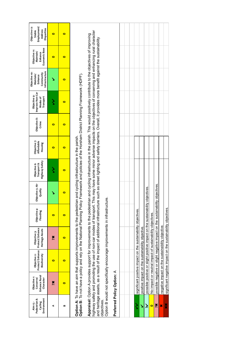| Environment<br>Pedestrian &<br>Cycling<br>Aim <sub>15</sub> - | Enhance Rural<br>Objective <sub>1</sub> :<br>Conserve/<br>Character                                                                                                                                                                                                                                                                                                                                                                               | Protect/Enhance<br>Biodiversity<br>Objective 2:  | Protect/Enhance<br>Heritage Assets<br>Objective 3:                | Objective 4:<br>Flooding | Objective 5: Air<br>Quality                                                                            | <b>Highway Safety</b><br>Transport &<br>Objective 6: | Objective 7:<br>Affordable<br>Housing | Objective 8:<br>Crime | Improve Non-Car<br>Objective 9:<br>Transport<br>Modes of | Infrastructure<br>Objective 10:<br>Community<br>Maintain/<br>Enhance | Economic Base<br>Objective 11:<br>Maintain/<br>Enhance | Employment/<br>Objective 12:<br><b>Disparities</b><br>Address<br><b>Stable</b> |
|---------------------------------------------------------------|---------------------------------------------------------------------------------------------------------------------------------------------------------------------------------------------------------------------------------------------------------------------------------------------------------------------------------------------------------------------------------------------------------------------------------------------------|--------------------------------------------------|-------------------------------------------------------------------|--------------------------|--------------------------------------------------------------------------------------------------------|------------------------------------------------------|---------------------------------------|-----------------------|----------------------------------------------------------|----------------------------------------------------------------------|--------------------------------------------------------|--------------------------------------------------------------------------------|
| ⋖                                                             | Xč                                                                                                                                                                                                                                                                                                                                                                                                                                                | $\bullet$                                        | Xč                                                                | $\bullet$                | ١                                                                                                      |                                                      | $\bullet$                             | $\bullet$             | ζ                                                        | ↘                                                                    | 0                                                      | $\bullet$                                                                      |
| $\mathbf{a}$                                                  | $\bullet$                                                                                                                                                                                                                                                                                                                                                                                                                                         | $\bullet$                                        | $\bullet$                                                         | $\bullet$                | $\bullet$                                                                                              | $\bullet$                                            | $\bullet$                             | $\bullet$             | 0                                                        | $\bullet$                                                            | $\bullet$                                              | $\bullet$                                                                      |
|                                                               | Option B: To not have a policy and rely on the National Planning Policy Framework and policies of the Horsham District Planning Framework (HDPF).<br>Option A: To have an aim that supports improvements to the pedestrian and cycling infrastructure in the parish.                                                                                                                                                                              |                                                  |                                                                   |                          |                                                                                                        |                                                      |                                       |                       |                                                          |                                                                      |                                                        |                                                                                |
|                                                               | Appraisal: Option A provides support for improvements to the pedestrian and cycling infrastructure in the parish. This would positively contribute to the objectives of improving<br>and heritage assets, as a result of the impact of additional infrastructure such as street lighting and safety barriers. Overall, it provides more benefit against the sustainability<br>highway safety and promoting the use of non-car modes of transport. |                                                  |                                                                   |                          | This may have some minor adverse impacts on the objectives of conserving and enhancing rural character |                                                      |                                       |                       |                                                          |                                                                      |                                                        |                                                                                |
| objectives.                                                   | Option B would not specifically encourage improvements in infrastructure.                                                                                                                                                                                                                                                                                                                                                                         |                                                  |                                                                   |                          |                                                                                                        |                                                      |                                       |                       |                                                          |                                                                      |                                                        |                                                                                |
|                                                               | Preferred Policy Option: A                                                                                                                                                                                                                                                                                                                                                                                                                        |                                                  |                                                                   |                          |                                                                                                        |                                                      |                                       |                       |                                                          |                                                                      |                                                        |                                                                                |
|                                                               |                                                                                                                                                                                                                                                                                                                                                                                                                                                   |                                                  |                                                                   |                          |                                                                                                        |                                                      |                                       |                       |                                                          |                                                                      |                                                        |                                                                                |
|                                                               |                                                                                                                                                                                                                                                                                                                                                                                                                                                   |                                                  |                                                                   |                          |                                                                                                        |                                                      |                                       |                       |                                                          |                                                                      |                                                        |                                                                                |
| ś                                                             |                                                                                                                                                                                                                                                                                                                                                                                                                                                   |                                                  | significant positive impact on the sustainability objectives.     |                          |                                                                                                        |                                                      |                                       |                       |                                                          |                                                                      |                                                        |                                                                                |
|                                                               |                                                                                                                                                                                                                                                                                                                                                                                                                                                   | positive impact on the sustainability objective. |                                                                   |                          |                                                                                                        |                                                      |                                       |                       |                                                          |                                                                      |                                                        |                                                                                |
| $\tilde{\bm{\zeta}}$                                          |                                                                                                                                                                                                                                                                                                                                                                                                                                                   |                                                  | possible positive or slight positive impact on the sustainability |                          | objectives.                                                                                            |                                                      |                                       |                       |                                                          |                                                                      |                                                        |                                                                                |
| $\bullet$                                                     |                                                                                                                                                                                                                                                                                                                                                                                                                                                   |                                                  | No impact or neutral impact of sustainability objectives.         |                          |                                                                                                        |                                                      |                                       |                       |                                                          |                                                                      |                                                        |                                                                                |
| X                                                             |                                                                                                                                                                                                                                                                                                                                                                                                                                                   |                                                  | possible negative or slight negative impact on the sustainabili   |                          | ity objectives.                                                                                        |                                                      |                                       |                       |                                                          |                                                                      |                                                        |                                                                                |
| ×                                                             |                                                                                                                                                                                                                                                                                                                                                                                                                                                   |                                                  | negative impact on the sustainability objective.                  |                          |                                                                                                        |                                                      |                                       |                       |                                                          |                                                                      |                                                        |                                                                                |
| ×                                                             |                                                                                                                                                                                                                                                                                                                                                                                                                                                   |                                                  | significant negative impact on the sustainability objectives.     |                          |                                                                                                        |                                                      |                                       |                       |                                                          |                                                                      |                                                        |                                                                                |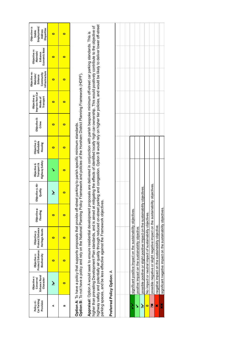| Car Parking<br>Policy 16-<br>Provision | Enhance Rural<br>Objective <sub>1</sub> :<br>Conserve/<br>Character | Protect/Enhance<br>Objective 2:<br>Biodiversity                                                                                                                                                                                                                                                                                                                                                                                                                                                                                                                                                                                         | Protect/Enhance<br>Heritage Assets<br>Objective 3: | Objective 4:<br>Flooding | Objective 5: Air<br>Quality | Highway Safety<br>Objective 6:<br>Transport & | Objective 7:<br>Affordable<br>Housing | Objective 8:<br>Crime | Improve Non-Car<br>Objective 9:<br>Transport<br>Modes of | Infrastructure<br>Objective 10:<br>Community<br>Maintain/<br>Enhance | Economic Base<br>Objective 11:<br>Maintain/<br>Enhance | Objective 12:<br>Employment/<br>Disparities<br>Address<br>Stable |
|----------------------------------------|---------------------------------------------------------------------|-----------------------------------------------------------------------------------------------------------------------------------------------------------------------------------------------------------------------------------------------------------------------------------------------------------------------------------------------------------------------------------------------------------------------------------------------------------------------------------------------------------------------------------------------------------------------------------------------------------------------------------------|----------------------------------------------------|--------------------------|-----------------------------|-----------------------------------------------|---------------------------------------|-----------------------|----------------------------------------------------------|----------------------------------------------------------------------|--------------------------------------------------------|------------------------------------------------------------------|
| ⋖                                      | نځ                                                                  | o                                                                                                                                                                                                                                                                                                                                                                                                                                                                                                                                                                                                                                       | $\bullet$                                          | $\bullet$                | نځ                          |                                               | $\bullet$                             | $\bullet$             | $\bullet$                                                | $\bullet$                                                            | $\bullet$                                              | $\bullet$                                                        |
| B                                      | o                                                                   | 0                                                                                                                                                                                                                                                                                                                                                                                                                                                                                                                                                                                                                                       | 0                                                  | $\bullet$                | $\bullet$                   | o                                             | $\bullet$                             | $\bullet$             | $\bullet$                                                | 0                                                                    | $\bullet$                                              | $\bullet$                                                        |
|                                        |                                                                     | Option B: To not have a policy and rely on the National Planning Policy Framework and policies of the Horsham District Planning Framework (HDPF).<br>Option A: To have a policy that supports proposals that provide off-street parking to parish specific minimum standards                                                                                                                                                                                                                                                                                                                                                            |                                                    |                          |                             |                                               |                                       |                       |                                                          |                                                                      |                                                        |                                                                  |
|                                        |                                                                     | highway safety and potentially air quality through reduced on-street parking and congestion. Option B would rely on higher tier policies, and would be likely to deliver lower off-street<br>higher than prevelopment Plan standards, and is aimed at mitigating the effects of identified locally high car ownership. This would positively contribute to the objective of<br>Appraisal: Option A would seek to ensure residential development proposals are delivered in conjunction with parish bespoke minimum off-street car parking standards. This is<br>parking spaces, and be less effective against the Framework objectives. |                                                    |                          |                             |                                               |                                       |                       |                                                          |                                                                      |                                                        |                                                                  |
|                                        | Preferred Policy Option: A                                          |                                                                                                                                                                                                                                                                                                                                                                                                                                                                                                                                                                                                                                         |                                                    |                          |                             |                                               |                                       |                       |                                                          |                                                                      |                                                        |                                                                  |
|                                        |                                                                     |                                                                                                                                                                                                                                                                                                                                                                                                                                                                                                                                                                                                                                         |                                                    |                          |                             |                                               |                                       |                       |                                                          |                                                                      |                                                        |                                                                  |
|                                        |                                                                     |                                                                                                                                                                                                                                                                                                                                                                                                                                                                                                                                                                                                                                         |                                                    |                          |                             |                                               |                                       |                       |                                                          |                                                                      |                                                        |                                                                  |
| $\zeta$                                |                                                                     | significant positive impact on the sustainability objectives.                                                                                                                                                                                                                                                                                                                                                                                                                                                                                                                                                                           |                                                    |                          |                             |                                               |                                       |                       |                                                          |                                                                      |                                                        |                                                                  |
| Š                                      |                                                                     | positive impact on the sustainability objective.                                                                                                                                                                                                                                                                                                                                                                                                                                                                                                                                                                                        |                                                    |                          |                             |                                               |                                       |                       |                                                          |                                                                      |                                                        |                                                                  |
| نځ                                     |                                                                     | possible positive or slight positive impact on the sustainability                                                                                                                                                                                                                                                                                                                                                                                                                                                                                                                                                                       |                                                    |                          | objectives.                 |                                               |                                       |                       |                                                          |                                                                      |                                                        |                                                                  |
| $\bullet$                              |                                                                     | No impact or neutral impact of sustainability objectives.                                                                                                                                                                                                                                                                                                                                                                                                                                                                                                                                                                               |                                                    |                          |                             |                                               |                                       |                       |                                                          |                                                                      |                                                        |                                                                  |
| ×č                                     |                                                                     | possible negative or slight negative impact on the sustainability objectives.                                                                                                                                                                                                                                                                                                                                                                                                                                                                                                                                                           |                                                    |                          |                             |                                               |                                       |                       |                                                          |                                                                      |                                                        |                                                                  |

**×** 

**x** negative impact on the sustainability objective.

negative impact on the sustainability objective.

significant negative impact on the sustainability objectives. ✖✖ significant negative impact on the sustainability objectives.